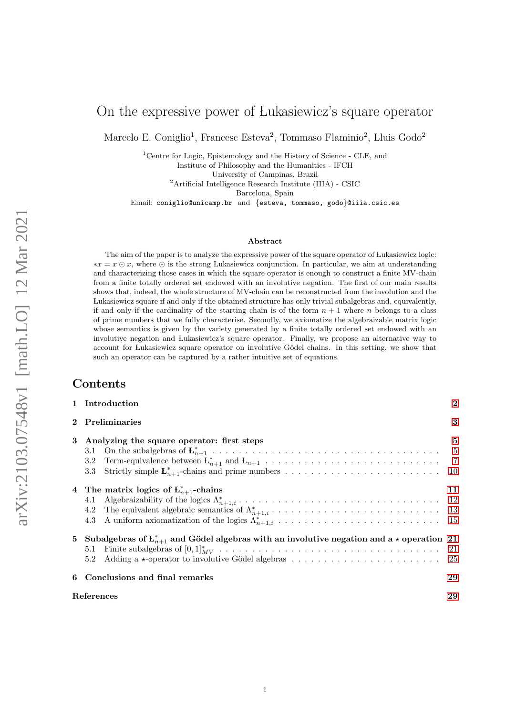## On the expressive power of Lukasiewicz's square operator

Marcelo E. Coniglio<sup>1</sup>, Francesc Esteva<sup>2</sup>, Tommaso Flaminio<sup>2</sup>, Lluis Godo<sup>2</sup>

<sup>1</sup>Centre for Logic, Epistemology and the History of Science - CLE, and

Institute of Philosophy and the Humanities - IFCH

University of Campinas, Brazil

<sup>2</sup>Artificial Intelligence Research Institute (IIIA) - CSIC

Barcelona, Spain

Email: coniglio@unicamp.br and {esteva, tommaso, godo}@iiia.csic.es

#### Abstract

The aim of the paper is to analyze the expressive power of the square operator of Lukasiewicz logic:  $*x = x \odot x$ , where  $\odot$  is the strong Lukasiewicz conjunction. In particular, we aim at understanding and characterizing those cases in which the square operator is enough to construct a finite MV-chain from a finite totally ordered set endowed with an involutive negation. The first of our main results shows that, indeed, the whole structure of MV-chain can be reconstructed from the involution and the Lukasiewicz square if and only if the obtained structure has only trivial subalgebras and, equivalently, if and only if the cardinality of the starting chain is of the form  $n + 1$  where n belongs to a class of prime numbers that we fully characterise. Secondly, we axiomatize the algebraizable matrix logic whose semantics is given by the variety generated by a finite totally ordered set endowed with an involutive negation and Lukasiewicz's square operator. Finally, we propose an alternative way to account for Lukasiewicz square operator on involutive Gödel chains. In this setting, we show that such an operator can be captured by a rather intuitive set of equations.

### Contents

|                      | 1 Introduction                                                                                                | $\overline{2}$ |  |  |  |  |  |  |  |  |
|----------------------|---------------------------------------------------------------------------------------------------------------|----------------|--|--|--|--|--|--|--|--|
| <b>Preliminaries</b> |                                                                                                               |                |  |  |  |  |  |  |  |  |
| 3                    | Analyzing the square operator: first steps                                                                    | $\overline{5}$ |  |  |  |  |  |  |  |  |
|                      | 4 The matrix logics of $L_{n+1}^*$ -chains                                                                    | 11             |  |  |  |  |  |  |  |  |
|                      | 5 Subalgebras of $L_{n+1}^*$ and Gödel algebras with an involutive negation and a $\star$ operation 21<br>5.2 |                |  |  |  |  |  |  |  |  |
| 6                    | Conclusions and final remarks                                                                                 | 29             |  |  |  |  |  |  |  |  |
|                      | References                                                                                                    | 29             |  |  |  |  |  |  |  |  |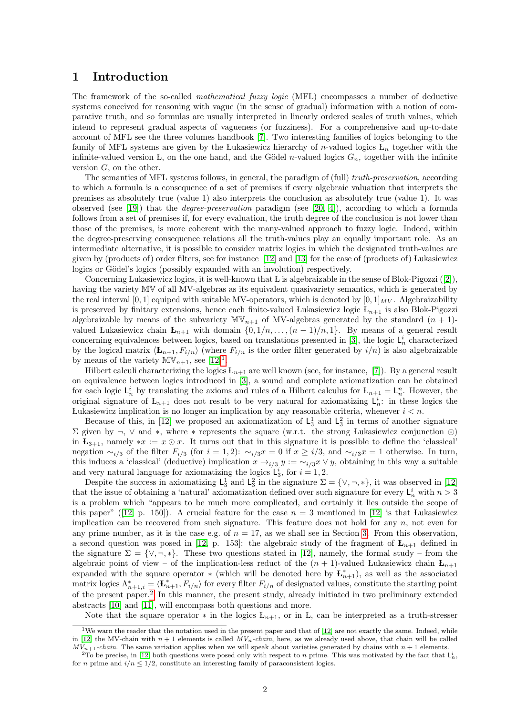### <span id="page-1-0"></span>1 Introduction

The framework of the so-called mathematical fuzzy logic (MFL) encompasses a number of deductive systems conceived for reasoning with vague (in the sense of gradual) information with a notion of comparative truth, and so formulas are usually interpreted in linearly ordered scales of truth values, which intend to represent gradual aspects of vagueness (or fuzziness). For a comprehensive and up-to-date account of MFL see the three volumes handbook [\[7\]](#page-29-0). Two interesting families of logics belonging to the family of MFL systems are given by the Lukasiewicz hierarchy of n-valued logics  $L_n$  together with the infinite-valued version L, on the one hand, and the Gödel *n*-valued logics  $G_n$ , together with the infinite version  $G$ , on the other.

The semantics of MFL systems follows, in general, the paradigm of (full) truth-preservation, according to which a formula is a consequence of a set of premises if every algebraic valuation that interprets the premises as absolutely true (value 1) also interprets the conclusion as absolutely true (value 1). It was observed (see [\[19\]](#page-29-1)) that the *degree-preservation* paradigm (see [\[20,](#page-29-2) [4\]](#page-28-2)), according to which a formula follows from a set of premises if, for every evaluation, the truth degree of the conclusion is not lower than those of the premises, is more coherent with the many-valued approach to fuzzy logic. Indeed, within the degree-preserving consequence relations all the truth-values play an equally important role. As an intermediate alternative, it is possible to consider matrix logics in which the designated truth-values are given by (products of) order filters, see for instance [\[12\]](#page-29-3) and [\[13\]](#page-29-4) for the case of (products of) Lukasiewicz logics or Gödel's logics (possibly expanded with an involution) respectively.

Concerning Lukasiewicz logics, it is well-known that L is algebraizable in the sense of Blok-Pigozzi([\[2\]](#page-28-3)), having the variety MV of all MV-algebras as its equivalent quasivariety semantics, which is generated by the real interval [0, 1] equiped with suitable MV-operators, which is denoted by  $[0, 1]_{MV}$ . Algebraizability is preserved by finitary extensions, hence each finite-valued Lukasiewicz logic  $L_{n+1}$  is also Blok-Pigozzi algebraizable by means of the subvariety  $\mathbb{MV}_{n+1}$  of MV-algebras generated by the standard  $(n + 1)$ valued Lukasiewicz chain  $\mathbf{L}_{n+1}$  with domain  $\{0, 1/n, \ldots, (n-1)/n, 1\}$ . By means of a general result concerning equivalences between logics, based on translations presented in [\[3\]](#page-28-4), the logic  $\mathsf{L}_n^i$  characterized by the logical matrix  $\langle \mathbf{L}_{n+1}, F_{i/n} \rangle$  (where  $F_{i/n}$  is the order filter generated by  $i/n$ ) is also algebraizable by means of the variety  $\mathbb{MV}_{n+1}$  $\mathbb{MV}_{n+1}$  $\mathbb{MV}_{n+1}$ , see  $[12]^1$ .

Hilbert calculi characterizing the logics  $L_{n+1}$  are well known (see, for instance, [\[7\]](#page-29-0)). By a general result on equivalence between logics introduced in [\[3\]](#page-28-4), a sound and complete axiomatization can be obtained for each logic  $L_n^i$  by translating the axioms and rules of a Hilbert calculus for  $L_{n+1} = L_n^n$ . However, the original signature of  $L_{n+1}$  does not result to be very natural for axiomatizing  $L_n^i$ : in these logics the Lukasiewicz implication is no longer an implication by any reasonable criteria, whenever  $i < n$ .

Because of this, in [\[12\]](#page-29-3) we proposed an axiomatization of  $L_3^1$  and  $L_3^2$  in terms of another signature  $\Sigma$  given by ¬, ∨ and \*, where \* represents the square (w.r.t. the strong Lukasiewicz conjunction ⊙) in  $\mathbf{L}_{3+1}$ , namely  $*x := x \odot x$ . It turns out that in this signature it is possible to define the 'classical' negation  $\sim_{i/3}$  of the filter  $F_{i/3}$  (for  $i = 1, 2$ ):  $\sim_{i/3} x = 0$  if  $x \ge i/3$ , and  $\sim_{i/3} x = 1$  otherwise. In turn, this induces a 'classical' (deductive) implication  $x \to_{i/3} y := \sim_{i/3} x \vee y$ , obtaining in this way a suitable and very natural language for axiomatizing the logics  $\mathsf{L}_3^i$ , for  $i = 1, 2$ .

Despite the success in axiomatizing  $L_3^1$  and  $L_3^2$  in the signature  $\Sigma = \{\vee, \neg, *\}$ , it was observed in [\[12\]](#page-29-3) that the issue of obtaining a 'natural' axiomatization defined over such signature for every  $\mathsf{L}_n^i$  with  $n > 3$ is a problem which "appears to be much more complicated, and certainly it lies outside the scope of thispaper" ([\[12,](#page-29-3) p. 150]). A crucial feature for the case  $n = 3$  mentioned in [\[12\]](#page-29-3) is that Lukasiewicz implication can be recovered from such signature. This feature does not hold for any  $n$ , not even for any prime number, as it is the case e.g. of  $n = 17$ , as we shall see in Section [3.](#page-4-0) From this observation, a second question was posed in [\[12,](#page-29-3) p. 153]: the algebraic study of the fragment of  $L_{n+1}$  defined in the signature  $\Sigma = \{ \vee, \neg, * \}.$  These two questions stated in [\[12\]](#page-29-3), namely, the formal study – from the algebraic point of view – of the implication-less reduct of the  $(n + 1)$ -valued Lukasiewicz chain  $L_{n+1}$ expanded with the square operator  $*$  (which will be denoted here by  $\mathbf{L}_{n+1}^{*}$ ), as well as the associated matrix logics  $\Lambda_{n+1,i}^* = \langle \mathbf{L}_{n+1}^*, F_{i/n} \rangle$  for every filter  $F_{i/n}$  of designated values, constitute the starting point of the present paper.[2](#page-1-2) In this manner, the present study, already initiated in two preliminary extended abstracts [\[10\]](#page-29-5) and [\[11\]](#page-29-6), will encompass both questions and more.

Note that the square operator  $*$  in the logics  $L_{n+1}$ , or in L, can be interpreted as a truth-stresser

<span id="page-1-1"></span><sup>&</sup>lt;sup>1</sup>We warn the reader that the notation used in the present paper and that of [\[12\]](#page-29-3) are not exactly the same. Indeed, while in [\[12\]](#page-29-3) the MV-chain with  $n + 1$  elements is called  $MV_n$ -chain, here, as we already used above, that chain will be called  $MV_{n+1}$ -chain. The same variation applies when we will speak about varieties generated by chains with  $n + 1$  elements.

<span id="page-1-2"></span><sup>&</sup>lt;sup>2</sup>To be precise, in [\[12\]](#page-29-3) both questions were posed only with respect to n prime. This was motivated by the fact that  $L_n^i$ , for *n* prime and  $i/n \leq 1/2$ , constitute an interesting family of paraconsistent logics.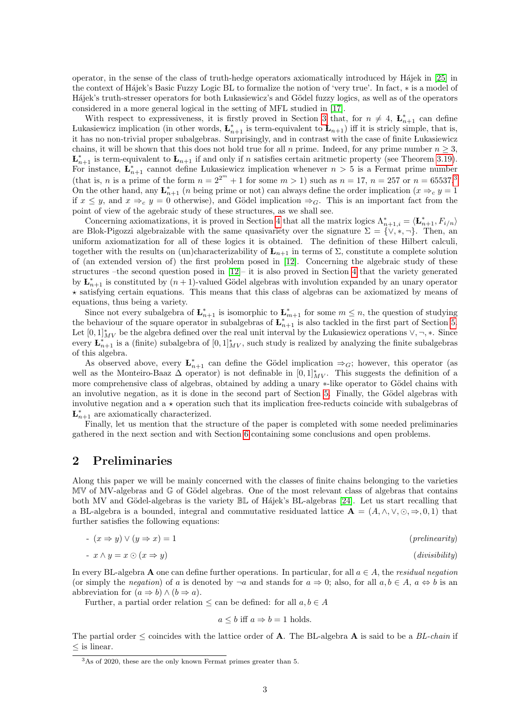operator, in the sense of the class of truth-hedge operators axiomatically introduced by Hájek in [\[25\]](#page-30-0) in the context of H´ajek's Basic Fuzzy Logic BL to formalize the notion of 'very true'. In fact, ∗ is a model of Hájek's truth-stresser operators for both Lukasiewicz's and Gödel fuzzy logics, as well as of the operators considered in a more general logical in the setting of MFL studied in [\[17\]](#page-29-7).

With respect to expressiveness, it is firstly proved in Section [3](#page-4-0) that, for  $n \neq 4$ ,  $\mathbf{L}_{n+1}^{*}$  can define Lukasiewicz implication (in other words,  $\mathbf{L}_{n+1}^*$  is term-equivalent to  $\mathbf{L}_{n+1}$ ) iff it is stricly simple, that is, it has no non-trivial proper subalgebras. Surprisingly, and in contrast with the case of finite Lukasiewicz chains, it will be shown that this does not hold true for all n prime. Indeed, for any prime number  $n \geq 3$ ,  $\mathbf{L}_{n+1}^*$  is term-equivalent to  $\mathbf{L}_{n+1}$  if and only if n satisfies certain aritmetic property (see Theorem [3.19\)](#page-10-1). For instance,  $\mathbf{L}_{n+1}^*$  cannot define Lukasiewicz implication whenever  $n > 5$  is a Fermat prime number (that is, *n* is a prime of the form  $n = 2^{2^m} + 1$  for some  $m > 1$ ) such as  $n = 17$ ,  $n = 257$  or  $n = 65537$  $n = 65537$  $n = 65537$ .<sup>3</sup> On the other hand, any  $\mathbf{L}_{n+1}^*$  (*n* being prime or not) can always define the order implication ( $x \Rightarrow_c y = 1$ if  $x \leq y$ , and  $x \Rightarrow_c y = 0$  otherwise), and Gödel implication  $\Rightarrow_G$ . This is an important fact from the point of view of the agebraic study of these structures, as we shall see.

Concerning axiomatizations, it is proved in Section [4](#page-10-0) that all the matrix logics  $\Lambda_{n+1,i}^* = \langle \mathbf{L}_{n+1}^*, F_{i/n} \rangle$ are Blok-Pigozzi algebraizable with the same quasivariety over the signature  $\Sigma = \{ \vee, \ast, \neg \}.$  Then, an uniform axiomatization for all of these logics it is obtained. The definition of these Hilbert calculi, together with the results on (un)characterizability of  $L_{n+1}$  in terms of  $\Sigma$ , constitute a complete solution of (an extended version of) the first problem posed in [\[12\]](#page-29-3). Concerning the algebraic study of these structures –the second question posed in [\[12\]](#page-29-3)– it is also proved in Section [4](#page-10-0) that the variety generated by  $\mathbf{L}_{n+1}^*$  is constituted by  $(n+1)$ -valued Gödel algebras with involution expanded by an unary operator  $\star$  satisfying certain equations. This means that this class of algebras can be axiomatized by means of equations, thus being a variety.

Since not every subalgebra of  $\mathbf{L}_{n+1}^*$  is isomorphic to  $\mathbf{L}_{m+1}^*$  for some  $m \leq n$ , the question of studying the behaviour of the square operator in subalgebras of  $\mathbf{L}_{n+1}^{*}$  is also tackled in the first part of Section [5.](#page-20-0) Let  $[0,1]_{MV}^*$  be the algebra defined over the real unit interval by the Lukasiewicz operations  $\vee, \neg, *$ . Since every  $\mathbf{L}_{n+1}^{*}$  is a (finite) subalgebra of  $[0,1]_{MV}^{*}$ , such study is realized by analyzing the finite subalgebras of this algebra.

As observed above, every  $\mathbf{L}_{n+1}^*$  can define the Gödel implication  $\Rightarrow_G$ ; however, this operator (as well as the Monteiro-Baaz  $\Delta$  operator) is not definable in  $[0,1]^*_{MV}$ . This suggests the definition of a more comprehensive class of algebras, obtained by adding a unary  $*$ -like operator to Gödel chains with an involutive negation, as it is done in the second part of Section [5.](#page-20-0) Finally, the Gödel algebras with involutive negation and  $a \star$  operation such that its implication free-reducts coincide with subalgebras of  $\mathbf{L}_{n+1}^*$  are axiomatically characterized.

Finally, let us mention that the structure of the paper is completed with some needed preliminaries gathered in the next section and with Section [6](#page-28-0) containing some conclusions and open problems.

### <span id="page-2-0"></span>2 Preliminaries

Along this paper we will be mainly concerned with the classes of finite chains belonging to the varieties  $\mathbb{M}\mathbb{V}$  of MV-algebras and  $\mathbb{G}$  of Gödel algebras. One of the most relevant class of algebras that contains both MV and Gödel-algebras is the variety  $\mathbb{B}$  of Hájek's BL-algebras [\[24\]](#page-29-8). Let us start recalling that a BL-algebra is a bounded, integral and commutative residuated lattice  $\mathbf{A} = (A, \wedge, \vee, \odot, \Rightarrow, 0, 1)$  that further satisfies the following equations:

$$
- (x \Rightarrow y) \lor (y \Rightarrow x) = 1
$$
\n(prelinearity)

$$
-x \wedge y = x \odot (x \Rightarrow y) \tag{divisibility}
$$

In every BL-algebra A one can define further operations. In particular, for all  $a \in A$ , the residual negation (or simply the *negation*) of a is denoted by  $\neg a$  and stands for  $a \Rightarrow 0$ ; also, for all  $a, b \in A$ ,  $a \Leftrightarrow b$  is an abbreviation for  $(a \Rightarrow b) \land (b \Rightarrow a)$ .

Further, a partial order relation  $\leq$  can be defined: for all  $a, b \in A$ 

$$
a \leq b
$$
 iff  $a \Rightarrow b = 1$  holds.

The partial order  $\leq$  coincides with the lattice order of **A**. The BL-algebra **A** is said to be a *BL-chain* if ≤ is linear.

<span id="page-2-1"></span><sup>3</sup>As of 2020, these are the only known Fermat primes greater than 5.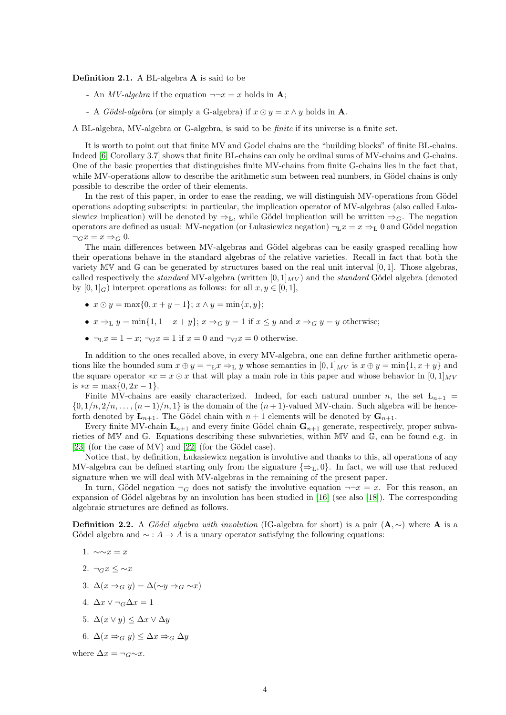Definition 2.1. A BL-algebra A is said to be

- An *MV-algebra* if the equation  $\neg\neg x = x$  holds in **A**;
- A *Gödel-algebra* (or simply a G-algebra) if  $x \odot y = x \wedge y$  holds in **A**.

A BL-algebra, MV-algebra or G-algebra, is said to be finite if its universe is a finite set.

It is worth to point out that finite MV and Godel chains are the "building blocks" of finite BL-chains. Indeed [\[6,](#page-29-9) Corollary 3.7] shows that finite BL-chains can only be ordinal sums of MV-chains and G-chains. One of the basic properties that distinguishes finite MV-chains from finite G-chains lies in the fact that, while MV-operations allow to describe the arithmetic sum between real numbers, in Gödel chains is only possible to describe the order of their elements.

In the rest of this paper, in order to ease the reading, we will distinguish MV-operations from Gödel operations adopting subscripts: in particular, the implication operator of MV-algebras (also called Lukasiewicz implication) will be denoted by  $\Rightarrow_L$ , while Gödel implication will be written  $\Rightarrow_G$ . The negation operators are defined as usual: MV-negation (or Lukasiewicz negation)  $\neg_L x = x \Rightarrow_L 0$  and Gödel negation  $\neg_G x = x \Rightarrow_G 0.$ 

The main differences between MV-algebras and Gödel algebras can be easily grasped recalling how their operations behave in the standard algebras of the relative varieties. Recall in fact that both the variety  $MV$  and  $G$  can be generated by structures based on the real unit interval [0, 1]. Those algebras, called respectively the *standard* MV-algebra (written  $[0, 1]_{MV}$ ) and the *standard* Gödel algebra (denoted by  $[0, 1]_G$ ) interpret operations as follows: for all  $x, y \in [0, 1]$ ,

- $x \odot y = \max\{0, x + y 1\}; x \wedge y = \min\{x, y\};$
- $x \Rightarrow u = \min\{1, 1 x + y\}$ ;  $x \Rightarrow_G y = 1$  if  $x \le y$  and  $x \Rightarrow_G y = y$  otherwise;
- $\neg_L x = 1 x$ ;  $\neg_G x = 1$  if  $x = 0$  and  $\neg_G x = 0$  otherwise.

In addition to the ones recalled above, in every MV-algebra, one can define further arithmetic operations like the bounded sum  $x \oplus y = \neg_L x \Rightarrow_L y$  whose semantics in  $[0, 1]_{MV}$  is  $x \oplus y = \min\{1, x + y\}$  and the square operator  $*x = x \odot x$  that will play a main role in this paper and whose behavior in  $[0, 1]_{MV}$ is  $*x = \max\{0, 2x - 1\}.$ 

Finite MV-chains are easily characterized. Indeed, for each natural number n, the set  $L_{n+1}$  =  $\{0, 1/n, 2/n, \ldots, (n-1)/n, 1\}$  is the domain of the  $(n+1)$ -valued MV-chain. Such algebra will be henceforth denoted by  $\mathbf{L}_{n+1}$ . The Gödel chain with  $n+1$  elements will be denoted by  $\mathbf{G}_{n+1}$ .

Every finite MV-chain  $\mathbf{L}_{n+1}$  and every finite Gödel chain  $\mathbf{G}_{n+1}$  generate, respectively, proper subvarieties of MV and G. Equations describing these subvarieties, within MV and G, can be found e.g. in  $[23]$  (for the case of MV) and  $[22]$  (for the Gödel case).

Notice that, by definition, Lukasiewicz negation is involutive and thanks to this, all operations of any MV-algebra can be defined starting only from the signature  $\{\Rightarrow_L, 0\}$ . In fact, we will use that reduced signature when we will deal with MV-algebras in the remaining of the present paper.

In turn, Gödel negation  $\neg_G$  does not satisfy the involutive equation  $\neg\neg x = x$ . For this reason, an expansion of Gödel algebras by an involution has been studied in  $[16]$  (see also  $[18]$ ). The corresponding algebraic structures are defined as follows.

<span id="page-3-0"></span>**Definition 2.2.** A Gödel algebra with involution (IG-algebra for short) is a pair  $(A, \sim)$  where A is a Gödel algebra and  $\sim$  :  $A \rightarrow A$  is a unary operator satisfying the following equations:

- 1.  $\sim \sim x = x$
- 2.  $\neg_G x \leq \neg x$
- 3.  $\Delta(x \Rightarrow_G y) = \Delta(\sim y \Rightarrow_G \sim x)$
- 4.  $\Delta x \vee \neg_G \Delta x = 1$
- 5.  $\Delta(x \vee y) \leq \Delta x \vee \Delta y$
- 6.  $\Delta(x \Rightarrow_G y) \leq \Delta x \Rightarrow_G \Delta y$

where  $\Delta x = \neg G \sim x$ .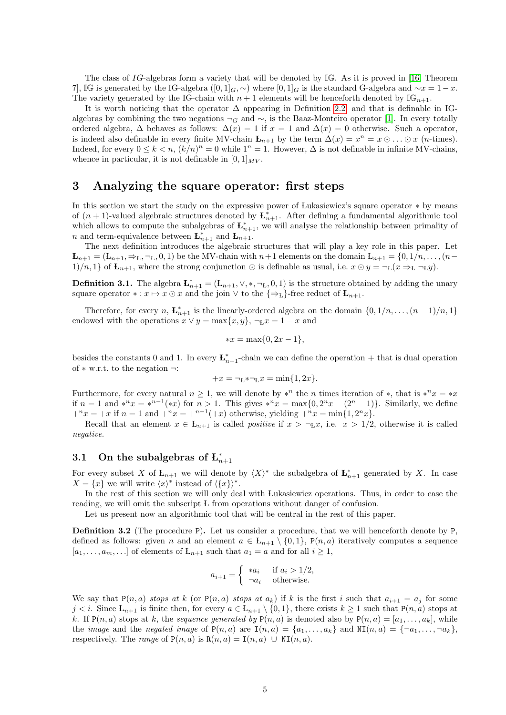The class of IG-algebras form a variety that will be denoted by  $\mathbb{IG}$ . As it is proved in [\[16,](#page-29-12) Theorem 7], IG is generated by the IG-algebra  $([0,1]_G,\sim)$  where  $[0,1]_G$  is the standard G-algebra and  $\sim x=1-x$ . The variety generated by the IG-chain with  $n + 1$  elements will be henceforth denoted by  $\mathbb{IG}_{n+1}$ .

It is worth noticing that the operator  $\Delta$  appearing in Definition [2.2,](#page-3-0) and that is definable in IGalgebras by combining the two negations  $\neg_G$  and  $\sim$ , is the Baaz-Monteiro operator [\[1\]](#page-28-5). In every totally ordered algebra,  $\Delta$  behaves as follows:  $\Delta(x) = 1$  if  $x = 1$  and  $\Delta(x) = 0$  otherwise. Such a operator, is indeed also definable in every finite MV-chain  $\mathbf{L}_{n+1}$  by the term  $\Delta(x) = x^n = x \odot \ldots \odot x$  (*n*-times). Indeed, for every  $0 \leq k < n$ ,  $(k/n)^n = 0$  while  $1^n = 1$ . However,  $\Delta$  is not definable in infinite MV-chains, whence in particular, it is not definable in  $[0, 1]_{MV}$ .

### <span id="page-4-0"></span>3 Analyzing the square operator: first steps

In this section we start the study on the expressive power of Lukasiewicz's square operator ∗ by means of  $(n+1)$ -valued algebraic structures denoted by  $\mathbf{L}_{n+1}^*$ . After defining a fundamental algorithmic tool which allows to compute the subalgebras of  $\mathbf{L}_{n+1}^*$ , we will analyse the relationship between primality of *n* and term-equivalence between  $\mathbf{L}_{n+1}^*$  and  $\mathbf{L}_{n+1}$ .

The next definition introduces the algebraic structures that will play a key role in this paper. Let  ${\bf L}_{n+1} = ({\bf L}_{n+1}, \Rightarrow_L, \neg_L, 0, 1)$  be the MV-chain with  $n+1$  elements on the domain  ${\bf L}_{n+1} = \{0, 1/n, \ldots, (n-q) \}$ 1)/n, 1} of  $\mathbf{L}_{n+1}$ , where the strong conjunction  $\odot$  is definable as usual, i.e.  $x \odot y = \neg_L(x \Rightarrow_L \neg_L y)$ .

**Definition 3.1.** The algebra  $\mathbf{L}_{n+1}^* = (L_{n+1}, \vee, *, \neg_L, 0, 1)$  is the structure obtained by adding the unary square operator  $*: x \mapsto x \odot x$  and the join  $\vee$  to the  $\{\Rightarrow_L\}$ -free reduct of  $\mathbf{L}_{n+1}$ .

Therefore, for every n,  $\mathbf{L}_{n+1}^*$  is the linearly-ordered algebra on the domain  $\{0, 1/n, \ldots, (n-1)/n, 1\}$ endowed with the operations  $x \vee y = \max\{x, y\}, \neg_L x = 1 - x$  and

$$
*x = \max\{0, 2x - 1\},\
$$

besides the constants 0 and 1. In every  $\mathbf{L}_{n+1}^*$ -chain we can define the operation + that is dual operation of ∗ w.r.t. to the negation ¬:

$$
+x = \neg_{L} * \neg_{L} x = \min\{1, 2x\}.
$$

Furthermore, for every natural  $n \geq 1$ , we will denote by \*<sup>n</sup> the n times iteration of \*, that is \*<sup>n</sup>x = \*x if  $n = 1$  and  $*^nx = *^{n-1}(*x)$  for  $n > 1$ . This gives  $*^nx = \max\{0, 2^nx - (2^n - 1)\}\.$  Similarly, we define  $+x^nx = +x$  if  $n = 1$  and  $+x^nx = +^{n-1}(+x)$  otherwise, yielding  $+x^nx = \min\{1, 2^nx\}.$ 

Recall that an element  $x \in L_{n+1}$  is called *positive* if  $x > \neg_L x$ , i.e.  $x > 1/2$ , otherwise it is called negative.

## <span id="page-4-1"></span>3.1 On the subalgebras of  $\mathbf{L}_{n+1}^*$

For every subset X of  $L_{n+1}$  we will denote by  $\langle X \rangle^*$  the subalgebra of  $L_{n+1}^*$  generated by X. In case  $X = \{x\}$  we will write  $\langle x \rangle^*$  instead of  $\langle \{x\} \rangle^*$ .

In the rest of this section we will only deal with Lukasiewicz operations. Thus, in order to ease the reading, we will omit the subscript L from operations without danger of confusion.

Let us present now an algorithmic tool that will be central in the rest of this paper.

<span id="page-4-2"></span>**Definition 3.2** (The procedure P). Let us consider a procedure, that we will henceforth denote by P. defined as follows: given n and an element  $a \in L_{n+1} \setminus \{0,1\}$ ,  $P(n, a)$  iteratively computes a sequence  $[a_1, \ldots, a_m, \ldots]$  of elements of  $L_{n+1}$  such that  $a_1 = a$  and for all  $i \ge 1$ ,

$$
a_{i+1} = \begin{cases} *a_i & \text{if } a_i > 1/2, \\ \neg a_i & \text{otherwise.} \end{cases}
$$

We say that  $P(n, a)$  stops at k (or  $P(n, a)$  stops at  $a_k$ ) if k is the first i such that  $a_{i+1} = a_j$  for some  $j < i$ . Since  $L_{n+1}$  is finite then, for every  $a \in L_{n+1} \setminus \{0,1\}$ , there exists  $k \ge 1$  such that  $P(n, a)$  stops at k. If  $P(n, a)$  stops at k, the sequence generated by  $P(n, a)$  is denoted also by  $P(n, a) = [a_1, \ldots, a_k]$ , while the *image* and the *negated image* of  $P(n, a)$  are  $I(n, a) = \{a_1, \ldots, a_k\}$  and  $NI(n, a) = \{\neg a_1, \ldots, \neg a_k\},\$ respectively. The range of  $P(n, a)$  is  $R(n, a) = I(n, a) \cup NI(n, a)$ .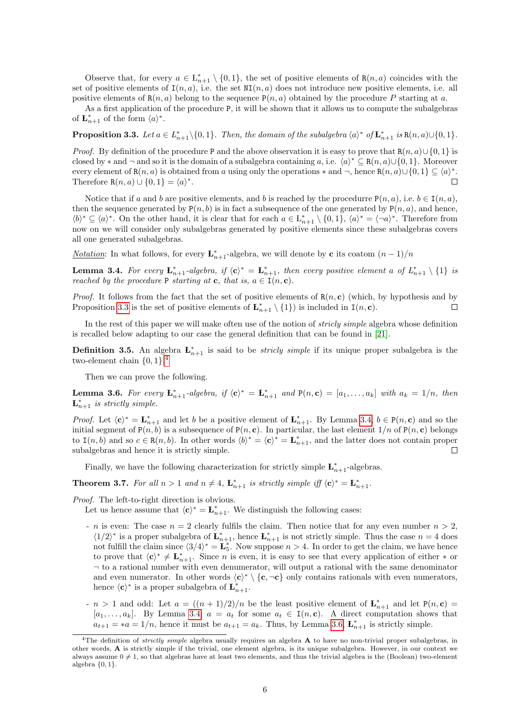Observe that, for every  $a \in L_{n+1}^* \setminus \{0,1\}$ , the set of positive elements of  $R(n, a)$  coincides with the set of positive elements of  $I(n, a)$ , i.e. the set  $NI(n, a)$  does not introduce new positive elements, i.e. all positive elements of  $R(n, a)$  belong to the sequence  $P(n, a)$  obtained by the procedure P starting at a.

As a first application of the procedure P, it will be shown that it allows us to compute the subalgebras of  $\mathbf{L}_{n+1}^*$  of the form  $\langle a \rangle^*$ .

<span id="page-5-0"></span>**Proposition 3.3.** Let  $a \in L_{n+1}^* \setminus \{0, 1\}$ . Then, the domain of the subalgebra  $\langle a \rangle^*$  of  $\mathbf{L}_{n+1}^*$  is  $\mathbf{R}(n, a) \cup \{0, 1\}$ .

*Proof.* By definition of the procedure P and the above observation it is easy to prove that  $R(n, a) \cup \{0, 1\}$  is closed by  $*$  and  $\neg$  and so it is the domain of a subalgebra containing a, i.e.  $\langle a \rangle^* \subseteq R(n, a) \cup \{0, 1\}$ . Moreover every element of  $R(n, a)$  is obtained from a using only the operations  $*$  and  $\neg$ , hence  $R(n, a) \cup \{0, 1\} \subseteq \langle a \rangle^*$ . Therefore R $(n, a) \cup \{0, 1\} = \langle a \rangle^*$ .

Notice that if a and b are positive elements, and b is reached by the procedurre  $P(n, a)$ , i.e.  $b \in I(n, a)$ , then the sequence generated by  $P(n, b)$  is in fact a subsequence of the one generated by  $P(n, a)$ , and hence,  $\langle b \rangle^* \subseteq \langle a \rangle^*$ . On the other hand, it is clear that for each  $a \in L_{n+1}^* \setminus \{0,1\}$ ,  $\langle a \rangle^* = \langle \neg a \rangle^*$ . Therefore from now on we will consider only subalgebras generated by positive elements since these subalgebras covers all one generated subalgebras.

*Notation*: In what follows, for every  $\mathbf{L}_{n+1}^*$ -algebra, we will denote by **c** its coatom  $(n-1)/n$ 

<span id="page-5-2"></span>**Lemma 3.4.** For every  $\mathbf{L}_{n+1}^*$ -algebra, if  $\langle \mathbf{c} \rangle^* = \mathbf{L}_{n+1}^*$ , then every positive element a of  $L_{n+1}^* \setminus \{1\}$  is reached by the procedure P starting at c, that is,  $a \in I(n, c)$ .

*Proof.* It follows from the fact that the set of positive elements of  $R(n, c)$  (which, by hypothesis and by Proposition [3.3](#page-5-0) is the set of positive elements of  $\mathbf{L}_{n+1}^* \setminus \{1\}$  is included in  $\mathbf{I}(n, \mathbf{c})$ .  $\Box$ 

In the rest of this paper we will make often use of the notion of *stricly simple* algebra whose definition is recalled below adapting to our case the general definition that can be found in [\[21\]](#page-29-14).

<span id="page-5-4"></span>**Definition 3.5.** An algebra  $\mathbf{L}_{n+1}^*$  is said to be *stricly simple* if its unique proper subalgebra is the two-element chain  $\{0, 1\}$ .<sup>[4](#page-5-1)</sup>

Then we can prove the following.

<span id="page-5-3"></span>**Lemma 3.6.** For every  $\mathbf{L}_{n+1}^*$ -algebra, if  $\langle \mathbf{c} \rangle^* = \mathbf{L}_{n+1}^*$  and  $P(n, \mathbf{c}) = [a_1, \ldots, a_k]$  with  $a_k = 1/n$ , then  $\mathbf{L}_{n+1}^*$  is strictly simple.

*Proof.* Let  $\langle c \rangle^* = \mathbf{L}_{n+1}^*$  and let b be a positive element of  $\mathbf{L}_{n+1}^*$ . By Lemma [3.4,](#page-5-2)  $b \in P(n, c)$  and so the initial segment of  $P(n, b)$  is a subsequence of  $P(n, c)$ . In particular, the last element  $1/n$  of  $P(n, c)$  belongs to  $I(n, b)$  and so  $c \in R(n, b)$ . In other words  $\langle b \rangle^* = \langle c \rangle^* = \mathbf{L}_{n+1}^*$ , and the latter does not contain proper subalgebras and hence it is strictly simple.  $\Box$ 

Finally, we have the following characterization for strictly simple  $\mathbf{L}_{n+1}^*$ -algebras.

<span id="page-5-5"></span>**Theorem 3.7.** For all  $n > 1$  and  $n \neq 4$ ,  $\mathbf{L}_{n+1}^{*}$  is strictly simple iff  $\langle c \rangle^{*} = \mathbf{L}_{n+1}^{*}$ .

Proof. The left-to-right direction is obvious.

Let us hence assume that  $\langle \mathbf{c} \rangle^* = \mathbf{L}_{n+1}^*$ . We distinguish the following cases:

- n is even: The case  $n = 2$  clearly fulfils the claim. Then notice that for any even number  $n > 2$ ,  $\langle 1/2 \rangle^*$  is a proper subalgebra of  $\mathbf{L}_{n+1}^*$ , hence  $\mathbf{L}_{n+1}^*$  is not strictly simple. Thus the case  $n = 4$  does not fulfill the claim since  $\langle 3/4 \rangle^* = \mathbf{L}_5^*$ . Now suppose  $n > 4$ . In order to get the claim, we have hence to prove that  $\langle c \rangle^* \neq \mathbf{L}_{n+1}^*$ . Since *n* is even, it is easy to see that every application of either  $*$  or  $\neg$  to a rational number with even denumerator, will output a rational with the same denominator and even numerator. In other words  $\langle c \rangle^* \setminus \{c, \neg c\}$  only contains rationals with even numerators, hence  $\langle \mathbf{c} \rangle^*$  is a proper subalgebra of  $\mathbf{L}_{n+1}^*$ .
- $n > 1$  and odd: Let  $a = ((n + 1)/2)/n$  be the least positive element of  $\mathbf{L}_{n+1}^*$  and let  $P(n, c)$ [a<sub>1</sub>, ..., a<sub>k</sub>]. By Lemma [3.4,](#page-5-2)  $a = a_t$  for some  $a_t \in I(n, c)$ . A direct computation shows that  $a_{t+1} = *a = 1/n$ , hence it must be  $a_{t+1} = a_k$ . Thus, by Lemma [3.6,](#page-5-3)  $\mathbf{L}_{n+1}^*$  is strictly simple.

<span id="page-5-1"></span><sup>&</sup>lt;sup>4</sup>The definition of *strictly simple* algebra usually requires an algebra  $\bf{A}$  to have no non-trivial proper subalgebras, in other words, A is strictly simple if the trivial, one element algebra, is its unique subalgebra. However, in our context we always assume  $0 \neq 1$ , so that algebras have at least two elements, and thus the trivial algebra is the (Boolean) two-element algebra  $\{0,1\}.$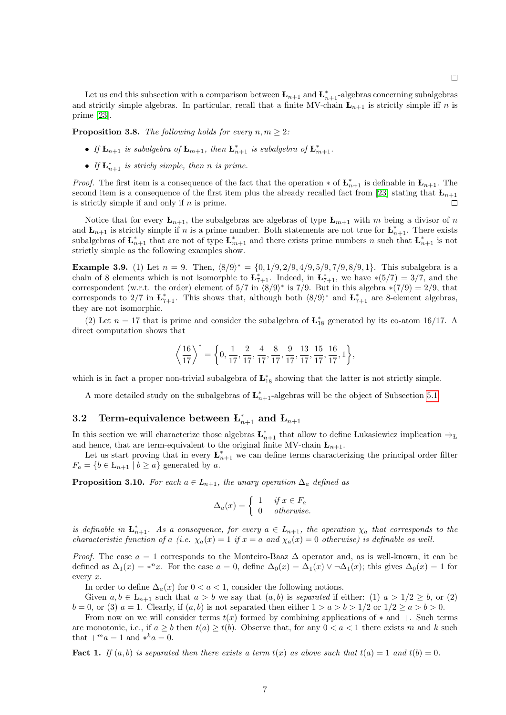Let us end this subsection with a comparison between  $\mathbf{L}_{n+1}$  and  $\mathbf{L}_{n+1}^*$ -algebras concerning subalgebras and strictly simple algebras. In particular, recall that a finite MV-chain  $L_{n+1}$  is strictly simple iff n is prime [\[23\]](#page-29-10).

<span id="page-6-2"></span>**Proposition 3.8.** The following holds for every  $n, m \geq 2$ :

- If  $\mathbf{L}_{n+1}$  is subalgebra of  $\mathbf{L}_{m+1}$ , then  $\mathbf{L}_{n+1}^*$  is subalgebra of  $\mathbf{L}_{m+1}^*$ .
- If  $\mathbf{L}_{n+1}^{*}$  is stricly simple, then n is prime.

*Proof.* The first item is a consequence of the fact that the operation  $*$  of  $\mathbf{L}_{n+1}^*$  is definable in  $\mathbf{L}_{n+1}$ . The second item is a consequence of the first item plus the already recalled fact from [\[23\]](#page-29-10) stating that  $L_{n+1}$ is strictly simple if and only if  $n$  is prime.  $\Box$ 

Notice that for every  $L_{n+1}$ , the subalgebras are algebras of type  $L_{m+1}$  with m being a divisor of n and  $\mathbf{L}_{n+1}$  is strictly simple if n is a prime number. Both statements are not true for  $\mathbf{L}_{n+1}^*$ . There exists subalgebras of  $\mathbf{L}_{n+1}^*$  that are not of type  $\mathbf{L}_{m+1}^*$  and there exists prime numbers n such that  $\mathbf{L}_{n+1}^*$  is not strictly simple as the following examples show.

<span id="page-6-3"></span>**Example 3.9.** (1) Let  $n = 9$ . Then,  $\langle 8/9 \rangle^* = \{0, 1/9, 2/9, 4/9, 5/9, 7/9, 8/9, 1\}$ . This subalgebra is a chain of 8 elements which is not isomorphic to  $\mathbf{L}_{7+1}^*$ . Indeed, in  $\mathbf{L}_{7+1}^*$ , we have  $*(5/7) = 3/7$ , and the correspondent (w.r.t. the order) element of  $5/7$  in  $\langle 8/9 \rangle^*$  is 7/9. But in this algebra  $*(7/9) = 2/9$ , that corresponds to 2/7 in  $\mathbf{L}_{7+1}^*$ . This shows that, although both  $\langle 8/9 \rangle^*$  and  $\mathbf{L}_{7+1}^*$  are 8-element algebras, they are not isomorphic.

(2) Let  $n = 17$  that is prime and consider the subalgebra of  $\mathbf{L}_{18}^{*}$  generated by its co-atom 16/17. A direct computation shows that

$$
\left\langle \frac{16}{17} \right\rangle^* = \left\{ 0, \frac{1}{17}, \frac{2}{17}, \frac{4}{17}, \frac{8}{17}, \frac{9}{17}, \frac{13}{17}, \frac{15}{17}, \frac{16}{17}, 1 \right\}\!,
$$

which is in fact a proper non-trivial subalgebra of  $\mathbf{L}_{18}^*$  showing that the latter is not strictly simple.

A more detailed study on the subalgebras of  $\mathbf{L}_{n+1}^*$ -algebras will be the object of Subsection [5.1.](#page-20-1)

## <span id="page-6-0"></span>3.2 Term-equivalence between  $\mathbf{L}_{n+1}^*$  and  $\mathbf{L}_{n+1}$

In this section we will characterize those algebras  $\mathbf{L}_{n+1}^*$  that allow to define Lukasiewicz implication  $\Rightarrow_L$ and hence, that are term-equivalent to the original finite MV-chain  $L_{n+1}$ .

Let us start proving that in every  $\mathbf{L}_{n+1}^*$  we can define terms characterizing the principal order filter  $F_a = \{b \in \mathcal{L}_{n+1} \mid b \ge a\}$  generated by a.

<span id="page-6-1"></span>**Proposition 3.10.** For each  $a \in L_{n+1}$ , the unary operation  $\Delta_a$  defined as

$$
\Delta_a(x) = \begin{cases} 1 & \text{if } x \in F_a \\ 0 & \text{otherwise.} \end{cases}
$$

is definable in  $\mathbf{L}_{n+1}^*$ . As a consequence, for every  $a \in L_{n+1}$ , the operation  $\chi_a$  that corresponds to the characteristic function of a (i.e.  $\chi_a(x) = 1$  if  $x = a$  and  $\chi_a(x) = 0$  otherwise) is definable as well.

*Proof.* The case  $a = 1$  corresponds to the Monteiro-Baaz  $\Delta$  operator and, as is well-known, it can be defined as  $\Delta_1(x) = *^nx$ . For the case  $a = 0$ , define  $\Delta_0(x) = \Delta_1(x) \vee \Delta_1(x)$ ; this gives  $\Delta_0(x) = 1$  for every x.

In order to define  $\Delta_a(x)$  for  $0 < a < 1$ , consider the following notions.

Given  $a, b \in L_{n+1}$  such that  $a > b$  we say that  $(a, b)$  is separated if either: (1)  $a > 1/2 \ge b$ , or (2)  $b = 0$ , or (3)  $a = 1$ . Clearly, if  $(a, b)$  is not separated then either  $1 > a > b > 1/2$  or  $1/2 \ge a > b > 0$ .

From now on we will consider terms  $t(x)$  formed by combining applications of  $*$  and  $+$ . Such terms are monotonic, i.e., if  $a \geq b$  then  $t(a) \geq t(b)$ . Observe that, for any  $0 < a < 1$  there exists m and k such that  $+m_a = 1$  and  $*^k a = 0$ .

**Fact 1.** If  $(a, b)$  is separated then there exists a term  $t(x)$  as above such that  $t(a) = 1$  and  $t(b) = 0$ .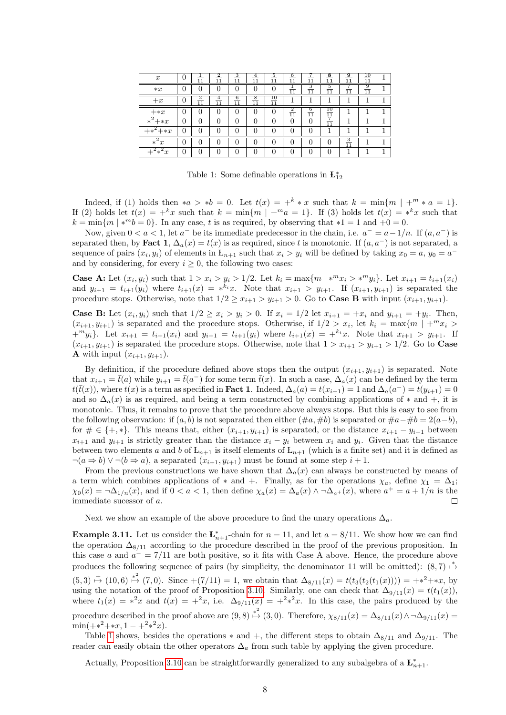| $\boldsymbol{x}$           | U | 11      | 2<br>11 | 3<br>$\overline{11}$ | 4<br>11  | 5<br>11 | 6<br>11 | 11      | 8<br>11  | 9<br>11      | ıΰ<br>11 |  |
|----------------------------|---|---------|---------|----------------------|----------|---------|---------|---------|----------|--------------|----------|--|
| $*x$                       | 0 | C       |         | 0                    |          | 0       | 11      | з<br>11 | 5<br>1.1 | 11           | 9<br>11  |  |
| $+x$                       | U | 2<br>11 | 11      | 6<br>11              | 8<br>11  | ю<br>11 |         |         |          |              |          |  |
| $+ \ast x$                 | O | 0       | 0       | 0                    | 0        | 0       | 2<br>11 | 6<br>11 | .U<br>11 |              |          |  |
| $*^2$ + $*x$               | 0 | 0       |         | 0                    | $\Omega$ | O       | 0       | U       | 11       |              |          |  |
| ∠<br>$+ *^2$<br>$+ \ast x$ | O | 0       |         | $\mathbf{0}$         |          |         |         |         | ۰        |              |          |  |
| $\overline{X^2x}$          | 0 | 0       | 0       | 0                    | 0        | 0       | 0       |         |          | 3<br>_<br>11 |          |  |
| $x^2 *^2 x$                | 0 | 0       |         | $\mathbf{0}$         |          |         |         |         |          | ٠            |          |  |

<span id="page-7-0"></span>Table 1: Some definable operations in  ${\bf L}_{12}^*$ 

Indeed, if (1) holds then  $*a > *b = 0$ . Let  $t(x) = +^k * x$  such that  $k = \min\{m \mid +^m * a = 1\}$ . If (2) holds let  $t(x) = +kx$  such that  $k = \min\{m \mid +^m a = 1\}$ . If (3) holds let  $t(x) = *kx$  such that  $k = \min\{m \mid *^m b = 0\}.$  In any case, t is as required, by observing that  $*1 = 1$  and  $+0 = 0$ .

Now, given  $0 < a < 1$ , let  $a^-$  be its immediate predecessor in the chain, i.e.  $a^- = a - 1/n$ . If  $(a, a^-)$  is separated then, by Fact 1,  $\Delta_a(x) = t(x)$  is as required, since t is monotonic. If  $(a, a^-)$  is not separated, a sequence of pairs  $(x_i, y_i)$  of elements in  $L_{n+1}$  such that  $x_i > y_i$  will be defined by taking  $x_0 = a$ ,  $y_0 = a^{-1}$ and by considering, for every  $i \geq 0$ , the following two cases:

**Case A:** Let  $(x_i, y_i)$  such that  $1 > x_i > y_i > 1/2$ . Let  $k_i = \max\{m \mid *^m x_i > *^m y_i\}$ . Let  $x_{i+1} = t_{i+1}(x_i)$ and  $y_{i+1} = t_{i+1}(y_i)$  where  $t_{i+1}(x) = *^{k_i}x$ . Note that  $x_{i+1} > y_{i+1}$ . If  $(x_{i+1}, y_{i+1})$  is separated the procedure stops. Otherwise, note that  $1/2 \geq x_{i+1} > y_{i+1} > 0$ . Go to **Case B** with input  $(x_{i+1}, y_{i+1})$ .

**Case B:** Let  $(x_i, y_i)$  such that  $1/2 \ge x_i > y_i > 0$ . If  $x_i = 1/2$  let  $x_{i+1} = +x_i$  and  $y_{i+1} = +y_i$ . Then,  $(x_{i+1}, y_{i+1})$  is separated and the procedure stops. Otherwise, if  $1/2 > x_i$ , let  $k_i = \max\{m \mid +^m x_i >$  ${+}^m y_i$ . Let  $x_{i+1} = t_{i+1}(x_i)$  and  $y_{i+1} = t_{i+1}(y_i)$  where  $t_{i+1}(x) = +^{k_i} x$ . Note that  $x_{i+1} > y_{i+1}$ . If  $(x_{i+1}, y_{i+1})$  is separated the procedure stops. Otherwise, note that  $1 > x_{i+1} > y_{i+1} > 1/2$ . Go to **Case A** with input  $(x_{i+1}, y_{i+1})$ .

By definition, if the procedure defined above stops then the output  $(x_{i+1}, y_{i+1})$  is separated. Note that  $x_{i+1} = \bar{t}(a)$  while  $y_{i+1} = \bar{t}(a^{-})$  for some term  $\bar{t}(x)$ . In such a case,  $\Delta_a(x)$  can be defined by the term  $t(\bar{t}(x))$ , where  $t(x)$  is a term as specified in **Fact 1**. Indeed,  $\Delta_a(a) = t(x_{i+1}) = 1$  and  $\Delta_a(a^-) = t(y_{i+1}) = 0$ and so  $\Delta_a(x)$  is as required, and being a term constructed by combining applications of  $*$  and  $+$ , it is monotonic. Thus, it remains to prove that the procedure above always stops. But this is easy to see from the following observation: if  $(a, b)$  is not separated then either  $(\#a, \#b)$  is separated or  $\#a-\#b=2(a-b)$ , for  $\# \in \{+,*\}.$  This means that, either  $(x_{i+1}, y_{i+1})$  is separated, or the distance  $x_{i+1} - y_{i+1}$  between  $x_{i+1}$  and  $y_{i+1}$  is strictly greater than the distance  $x_i - y_i$  between  $x_i$  and  $y_i$ . Given that the distance between two elements a and b of  $L_{n+1}$  is itself elements of  $L_{n+1}$  (which is a finite set) and it is defined as  $\neg(a \Rightarrow b) \lor \neg(b \Rightarrow a)$ , a separated  $(x_{i+1}, y_{i+1})$  must be found at some step  $i+1$ .

From the previous constructions we have shown that  $\Delta_a(x)$  can always be constructed by means of a term which combines applications of  $*$  and  $+$ . Finally, as for the operations  $\chi_a$ , define  $\chi_1 = \Delta_1$ ;  $\chi_0(x) = \neg \Delta_{1/n}(x)$ , and if  $0 < a < 1$ , then define  $\chi_a(x) = \Delta_a(x) \wedge \neg \Delta_{a^+}(x)$ , where  $a^+ = a + 1/n$  is the immediate sucessor of a.  $\Box$ 

Next we show an example of the above procedure to find the unary operations  $\Delta_a$ .

**Example 3.11.** Let us consider the  $\mathbf{L}_{n+1}^*$ -chain for  $n = 11$ , and let  $a = 8/11$ . We show how we can find the operation  $\Delta_{8/11}$  according to the procedure described in the proof of the previous proposition. In this case a and  $a^- = 7/11$  are both positive, so it fits with Case A above. Hence, the procedure above produces the following sequence of pairs (by simplicity, the denominator 11 will be omitted):  $(8,7) \stackrel{*}{\mapsto}$  $(5,3) \stackrel{+}{\mapsto} (10,6) \stackrel{*^2}{\mapsto} (7,0)$ . Since  $+(7/11) = 1$ , we obtain that  $\Delta_{8/11}(x) = t(t_3(t_2(t_1(x)))) = +*^2+**$ , by using the notation of the proof of Proposition [3.10.](#page-6-1) Similarly, one can check that  $\Delta_{9/11}(x) = t(t_1(x))$ , where  $t_1(x) = x^2x$  and  $t(x) = x^2x$ , i.e.  $\Delta_{9/11}(x) = x^2x^2$ . In this case, the pairs produced by the procedure described in the proof above are  $(9,8) \stackrel{*}{\mapsto} (3,0)$ . Therefore,  $\chi_{8/11}(x) = \Delta_{8/11}(x) \wedge \Delta_{9/11}(x) =$  $\min(+\ast^2+\ast x, 1-\ast^2\ast^2 x).$ 

Table [1](#page-7-0) shows, besides the operations  $*$  and  $+$ , the different steps to obtain  $\Delta_{8/11}$  and  $\Delta_{9/11}$ . The reader can easily obtain the other operators  $\Delta_a$  from such table by applying the given procedure.

Actually, Proposition [3.10](#page-6-1) can be straightforwardly generalized to any subalgebra of a  $\mathbf{L}_{n+1}^*$ .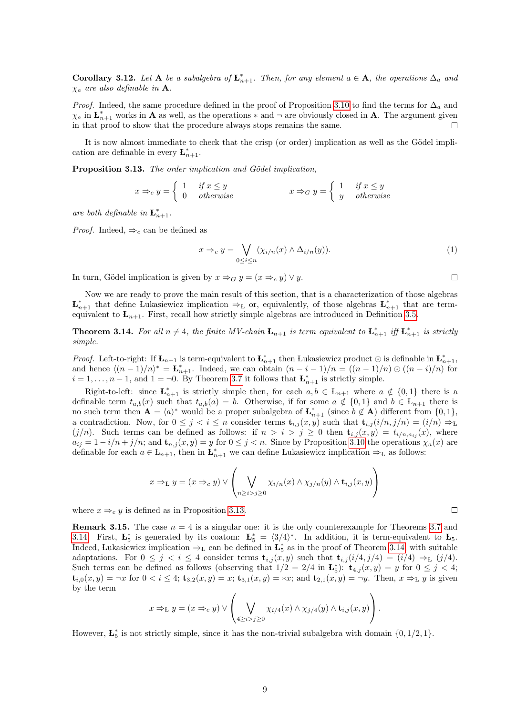**Corollary 3.12.** Let **A** be a subalgebra of  $\mathbf{L}_{n+1}^*$ . Then, for any element  $a \in \mathbf{A}$ , the operations  $\Delta_a$  and  $\chi_a$  are also definable in **A**.

*Proof.* Indeed, the same procedure defined in the proof of Proposition [3.10](#page-6-1) to find the terms for  $\Delta_a$  and  $\chi_a$  in  $\mathbf{L}_{n+1}^*$  works in **A** as well, as the operations  $*$  and  $\neg$  are obviously closed in **A**. The argument given in that proof to show that the procedure always stops remains the same. П

It is now almost immediate to check that the crisp (or order) implication as well as the Gödel implication are definable in every  $\mathbf{L}_{n+1}^*$ .

<span id="page-8-0"></span>Proposition 3.13. The order implication and Gödel implication,

$$
x \Rightarrow_c y = \begin{cases} 1 & \text{if } x \le y \\ 0 & \text{otherwise} \end{cases} \qquad x \Rightarrow_G y = \begin{cases} 1 & \text{if } x \le y \\ y & \text{otherwise} \end{cases}
$$

are both definable in  $\mathbf{L}_{n+1}^*$ .

*Proof.* Indeed,  $\Rightarrow_c$  can be defined as

$$
x \Rightarrow_c y = \bigvee_{0 \leq i \leq n} (\chi_{i/n}(x) \land \Delta_{i/n}(y)). \tag{1}
$$

In turn, Gödel implication is given by  $x \Rightarrow_G y = (x \Rightarrow_c y) \vee y$ .

Now we are ready to prove the main result of this section, that is a characterization of those algebras  $\mathbf{L}_{n+1}^*$  that define Lukasiewicz implication  $\Rightarrow_L$  or, equivalently, of those algebras  $\mathbf{L}_{n+1}^*$  that are termequivalent to  $L_{n+1}$ . First, recall how strictly simple algebras are introduced in Definition [3.5.](#page-5-4)

<span id="page-8-1"></span>**Theorem 3.14.** For all  $n \neq 4$ , the finite MV-chain  $\mathbf{L}_{n+1}$  is term equivalent to  $\mathbf{L}_{n+1}^*$  iff  $\mathbf{L}_{n+1}^*$  is strictly simple.

*Proof.* Left-to-right: If  $\mathbf{L}_{n+1}$  is term-equivalent to  $\mathbf{L}_{n+1}^*$  then Lukasiewicz product  $\odot$  is definable in  $\mathbf{L}_{n+1}^*$ , and hence  $\langle (n-1)/n \rangle^* = \mathbf{L}_{n+1}^*$ . Indeed, we can obtain  $(n-i-1)/n = ((n-1)/n) \odot ((n-i)/n)$  for  $i = 1, \ldots, n-1$ , and  $1 = \neg 0$ . By Theorem [3.7](#page-5-5) it follows that  $\mathbf{L}_{n+1}^{*}$  is strictly simple.

Right-to-left: since  $\mathbf{L}_{n+1}^*$  is strictly simple then, for each  $a, b \in L_{n+1}$  where  $a \notin \{0,1\}$  there is a definable term  $t_{a,b}(x)$  such that  $t_{a,b}(a) = b$ . Otherwise, if for some  $a \notin \{0,1\}$  and  $b \in L_{n+1}$  there is no such term then  $\mathbf{A} = \langle a \rangle^*$  would be a proper subalgebra of  $\mathbf{L}_{n+1}^*$  (since  $b \notin \mathbf{A}$ ) different from  $\{0, 1\}$ , a contradiction. Now, for  $0 \leq j \leq i \leq n$  consider terms  $\mathbf{t}_{i,j}(x, y)$  such that  $\mathbf{t}_{i,j}(i/n, j/n) = (i/n) \Rightarrow_L$  $(j/n)$ . Such terms can be defined as follows: if  $n > i > j \geq 0$  then  $\mathbf{t}_{i,j}(x,y) = t_{i/n,a_{ij}}(x)$ , where  $a_{ij} = 1 - i/n + j/n$ ; and  $\mathbf{t}_{n,j}(x, y) = y$  for  $0 \leq j < n$ . Since by Proposition [3.10](#page-6-1) the operations  $\chi_a(x)$  are definable for each  $a \in L_{n+1}$ , then in  $\mathbf{L}_{n+1}^*$  we can define Lukasiewicz implication  $\Rightarrow_L$  as follows:

$$
x \Rightarrow_{\mathbf{L}} y = (x \Rightarrow_c y) \vee \left( \bigvee_{n \geq i > j \geq 0} \chi_{i/n}(x) \wedge \chi_{j/n}(y) \wedge \mathbf{t}_{i,j}(x, y) \right)
$$

where  $x \Rightarrow_c y$  is defined as in Proposition [3.13.](#page-8-0)

**Remark 3.15.** The case  $n = 4$  is a singular one: it is the only counterexample for Theorems [3.7](#page-5-5) and [3.14.](#page-8-1) First,  $\mathbf{L}_{5}^{*}$  is generated by its coatom:  $\mathbf{L}_{5}^{*} = \langle 3/4 \rangle^{*}$ . In addition, it is term-equivalent to  $\mathbf{L}_{5}$ . Indeed, Lukasiewicz implication  $\Rightarrow_L$  can be defined in  $\mathbf{L}_5^*$  as in the proof of Theorem [3.14,](#page-8-1) with suitable adaptations. For  $0 \leq j \leq i \leq 4$  consider terms  $\mathbf{t}_{i,j}(x,y)$  such that  $\mathbf{t}_{i,j}(i/4,j/4) = (i/4) \Rightarrow_L (j/4)$ . Such terms can be defined as follows (observing that  $1/2 = 2/4$  in  $\mathbf{L}_5^*$ ):  $\mathbf{t}_{4,j}(x,y) = y$  for  $0 \le j \le 4$ ;  $t_{i,0}(x,y) = \neg x$  for  $0 < i \leq 4$ ;  $t_{3,2}(x,y) = x$ ;  $t_{3,1}(x,y) = x$ ; and  $t_{2,1}(x,y) = \neg y$ . Then,  $x \Rightarrow_L y$  is given by the term

$$
x \Rightarrow_{\mathbf{L}} y = (x \Rightarrow_c y) \vee \left( \bigvee_{4 \geq i > j \geq 0} \chi_{i/4}(x) \wedge \chi_{j/4}(y) \wedge \mathbf{t}_{i,j}(x,y) \right).
$$

However,  $\mathbf{L}_5^*$  is not strictly simple, since it has the non-trivial subalgebra with domain  $\{0, 1/2, 1\}$ .

 $\Box$ 

 $\Box$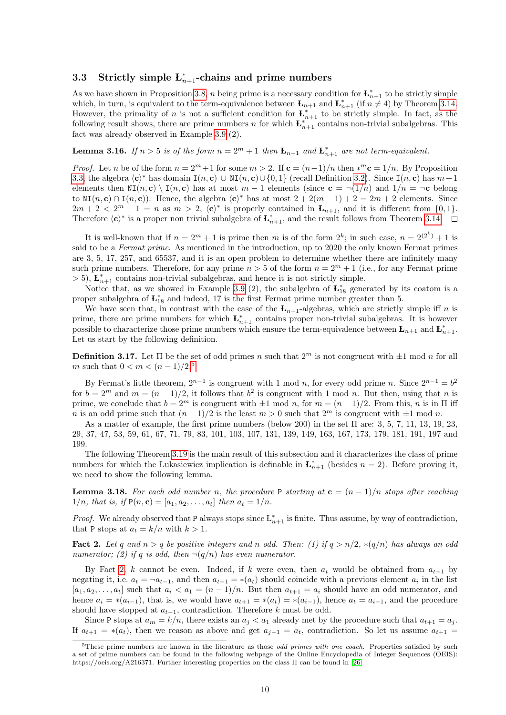## <span id="page-9-0"></span>3.3 Strictly simple  $L_{n+1}^*$ -chains and prime numbers

As we have shown in Proposition [3.8,](#page-6-2) *n* being prime is a necessary condition for  $\mathbf{L}_{n+1}^{*}$  to be strictly simple which, in turn, is equivalent to the term-equivalence between  $\mathbf{L}_{n+1}$  and  $\mathbf{L}_{n+1}^*$  (if  $n \neq 4$ ) by Theorem [3.14.](#page-8-1) However, the primality of n is not a sufficient condition for  $\mathbf{L}_{n+1}^*$  to be strictly simple. In fact, as the following result shows, there are prime numbers n for which  $\mathbf{L}_{n+1}^{*}$  contains non-trivial subalgebras. This fact was already observed in Example [3.9](#page-6-3) (2).

### <span id="page-9-4"></span>**Lemma 3.16.** If  $n > 5$  is of the form  $n = 2^m + 1$  then  $\mathbf{L}_{n+1}$  and  $\mathbf{L}_{n+1}^*$  are not term-equivalent.

*Proof.* Let n be of the form  $n = 2^m + 1$  for some  $m > 2$ . If  $\mathbf{c} = (n-1)/n$  then  $*^m \mathbf{c} = 1/n$ . By Proposition [3.3,](#page-5-0) the algebra  $\langle c \rangle^*$  has domain  $I(n, c) \cup NI(n, c) \cup \{0, 1\}$  (recall Definition [3.2\)](#page-4-2). Since  $I(n, c)$  has  $m+1$ elements then  $N(I(n, c) \setminus I(n, c)$  has at most  $m - 1$  elements (since  $c = \neg(1/n)$  and  $1/n = \neg c$  belong to  $\text{NI}(n, \mathbf{c}) \cap \text{I}(n, \mathbf{c})$ ). Hence, the algebra  $\langle \mathbf{c} \rangle^*$  has at most  $2 + 2(m - 1) + 2 = 2m + 2$  elements. Since  $2m + 2 < 2<sup>m</sup> + 1 = n$  as  $m > 2$ ,  $\langle c \rangle^*$  is properly contained in  $\mathbf{L}_{n+1}$ , and it is different from  $\{0, 1\}$ . Therefore  $\langle c \rangle^*$  is a proper non trivial subalgebra of  $\mathbf{L}_{n+1}^*$ , and the result follows from Theorem [3.14.](#page-8-1)

It is well-known that if  $n = 2^m + 1$  is prime then m is of the form  $2^k$ ; in such case,  $n = 2^{(2^k)} + 1$  is said to be a Fermat prime. As mentioned in the introduction, up to 2020 the only known Fermat primes are 3, 5, 17, 257, and 65537, and it is an open problem to determine whether there are infinitely many such prime numbers. Therefore, for any prime  $n > 5$  of the form  $n = 2<sup>m</sup> + 1$  (i.e., for any Fermat prime  $>$  5),  $\mathbf{L}_{n+1}^*$  contains non-trivial subalgebras, and hence it is not strictly simple.

Notice that, as we showed in Example [3.9](#page-6-3) (2), the subalgebra of  $\mathbf{L}_{18}^*$  generated by its coatom is a proper subalgebra of  $\mathbf{L}_{18}^*$  and indeed, 17 is the first Fermat prime number greater than 5.

We have seen that, in contrast with the case of the  $L_{n+1}$ -algebras, which are strictly simple iff n is prime, there are prime numbers for which  $\mathbf{L}_{n+1}^*$  contains proper non-trivial subalgebras. It is however possible to characterize those prime numbers which ensure the term-equivalence between  $\mathbf{L}_{n+1}$  and  $\mathbf{L}_{n+1}^*$ . Let us start by the following definition.

<span id="page-9-5"></span>**Definition 3.17.** Let  $\Pi$  be the set of odd primes n such that  $2^m$  is not congruent with  $\pm 1$  mod n for all m such that  $0 < m < (n-1)/2$ .<sup>[5](#page-9-1)</sup>

By Fermat's little theorem,  $2^{n-1}$  is congruent with 1 mod n, for every odd prime n. Since  $2^{n-1} = b^2$ for  $b = 2^m$  and  $m = (n-1)/2$ , it follows that  $b^2$  is congruent with 1 mod n. But then, using that n is prime, we conclude that  $b = 2^m$  is congruent with  $\pm 1 \mod n$ , for  $m = (n-1)/2$ . From this, n is in  $\Pi$  iff n is an odd prime such that  $(n-1)/2$  is the least  $m > 0$  such that  $2^m$  is congruent with  $\pm 1$  mod n.

As a matter of example, the first prime numbers (below 200) in the set  $\Pi$  are: 3, 5, 7, 11, 13, 19, 23, 29, 37, 47, 53, 59, 61, 67, 71, 79, 83, 101, 103, 107, 131, 139, 149, 163, 167, 173, 179, 181, 191, 197 and 199.

The following Theorem [3.19](#page-10-1) is the main result of this subsection and it characterizes the class of prime numbers for which the Lukasiewicz implication is definable in  $\mathbf{L}_{n+1}^*$  (besides  $n = 2$ ). Before proving it, we need to show the following lemma.

<span id="page-9-3"></span>**Lemma 3.18.** For each odd number n, the procedure P starting at  $c = (n-1)/n$  stops after reaching  $1/n$ , that is, if  $P(n, c) = [a_1, a_2, \ldots, a_t]$  then  $a_t = 1/n$ .

*Proof.* We already observed that P always stops since  $L_{n+1}^*$  is finite. Thus assume, by way of contradiction, that P stops at  $a_t = k/n$  with  $k > 1$ .

<span id="page-9-2"></span>Fact 2. Let q and  $n > q$  be positive integers and n odd. Then: (1) if  $q > n/2$ ,  $\ast(q/n)$  has always an odd numerator; (2) if q is odd, then  $\neg(q/n)$  has even numerator.

By Fact [2,](#page-9-2) k cannot be even. Indeed, if k were even, then  $a_t$  would be obtained from  $a_{t-1}$  by negating it, i.e.  $a_t = \neg a_{t-1}$ , and then  $a_{t+1} = \ast(a_t)$  should coincide with a previous element  $a_i$  in the list  $[a_1, a_2, \ldots, a_t]$  such that  $a_i < a_1 = (n-1)/n$ . But then  $a_{t+1} = a_i$  should have an odd numerator, and hence  $a_i = * (a_{i-1})$ , that is, we would have  $a_{t+1} = * (a_t) = * (a_{i-1})$ , hence  $a_t = a_{i-1}$ , and the procedure should have stopped at  $a_{t-1}$ , contradiction. Therefore k must be odd.

Since P stops at  $a_m = k/n$ , there exists an  $a_i < a_1$  already met by the procedure such that  $a_{t+1} = a_i$ . If  $a_{t+1} = * (a_t)$ , then we reason as above and get  $a_{i-1} = a_t$ , contradiction. So let us assume  $a_{t+1} =$ 

<span id="page-9-1"></span> $5$ These prime numbers are known in the literature as those *odd primes with one coach*. Properties satisfied by such a set of prime numbers can be found in the following webpage of the Online Encyclopedia of Integer Sequences (OEIS): https://oeis.org/A216371. Further interesting properties on the class Π can be found in [\[26\]](#page-30-1)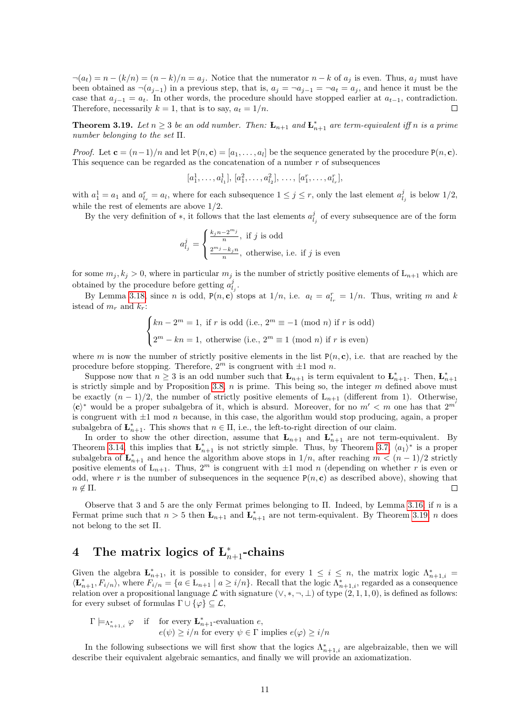$\neg(a_t) = n - (k/n) = (n - k)/n = a_j$ . Notice that the numerator  $n - k$  of  $a_j$  is even. Thus,  $a_j$  must have been obtained as  $\neg(a_{j-1})$  in a previous step, that is,  $a_j = \neg a_{j-1} = \neg a_t = a_j$ , and hence it must be the case that  $a_{i-1} = a_t$ . In other words, the procedure should have stopped earlier at  $a_{t-1}$ , contradiction. Therefore, necessarily  $k = 1$ , that is to say,  $a_t = 1/n$ .  $\Box$ 

<span id="page-10-1"></span>**Theorem 3.19.** Let  $n \geq 3$  be an odd number. Then:  $\mathbf{L}_{n+1}$  and  $\mathbf{L}_{n+1}^*$  are term-equivalent iff n is a prime number belonging to the set Π.

*Proof.* Let  $\mathbf{c} = (n-1)/n$  and let  $P(n, \mathbf{c}) = [a_1, \ldots, a_l]$  be the sequence generated by the procedure  $P(n, \mathbf{c})$ . This sequence can be regarded as the concatenation of a number  $r$  of subsequences

 $[a_1^1, \ldots, a_{l_1}^1], [a_1^2, \ldots, a_{l_2}^2], \ldots, [a_1^r, \ldots, a_{l_r}^r],$ 

with  $a_1^1 = a_1$  and  $a_{l_r}^r = a_l$ , where for each subsequence  $1 \leq j \leq r$ , only the last element  $a_{l_j}^j$  is below  $1/2$ , while the rest of elements are above 1/2.

By the very definition of  $*$ , it follows that the last elements  $a_{l_j}^j$  of every subsequence are of the form

$$
a_{l_j}^j = \begin{cases} \frac{k_j n - 2^{m_j}}{n}, & \text{if } j \text{ is odd} \\ \frac{2^{m_j} - k_j n}{n}, & \text{otherwise, i.e. if } j \text{ is even} \end{cases}
$$

for some  $m_j, k_j > 0$ , where in particular  $m_j$  is the number of strictly positive elements of  $L_{n+1}$  which are obtained by the procedure before getting  $a_{l_j}^j$ .

By Lemma [3.18,](#page-9-3) since *n* is odd,  $P(n, c)$  stops at  $1/n$ , i.e.  $a_l = a_{l_r}^r = 1/n$ . Thus, writing *m* and *k* istead of  $m_r$  and  $k_r$ :

$$
\begin{cases} kn - 2^m = 1, \text{ if } r \text{ is odd (i.e., } 2^m \equiv -1 \pmod{n} \text{ if } r \text{ is odd})\\ 2^m - kn = 1, \text{ otherwise (i.e., } 2^m \equiv 1 \pmod{n} \text{ if } r \text{ is even}) \end{cases}
$$

where m is now the number of strictly positive elements in the list  $P(n, c)$ , i.e. that are reached by the procedure before stopping. Therefore,  $2^m$  is congruent with  $\pm 1$  mod n.

Suppose now that  $n \geq 3$  is an odd number such that  $\mathbf{L}_{n+1}$  is term equivalent to  $\mathbf{L}_{n+1}^*$ . Then,  $\mathbf{L}_{n+1}^*$ is strictly simple and by Proposition [3.8,](#page-6-2)  $n$  is prime. This being so, the integer  $m$  defined above must be exactly  $(n-1)/2$ , the number of strictly positive elements of  $L_{n+1}$  (different from 1). Otherwise,  $\langle c \rangle^*$  would be a proper subalgebra of it, which is absurd. Moreover, for no  $m' < m$  one has that  $2^{m'}$ is congruent with  $\pm 1$  mod *n* because, in this case, the algorithm would stop producing, again, a proper subalgebra of  $\mathbf{L}_{n+1}^*$ . This shows that  $n \in \Pi$ , i.e., the left-to-right direction of our claim.

In order to show the other direction, assume that  $\mathbf{L}_{n+1}$  and  $\mathbf{L}_{n+1}^*$  are not term-equivalent. By Theorem [3.14,](#page-8-1) this implies that  $\mathbf{L}_{n+1}^*$  is not strictly simple. Thus, by Theorem [3.7,](#page-5-5)  $\langle a_1 \rangle^*$  is a proper subalgebra of  $\mathbf{L}_{n+1}^*$  and hence the algorithm above stops in  $1/n$ , after reaching  $m < (n-1)/2$  strictly positive elements of  $L_{n+1}$ . Thus,  $2^m$  is congruent with  $\pm 1$  mod n (depending on whether r is even or odd, where r is the number of subsequences in the sequence  $P(n, c)$  as described above), showing that  $n \notin \Pi$ .

Observe that 3 and 5 are the only Fermat primes belonging to Π. Indeed, by Lemma [3.16,](#page-9-4) if n is a Fermat prime such that  $n > 5$  then  $\mathbf{L}_{n+1}$  and  $\mathbf{L}_{n+1}^*$  are not term-equivalent. By Theorem [3.19,](#page-10-1) n does not belong to the set Π.

# <span id="page-10-0"></span>4 The matrix logics of  $\mathbf{L}_{n+1}^*$ -chains

Given the algebra  $\mathbf{L}_{n+1}^*$ , it is possible to consider, for every  $1 \leq i \leq n$ , the matrix logic  $\Lambda_{n+1,i}^* =$  $\langle \mathbf{L}_{n+1}^*, F_{i/n} \rangle$ , where  $F_{i/n} = \{a \in \mathbf{L}_{n+1} \mid a \ge i/n\}$ . Recall that the logic  $\Lambda_{n+1,i}^*$ , regarded as a consequence relation over a propositional language  $\mathcal L$  with signature  $(\vee, \ast, \neg, \bot)$  of type  $(2, 1, 1, 0)$ , is defined as follows: for every subset of formulas  $\Gamma \cup \{\varphi\} \subseteq \mathcal{L}$ ,

$$
\Gamma \models_{\Lambda_{n+1,i}^*} \varphi \quad \text{if} \quad \text{for every } \mathbf{L}_{n+1}^* \text{-evaluation } e,
$$

$$
e(\psi) \ge i/n \text{ for every } \psi \in \Gamma \text{ implies } e(\varphi) \ge i/n
$$

In the following subsections we will first show that the logics  $\Lambda_{n+1,i}^*$  are algebraizable, then we will describe their equivalent algebraic semantics, and finally we will provide an axiomatization.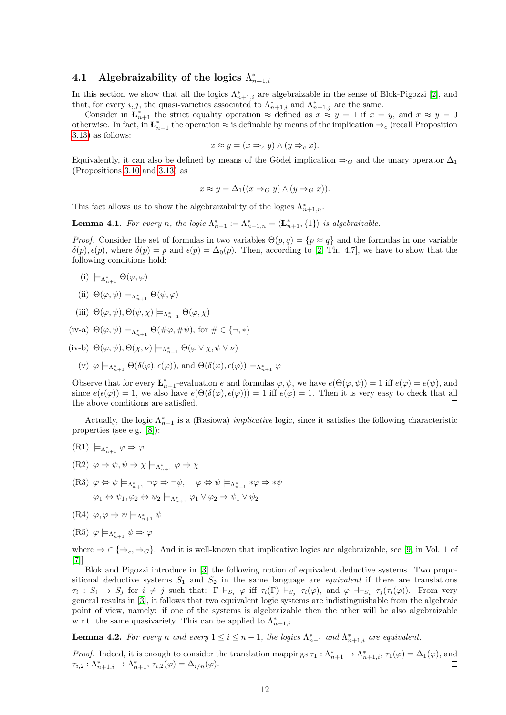## <span id="page-11-0"></span>4.1 Algebraizability of the logics  $\Lambda^*_{n+1,i}$

In this section we show that all the logics  $\Lambda_{n+1,i}^*$  are algebraizable in the sense of Blok-Pigozzi [\[2\]](#page-28-3), and that, for every *i*, *j*, the quasi-varieties associated to  $\Lambda_{n+1,i}^*$  and  $\Lambda_{n+1,j}^*$  are the same.

Consider in  $\mathbf{L}_{n+1}^*$  the strict equality operation  $\approx$  defined as  $x \approx y = 1$  if  $x = y$ , and  $x \approx y = 0$ otherwise. In fact, in  $\mathbf{L}_{n+1}^*$  the operation  $\approx$  is definable by means of the implication  $\Rightarrow_c$  (recall Proposition [3.13\)](#page-8-0) as follows:

$$
x \approx y = (x \Rightarrow_c y) \land (y \Rightarrow_c x).
$$

Equivalently, it can also be defined by means of the Gödel implication  $\Rightarrow_G$  and the unary operator  $\Delta_1$ (Propositions [3.10](#page-6-1) and [3.13\)](#page-8-0) as

$$
x \approx y = \Delta_1((x \Rightarrow_G y) \land (y \Rightarrow_G x)).
$$

This fact allows us to show the algebraizability of the logics  $\Lambda_{n+1,n}^*$ .

<span id="page-11-1"></span>**Lemma 4.1.** For every n, the logic  $\Lambda_{n+1}^* := \Lambda_{n+1,n}^* = \langle \mathbf{L}_{n+1}^*, \{1\} \rangle$  is algebraizable.

*Proof.* Consider the set of formulas in two variables  $\Theta(p,q) = \{p \approx q\}$  and the formulas in one variable  $\delta(p), \epsilon(p)$ , where  $\delta(p) = p$  and  $\epsilon(p) = \Delta_0(p)$ . Then, according to [\[2,](#page-28-3) Th. 4.7], we have to show that the following conditions hold:

- (i)  $\models_{\Lambda_{n+1}^*} \Theta(\varphi, \varphi)$
- (ii)  $\Theta(\varphi, \psi) \models_{\Lambda_{n+1}^*} \Theta(\psi, \varphi)$
- (iii)  $\Theta(\varphi, \psi), \Theta(\psi, \chi) \models_{\Lambda_{n+1}^*} \Theta(\varphi, \chi)$

(iv-a)  $\Theta(\varphi, \psi) \models_{\Lambda_{n+1}^*} \Theta(\#\varphi, \#\psi)$ , for  $\#\in \{\neg, *\}$ 

(iv-b)  $\Theta(\varphi, \psi), \Theta(\chi, \nu) \models_{\Lambda_{n+1}^*} \Theta(\varphi \vee \chi, \psi \vee \nu)$ 

(v)  $\varphi \models_{\Lambda_{n+1}^*} \Theta(\delta(\varphi), \epsilon(\varphi))$ , and  $\Theta(\delta(\varphi), \epsilon(\varphi)) \models_{\Lambda_{n+1}^*} \varphi$ 

Observe that for every  $\mathbf{L}_{n+1}^*$ -evaluation e and formulas  $\varphi, \psi$ , we have  $e(\Theta(\varphi, \psi)) = 1$  iff  $e(\varphi) = e(\psi)$ , and since  $e(\epsilon(\varphi)) = 1$ , we also have  $e(\Theta(\delta(\varphi), \epsilon(\varphi))) = 1$  iff  $e(\varphi) = 1$ . Then it is very easy to check that all the above conditions are satisfied.  $\Box$ 

Actually, the logic  $\Lambda_{n+1}^*$  is a (Rasiowa) *implicative* logic, since it satisfies the following characteristic properties (see e.g. [\[8\]](#page-29-15)):

$$
(R1) \models_{\Lambda_{n+1}^*} \varphi \Rightarrow \varphi
$$

- $(R2) \varphi \Rightarrow \psi, \psi \Rightarrow \chi \models_{\Lambda_{n+1}^*} \varphi \Rightarrow \chi$
- $(R3) \varphi \Leftrightarrow \psi \models_{\Lambda_{n+1}^*} \neg \varphi \Rightarrow \neg \psi, \quad \varphi \Leftrightarrow \psi \models_{\Lambda_{n+1}^*} * \varphi \Rightarrow * \psi$  $\varphi_1 \Leftrightarrow \psi_1, \varphi_2 \Leftrightarrow \psi_2 \models_{\Lambda_{n+1}^*} \varphi_1 \lor \varphi_2 \Rightarrow \psi_1 \lor \psi_2$
- (R4)  $\varphi, \varphi \Rightarrow \psi \models_{\Lambda_{n+1}^*} \psi$
- $(R5) \varphi \models_{\Lambda_{n+1}^*} \psi \Rightarrow \varphi$

where  $\Rightarrow \in \{\Rightarrow_c, \Rightarrow_G\}$ . And it is well-known that implicative logics are algebraizable, see [\[9,](#page-29-16) in Vol. 1 of [\[7\]](#page-29-0)].

Blok and Pigozzi introduce in [\[3\]](#page-28-4) the following notion of equivalent deductive systems. Two propositional deductive systems  $S_1$  and  $S_2$  in the same language are *equivalent* if there are translations  $\tau_i: S_i \to S_j$  for  $i \neq j$  such that:  $\Gamma \vdash_{S_i} \varphi$  iff  $\tau_i(\Gamma) \vdash_{S_j} \tau_i(\varphi)$ , and  $\varphi \dashv_{S_i} \tau_j(\tau_i(\varphi))$ . From very general results in [\[3\]](#page-28-4), it follows that two equivalent logic systems are indistinguishable from the algebraic point of view, namely: if one of the systems is algebraizable then the other will be also algebraizable w.r.t. the same quasivariety. This can be applied to  $\Lambda_{n+1,i}^*$ .

<span id="page-11-2"></span>**Lemma 4.2.** For every n and every  $1 \leq i \leq n-1$ , the logics  $\Lambda_{n+1}^*$  and  $\Lambda_{n+1,i}^*$  are equivalent.

*Proof.* Indeed, it is enough to consider the translation mappings  $\tau_1 : \Lambda_{n+1}^* \to \Lambda_{n+1,i}^*$ ,  $\tau_1(\varphi) = \Delta_1(\varphi)$ , and  $\tau_{i,2} : \Lambda_{n+1,i}^* \to \Lambda_{n+1}^*, \tau_{i,2}(\varphi) = \Delta_{i/n}(\varphi).$  $\Box$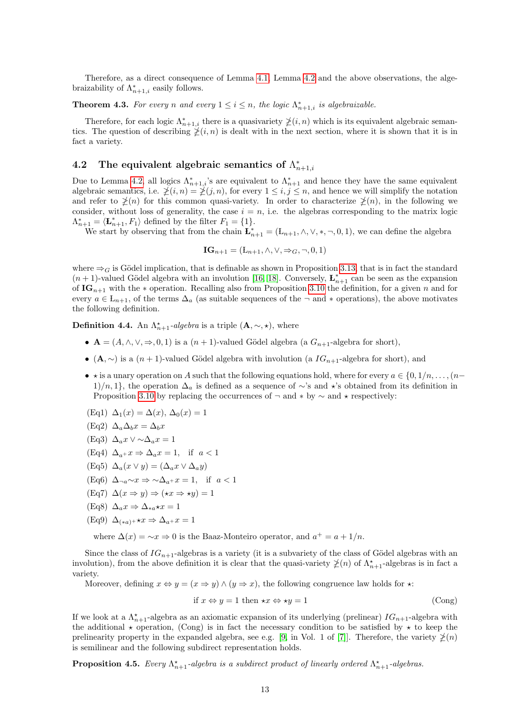Therefore, as a direct consequence of Lemma [4.1,](#page-11-1) Lemma [4.2](#page-11-2) and the above observations, the algebraizability of  $\Lambda_{n+1,i}^*$  easily follows.

**Theorem 4.3.** For every n and every  $1 \leq i \leq n$ , the logic  $\Lambda_{n+1,i}^*$  is algebraizable.

Therefore, for each logic  $\Lambda_{n+1,i}^*$  there is a quasivariety  $\ngeq(i, n)$  which is its equivalent algebraic semantics. The question of describing  $\chi(i, n)$  is dealt with in the next section, where it is shown that it is in fact a variety.

## <span id="page-12-0"></span>4.2 The equivalent algebraic semantics of  $\Lambda_{n+1,i}^*$

Due to Lemma [4.2,](#page-11-2) all logics  $\Lambda_{n+1,i}^*$ 's are equivalent to  $\Lambda_{n+1}^*$  and hence they have the same equivalent algebraic semantics, i.e.  $\neq (i, n) = \neq (j, n)$ , for every  $1 \leq i, j \leq n$ , and hence we will simplify the notation and refer to  $\not\geq(n)$  for this common quasi-variety. In order to characterize  $\not\geq(n)$ , in the following we consider, without loss of generality, the case  $i = n$ , i.e. the algebras corresponding to the matrix logic  $\Lambda_{n+1}^* = \langle \mathbf{L}_{n+1}^*, F_1 \rangle$  defined by the filter  $F_1 = \{1\}.$ 

We start by observing that from the chain  $\mathbf{L}_{n+1}^* = (\mathbf{L}_{n+1}, \wedge, \vee, *, \neg, 0, 1)$ , we can define the algebra

 $\mathbf{IG}_{n+1} = (\mathbf{L}_{n+1}, \wedge, \vee, \Rightarrow_G, \neg, 0, 1)$ 

where  $\Rightarrow_G$  is Gödel implication, that is definable as shown in Proposition [3.13,](#page-8-0) that is in fact the standard  $(n+1)$ -valued Gödel algebra with an involution [\[16,](#page-29-12) [18\]](#page-29-13). Conversely,  $\mathbf{L}_{n+1}^{*}$  can be seen as the expansion of  $IG_{n+1}$  with the  $*$  operation. Recalling also from Proposition [3.10](#page-6-1) the definition, for a given n and for every  $a \in L_{n+1}$ , of the terms  $\Delta_a$  (as suitable sequences of the  $\neg$  and  $*$  operations), the above motivates the following definition.

<span id="page-12-1"></span>**Definition 4.4.** An  $\Lambda_{n+1}^{\star}$ -algebra is a triple  $(\mathbf{A}, \sim, \star)$ , where

- $\mathbf{A} = (A, \wedge, \vee, \Rightarrow, 0, 1)$  is a  $(n + 1)$ -valued Gödel algebra  $(a G_{n+1}$ -algebra for short),
- (A,  $\sim$ ) is a  $(n+1)$ -valued Gödel algebra with involution (a  $IG_{n+1}$ -algebra for short), and
- $\star$  is a unary operation on A such that the following equations hold, where for every  $a \in \{0, 1/n, \ldots, (n-q)\}$  $1)/n, 1$ , the operation  $\Delta_a$  is defined as a sequence of ∼'s and  $\star$ 's obtained from its definition in Proposition [3.10](#page-6-1) by replacing the occurrences of  $\neg$  and  $*$  by  $\sim$  and  $*$  respectively:
- (Eq1)  $\Delta_1(x) = \Delta(x), \Delta_0(x) = 1$ (Eq2)  $\Delta_a \Delta_b x = \Delta_b x$ (Eq3)  $\Delta_a x \vee \sim \Delta_a x = 1$ (Eq4)  $\Delta_{a+} x \Rightarrow \Delta_{a} x = 1$ , if  $a < 1$ (Eq5)  $\Delta_a(x \vee y) = (\Delta_a x \vee \Delta_a y)$ (Eq6)  $\Delta_{\neg a} \sim x \Rightarrow \sim \Delta_{a+} x = 1$ , if  $a < 1$  $(Eq7)$   $\Delta(x \Rightarrow y) \Rightarrow (\star x \Rightarrow \star y) = 1$
- (Eq8)  $\Delta_a x \Rightarrow \Delta_{*a} \star x = 1$
- (Eq9)  $\Delta_{(*a)}$ + $\star x \Rightarrow \Delta_{a}$ + $x = 1$

where  $\Delta(x) = \lambda x \Rightarrow 0$  is the Baaz-Monteiro operator, and  $a^+ = a + 1/n$ .

Since the class of  $IG_{n+1}$ -algebras is a variety (it is a subvariety of the class of Gödel algebras with an involution), from the above definition it is clear that the quasi-variety  $\chi(n)$  of  $\Lambda_{n+1}^{\star}$ -algebras is in fact a variety.

Moreover, defining  $x \Leftrightarrow y = (x \Rightarrow y) \wedge (y \Rightarrow x)$ , the following congruence law holds for  $\star$ :

$$
\text{if } x \Leftrightarrow y = 1 \text{ then } \star x \Leftrightarrow \star y = 1 \tag{Cong}
$$

If we look at a  $\Lambda_{n+1}^*$ -algebra as an axiomatic expansion of its underlying (prelinear)  $IG_{n+1}$ -algebra with the additional  $\star$  operation, (Cong) is in fact the necessary condition to be satisfied by  $\star$  to keep the prelinearity property in the expanded algebra, see e.g. [\[9,](#page-29-16) in Vol. 1 of [\[7\]](#page-29-0)]. Therefore, the variety  $\dot{\gamma}(n)$ is semilinear and the following subdirect representation holds.

**Proposition 4.5.** Every  $\Lambda_{n+1}^*$ -algebra is a subdirect product of linearly ordered  $\Lambda_{n+1}^*$ -algebras.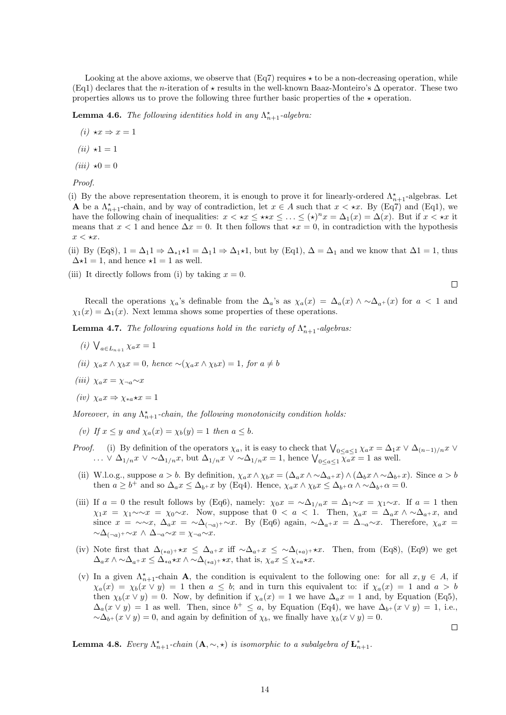Looking at the above axioms, we observe that  $(Eq7)$  requires  $\star$  to be a non-decreasing operation, while (Eq1) declares that the n-iteration of  $\star$  results in the well-known Baaz-Monteiro's  $\Delta$  operator. These two properties allows us to prove the following three further basic properties of the  $\star$  operation.

**Lemma 4.6.** The following identities hold in any  $\Lambda_{n+1}^{\star}$ -algebra:

$$
(i) \star x \Rightarrow x = 1
$$

$$
(ii) \star 1 = 1
$$

$$
(iii) \star 0 = 0
$$

Proof.

(i) By the above representation theorem, it is enough to prove it for linearly-ordered  $\Lambda_{n+1}^*$ -algebras. Let **A** be a  $\Lambda_{n+1}^*$ -chain, and by way of contradiction, let  $x \in A$  such that  $x \lt \star x$ . By (Eq7) and (Eq1), we have the following chain of inequalities:  $x < \star x \leq \star x \leq ... \leq (\star)^n x = \Delta_1(x) = \Delta(x)$ . But if  $x < \star x$  it means that  $x < 1$  and hence  $\Delta x = 0$ . It then follows that  $\star x = 0$ , in contradiction with the hypothesis  $x < \star x$ .

(ii) By (Eq8),  $1 = \Delta_1 1 \Rightarrow \Delta_{*1} \star 1 = \Delta_1 1 \Rightarrow \Delta_1 \star 1$ , but by (Eq1),  $\Delta = \Delta_1$  and we know that  $\Delta 1 = 1$ , thus  $\Delta \star 1 = 1$ , and hence  $\star 1 = 1$  as well.

(iii) It directly follows from (i) by taking  $x = 0$ .

$$
\Box
$$

 $\Box$ 

Recall the operations  $\chi_a$ 's definable from the  $\Delta_a$ 's as  $\chi_a(x) = \Delta_a(x) \wedge \sim \Delta_{a+}(x)$  for  $a < 1$  and  $\chi_1(x) = \Delta_1(x)$ . Next lemma shows some properties of these operations.

<span id="page-13-0"></span>**Lemma 4.7.** The following equations hold in the variety of  $\Lambda_{n+1}^{\star}$ -algebras:

- (*i*)  $\bigvee_{a \in L_{n+1}} \chi_a x = 1$
- (ii)  $\chi_a x \wedge \chi_b x = 0$ , hence  $\sim (\chi_a x \wedge \chi_b x) = 1$ , for  $a \neq b$
- (iii)  $\chi_a x = \chi_{\neg a} \sim x$

$$
(iv) \ \chi_a x \Rightarrow \chi_{*a} \star x = 1
$$

Moreover, in any  $\Lambda_{n+1}^*$ -chain, the following monotonicity condition holds:

- (v) If  $x \leq y$  and  $\chi_a(x) = \chi_b(y) = 1$  then  $a \leq b$ .
- *Proof.* (i) By definition of the operators  $\chi_a$ , it is easy to check that  $\bigvee_{0 \leq a \leq 1} \chi_a x = \Delta_1 x \vee \Delta_{(n-1)/n} x \vee \Delta_{(n-1)/n} x$ ... ∨  $\Delta_{1/n} x \vee \Delta_{1/n} x$ , but  $\Delta_{1/n} x \vee \Delta_{1/n} x = 1$ , hence  $\bigvee_{0 \leq a \leq 1} \overline{\chi_a x} = 1$  as well.
- (ii) W.l.o.g., suppose  $a > b$ . By definition,  $\chi_a x \wedge \chi_b x = (\Delta_a x \wedge \Delta_{a^+} x) \wedge (\Delta_b x \wedge \Delta_{b^+} x)$ . Since  $a > b$ then  $a \geq b^+$  and so  $\Delta_a x \leq \Delta_{b^+} x$  by (Eq4). Hence,  $\chi_a x \wedge \chi_b x \leq \Delta_{b^+} \alpha \wedge \Delta_{b^+} \alpha = 0$ .
- (iii) If  $a = 0$  the result follows by (Eq6), namely:  $\chi_0 x = \sim \Delta_{1/n} x = \Delta_1 \sim x = \chi_1 \sim x$ . If  $a = 1$  then  $\chi_1x = \chi_1 \sim x = \chi_0 \sim x$ . Now, suppose that  $0 < a < 1$ . Then,  $\chi_a x = \Delta_a x \wedge \sim \Delta_{a+} x$ , and since  $x = \sim x$ ,  $\Delta_a x = \sim \Delta_{(-a)^+} \sim x$ . By (Eq6) again,  $\sim \Delta_{a^+} x = \Delta_{\neg a} \sim x$ . Therefore,  $\chi_a x =$  $\sim \Delta_{(-a)^+} \sim x \wedge \Delta_{\neg a} \sim x = \chi_{\neg a} \sim x$
- (iv) Note first that  $\Delta_{(*a)^+} \star x \leq \Delta_{a^+} x$  iff  $\sim \Delta_{a^+} x \leq \Delta_{(*a)^+} \star x$ . Then, from (Eq8), (Eq9) we get  $\Delta_a x \wedge \Delta_{a^+} x \leq \Delta_{*a} \star x \wedge \Delta_{(*a)^+} \star x$ , that is,  $\chi_a x \leq \chi_{*a} \star x$ .
- (v) In a given  $\Lambda_{n+1}^*$ -chain **A**, the condition is equivalent to the following one: for all  $x, y \in A$ , if  $\chi_a(x) = \chi_b(x \vee y) = 1$  then  $a \leq b$ ; and in turn this equivalent to: if  $\chi_a(x) = 1$  and  $a > b$ then  $\chi_b(x \vee y) = 0$ . Now, by definition if  $\chi_a(x) = 1$  we have  $\Delta_a x = 1$  and, by Equation (Eq5),  $\Delta_a(x \vee y) = 1$  as well. Then, since  $b^+ \leq a$ , by Equation (Eq4), we have  $\Delta_{b^+}(x \vee y) = 1$ , i.e.,  $\sim \Delta_{b+}(x \vee y) = 0$ , and again by definition of  $\chi_b$ , we finally have  $\chi_b(x \vee y) = 0$ .

**Lemma 4.8.** Every  $\Lambda_{n+1}^*$ -chain  $(A, \sim, \star)$  is isomorphic to a subalgebra of  $\mathbf{L}_{n+1}^*$ .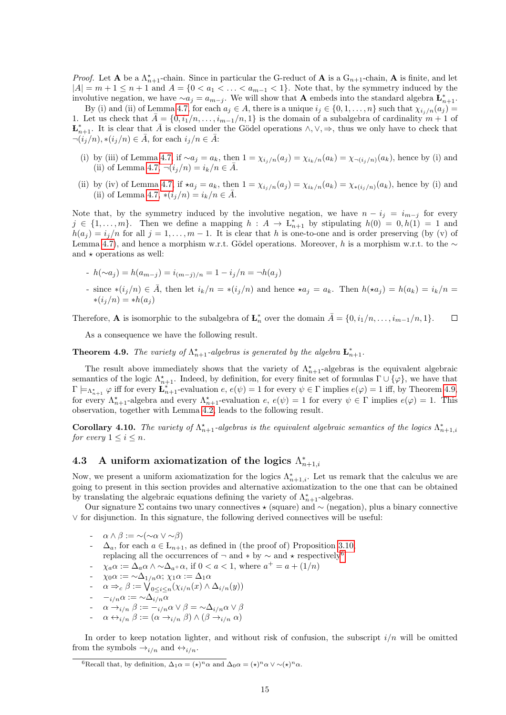*Proof.* Let **A** be a  $\Lambda_{n+1}^*$ -chain. Since in particular the G-reduct of **A** is a  $G_{n+1}$ -chain, **A** is finite, and let  $|A| = m + 1 \leq n + 1$  and  $A = \{0 < a_1 < \ldots < a_{m-1} < 1\}$ . Note that, by the symmetry induced by the involutive negation, we have  $\sim a_j = a_{m-j}$ . We will show that **A** embeds into the standard algebra  $\mathbf{L}_{n+1}^*$ .

By (i) and (ii) of Lemma [4.7,](#page-13-0) for each  $a_j \in A$ , there is a unique  $i_j \in \{0, 1, \ldots, n\}$  such that  $\chi_{i_j/n}(a_j)$ 1. Let us check that  $\overline{A} = \{0, i_1/n, \ldots, i_{m-1}/n, 1\}$  is the domain of a subalgebra of cardinality  $m + 1$  of  $\mathbf{L}_{n+1}^*$ . It is clear that  $\overline{A}$  is closed under the Gödel operations  $\wedge, \vee, \Rightarrow$ , thus we only have to check that  $\neg(i_j/n), \ast(i_j/n) \in \overline{A}$ , for each  $i_j/n \in \overline{A}$ :

- (i) by (iii) of Lemma [4.7,](#page-13-0) if  $\sim a_j = a_k$ , then  $1 = \chi_{i_j/n}(a_j) = \chi_{i_k/n}(a_k) = \chi_{\neg(i_j/n)}(a_k)$ , hence by (i) and (ii) of Lemma [4.7,](#page-13-0)  $\neg(i_j/n) = i_k/n \in \overline{A}$ .
- (ii) by (iv) of Lemma [4.7,](#page-13-0) if  $\star a_j = a_k$ , then  $1 = \chi_{i_j/n}(a_j) = \chi_{i_k/n}(a_k) = \chi_{\ast(i_j/n)}(a_k)$ , hence by (i) and (ii) of Lemma [4.7,](#page-13-0)  $*(i_j/n) = i_k/n \in \bar{A}$ .

Note that, by the symmetry induced by the involutive negation, we have  $n - i_j = i_{m-j}$  for every  $j \in \{1, \ldots, m\}$ . Then we define a mapping  $h : A \to L_{n+1}^*$  by stipulating  $h(0) = 0, h(1) = 1$  and  $h(a_j) = i_j/n$  for all  $j = 1, ..., m - 1$ . It is clear that h is one-to-one and is order preserving (by (v) of Lemma [4.7\)](#page-13-0), and hence a morphism w.r.t. Gödel operations. Moreover, h is a morphism w.r.t. to the  $\sim$ and  $\star$  operations as well:

- $h(\sim a_i) = h(a_{m-i}) = i_{(m-i)/n} = 1 i_i/n = \neg h(a_i)$
- since  $*(i_j/n) \in \overline{A}$ , then let  $i_k/n = *(i_j/n)$  and hence  $*a_j = a_k$ . Then  $h(\star a_j) = h(a_k) = i_k/n =$  $*(i_i/n) = *h(a_i)$

Therefore, **A** is isomorphic to the subalgebra of  $\mathbf{L}_n^*$  over the domain  $\bar{A} = \{0, i_1/n, \ldots, i_{m-1}/n, 1\}$ .  $\Box$ 

As a consequence we have the following result.

<span id="page-14-1"></span>**Theorem 4.9.** The variety of  $\Lambda_{n+1}^*$ -algebras is generated by the algebra  $\mathbf{L}_{n+1}^*$ .

The result above immediately shows that the variety of  $\Lambda_{n+1}^*$ -algebras is the equivalent algebraic semantics of the logic  $\Lambda_{n+1}^*$ . Indeed, by definition, for every finite set of formulas  $\Gamma \cup \{\varphi\}$ , we have that  $\Gamma \models_{\Lambda_{n+1}^*} \varphi$  iff for every  $\mathbf{L}_{n+1}^*$ -evaluation  $e, e(\psi) = 1$  for every  $\psi \in \Gamma$  implies  $e(\varphi) = 1$  iff, by Theorem [4.9,](#page-14-1) for every  $\Lambda_{n+1}^*$ -algebra and every  $\Lambda_{n+1}^*$ -evaluation  $e, e(\psi) = 1$  for every  $\psi \in \Gamma$  implies  $e(\varphi) = 1$ . This observation, together with Lemma [4.2,](#page-11-2) leads to the following result.

**Corollary 4.10.** The variety of  $\Lambda_{n+1}^*$ -algebras is the equivalent algebraic semantics of the logics  $\Lambda_{n+1,i}^*$ for every  $1 \leq i \leq n$ .

## <span id="page-14-0"></span>4.3 A uniform axiomatization of the logics  $\Lambda_{n+1,i}^*$

Now, we present a uniform axiomatization for the logics  $\Lambda_{n+1,i}^*$ . Let us remark that the calculus we are going to present in this section provides and alternative axiomatization to the one that can be obtained by translating the algebraic equations defining the variety of  $\Lambda_{n+1}^*$ -algebras.

Our signature Σ contains two unary connectives  $\star$  (square) and ∼ (negation), plus a binary connective ∨ for disjunction. In this signature, the following derived connectives will be useful:

- $\alpha \wedge \beta := \neg(\neg \alpha \vee \neg \beta)$
- $\Delta_a$ , for each  $a \in L_{n+1}$ , as defined in (the proof of) Proposition [3.10,](#page-6-1)
- replacing all the occurrences of  $\neg$  and  $*$  by  $\sim$  and  $*$  respectively<sup>[6](#page-14-2)</sup>
- $-\chi_a\alpha := \Delta_a\alpha \wedge \Delta_{a^+}\alpha$ , if  $0 < a < 1$ , where  $a^+ = a + (1/n)$
- $\chi_0 \alpha := \sim \! \Delta_{1/n} \alpha; \, \chi_1 \alpha := \Delta_1 \alpha$

- 
$$
\alpha \Rightarrow_c \beta := \bigvee_{0 \leq i \leq n} (\chi_{i/n}(x) \wedge \Delta_{i/n}(y))
$$

$$
\text{-} \quad -_{i/n} \alpha := \text{min} \alpha
$$

- $\alpha \rightarrow_{i/n} \beta := -_{i/n} \alpha \vee \beta = \n\sim \Delta_{i/n} \alpha \vee \beta$
- $\alpha \leftrightarrow i/n$   $\beta := (\alpha \rightarrow i/n \beta) \wedge (\beta \rightarrow i/n \alpha)$

In order to keep notation lighter, and without risk of confusion, the subscript  $i/n$  will be omitted from the symbols  $\rightarrow_{i/n}$  and  $\leftrightarrow_{i/n}$ .

<span id="page-14-2"></span><sup>&</sup>lt;sup>6</sup>Recall that, by definition,  $\Delta_1 \alpha = (\star)^n \alpha$  and  $\Delta_0 \alpha = (\star)^n \alpha \vee \sim (\star)^n \alpha$ .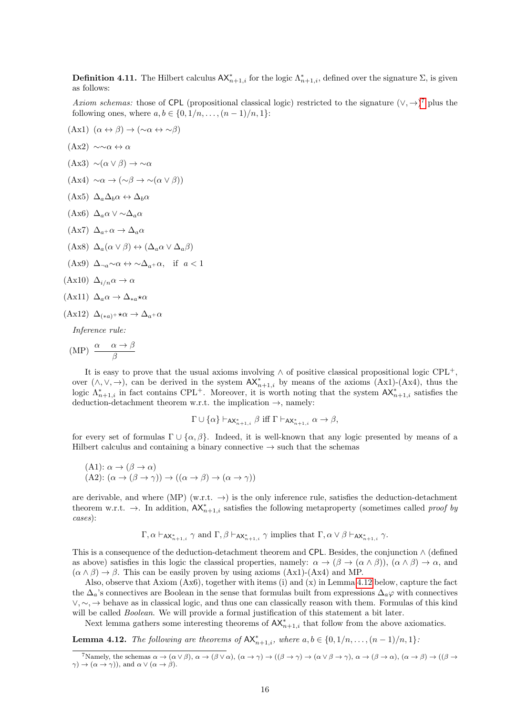<span id="page-15-2"></span>**Definition 4.11.** The Hilbert calculus  $AX_{n+1,i}^*$  for the logic  $\Lambda_{n+1,i}^*$ , defined over the signature  $\Sigma$ , is given as follows:

Axiom schemas: those of CPL (propositional classical logic) restricted to the signature  $(\vee, \rightarrow)^7$  $(\vee, \rightarrow)^7$  plus the following ones, where  $a, b \in \{0, 1/n, ..., (n-1)/n, 1\}$ :

- $(Ax1)$   $(\alpha \leftrightarrow \beta) \rightarrow (\sim \alpha \leftrightarrow \sim \beta)$
- $(Ax2) \sim \alpha \leftrightarrow \alpha$
- $(Ax3) \sim (\alpha \vee \beta) \rightarrow \sim \alpha$
- $(Ax4) \sim \alpha \rightarrow (\sim \beta \rightarrow \sim (\alpha \vee \beta))$
- $(Ax5) \Delta_a \Delta_b \alpha \leftrightarrow \Delta_b \alpha$
- (Ax6)  $\Delta_a \alpha \vee \sim \Delta_a \alpha$
- $(\text{Ax7}) \ \Delta_{a+} \alpha \rightarrow \Delta_a \alpha$
- $(\text{Ax8}) \Delta_a(\alpha \vee \beta) \leftrightarrow (\Delta_a \alpha \vee \Delta_a \beta)$
- (Ax9)  $\Delta_{\neg a} \sim \alpha \leftrightarrow \sim \Delta_{a} + \alpha$ , if  $a < 1$
- $(Ax10)$   $\Delta_{i/n}\alpha \rightarrow \alpha$

$$
(\mathbf{Ax11}) \ \Delta_a \alpha \to \Delta_{*a} \star \alpha
$$

 $(Ax12) \Delta_{(*a)+} \star \alpha \rightarrow \Delta_{a+} \alpha$ 

Inference rule:

$$
(MP) \ \frac{\alpha \quad \alpha \to \beta}{\beta}
$$

It is easy to prove that the usual axioms involving  $\land$  of positive classical propositional logic CPL<sup>+</sup>, over  $(\wedge, \vee, \rightarrow)$ , can be derived in the system  $AX_{n+1,i}^*$  by means of the axioms  $(Ax1)-(Ax4)$ , thus the logic  $\Lambda_{n+1,i}^*$  in fact contains CPL<sup>+</sup>. Moreover, it is worth noting that the system  $AX_{n+1,i}^*$  satisfies the deduction-detachment theorem w.r.t. the implication  $\rightarrow$ , namely:

$$
\Gamma \cup \{\alpha\} \vdash_{{\sf AX}^*_{n+1,i}} \beta \text{ iff } \Gamma \vdash_{{\sf AX}^*_{n+1,i}} \alpha \to \beta,
$$

for every set of formulas  $\Gamma \cup \{\alpha, \beta\}$ . Indeed, it is well-known that any logic presented by means of a Hilbert calculus and containing a binary connective  $\rightarrow$  such that the schemas

(A1): 
$$
\alpha \to (\beta \to \alpha)
$$
  
(A2):  $(\alpha \to (\beta \to \gamma)) \to ((\alpha \to \beta) \to (\alpha \to \gamma))$ 

are derivable, and where (MP) (w.r.t.  $\rightarrow$ ) is the only inference rule, satisfies the deduction-detachment theorem w.r.t.  $\rightarrow$ . In addition,  $AX_{n+1,i}^*$  satisfies the following metaproperty (sometimes called proof by cases):

$$
\Gamma, \alpha \vdash_{AX_{n+1,i}^*} \gamma
$$
 and  $\Gamma, \beta \vdash_{AX_{n+1,i}^*} \gamma$  implies that  $\Gamma, \alpha \lor \beta \vdash_{AX_{n+1,i}^*} \gamma$ .

This is a consequence of the deduction-detachment theorem and CPL. Besides, the conjunction ∧ (defined as above) satisfies in this logic the classical properties, namely:  $\alpha \to (\beta \to (\alpha \land \beta))$ ,  $(\alpha \land \beta) \to \alpha$ , and  $(\alpha \wedge \beta) \rightarrow \beta$ . This can be easily proven by using axioms  $(Ax1)-(Ax4)$  and MP.

Also, observe that Axiom (Ax6), together with items (i) and (x) in Lemma [4.12](#page-15-1) below, capture the fact the  $\Delta_a$ 's connectives are Boolean in the sense that formulas built from expressions  $\Delta_a\varphi$  with connectives ∨, ∼, → behave as in classical logic, and thus one can classically reason with them. Formulas of this kind will be called *Boolean*. We will provide a formal justification of this statement a bit later.

Next lemma gathers some interesting theorems of  $AX_{n+1,i}^*$  that follow from the above axiomatics.

<span id="page-15-1"></span>**Lemma 4.12.** The following are theorems of  $AX_{n+1,i}^*$ , where  $a, b \in \{0, 1/n, \ldots, (n-1)/n, 1\}$ .

<span id="page-15-0"></span><sup>&</sup>lt;sup>7</sup>Namely, the schemas  $\alpha \to (\alpha \lor \beta), \alpha \to (\beta \lor \alpha), (\alpha \to \gamma) \to ((\beta \to \gamma) \to (\alpha \lor \beta \to \gamma), \alpha \to (\beta \to \alpha), (\alpha \to \beta) \to ((\beta \to \gamma) \to (\alpha \lor \beta \to \gamma))$  $\gamma$ )  $\rightarrow$  ( $\alpha \rightarrow \gamma$ )), and  $\alpha \vee (\alpha \rightarrow \beta)$ .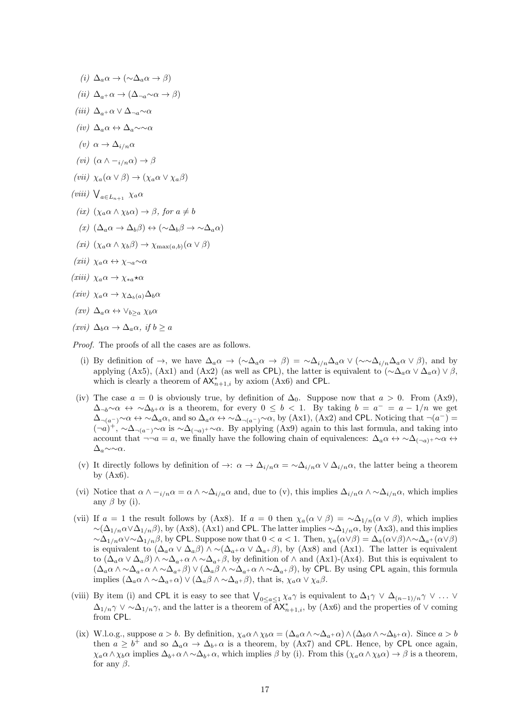- (i)  $\Delta_a \alpha \rightarrow (\sim \Delta_a \alpha \rightarrow \beta)$
- (ii)  $\Delta_{a^+}\alpha \to (\Delta_{\neg a} \sim \alpha \to \beta)$
- (iii)  $\Delta_{a+} \alpha \vee \Delta_{\neg a} \sim \alpha$
- (iv)  $\Delta_a \alpha \leftrightarrow \Delta_a \sim \alpha$
- (v)  $\alpha \rightarrow \Delta_{i/n} \alpha$
- (*vi*)  $(\alpha \wedge -_{i/n} \alpha) \rightarrow \beta$
- (vii)  $\chi_a(\alpha \vee \beta) \rightarrow (\chi_a \alpha \vee \chi_a \beta)$
- (viii)  $\bigvee_{a \in L_{n+1}} \chi_a \alpha$
- (ix)  $(\chi_a \alpha \wedge \chi_b \alpha) \rightarrow \beta$ , for  $a \neq b$
- $(x)$   $(\Delta_a \alpha \rightarrow \Delta_b \beta) \leftrightarrow (\sim \Delta_b \beta \rightarrow \sim \Delta_a \alpha)$
- (xi)  $(\chi_a \alpha \wedge \chi_b \beta) \rightarrow \chi_{\text{max}(a,b)}(\alpha \vee \beta)$
- $(xii) \ \chi_a \alpha \leftrightarrow \chi_{\neg a} \sim \alpha$
- $(xiii) \ \chi_a \alpha \to \chi_{*a} \star \alpha$
- $(xiv) \ \chi_a \alpha \rightarrow \chi_{\Delta_b(a)} \Delta_b \alpha$
- $(xv)$   $\Delta_a \alpha \leftrightarrow \vee_{b>a} \chi_b \alpha$
- $(xvi) \Delta_b \alpha \rightarrow \Delta_a \alpha$ , if  $b \ge a$

Proof. The proofs of all the cases are as follows.

- (i) By definition of  $\rightarrow$ , we have  $\Delta_a \alpha \rightarrow (\sim \Delta_a \alpha \rightarrow \beta) = \sim \Delta_{i/n} \Delta_a \alpha \vee (\sim \Delta_{i/n} \Delta_a \alpha \vee \beta)$ , and by applying (Ax5), (Ax1) and (Ax2) (as well as CPL), the latter is equivalent to  $(\sim \Delta_a \alpha \vee \Delta_a \alpha) \vee \beta$ , which is clearly a theorem of  $AX_{n+1,i}^*$  by axiom (Ax6) and CPL.
- (iv) The case  $a = 0$  is obviously true, by definition of  $\Delta_0$ . Suppose now that  $a > 0$ . From  $(Ax9)$ ,  $\Delta_{\neg b} \sim \alpha \leftrightarrow \sim \Delta_{b+} \alpha$  is a theorem, for every  $0 \leq b < 1$ . By taking  $b = a^- = a - 1/n$  we get  $\Delta_{\neg(a^-)} \sim \alpha \leftrightarrow \sim \Delta_a \alpha$ , and so  $\Delta_a \alpha \leftrightarrow \sim \Delta_{\neg(a^-)} \sim \alpha$ , by (Ax1), (Ax2) and CPL. Noticing that  $\neg(a^-)$  $(\neg a)^+$ ,  $\sim \Delta_{\neg(a^-)} \sim \alpha$  is  $\sim \Delta_{(\neg a)^+} \sim \alpha$ . By applying (Ax9) again to this last formula, and taking into account that  $\neg \neg a = a$ , we finally have the following chain of equivalences:  $\Delta_a \alpha \leftrightarrow \Delta_{(\neg a)^+} \sim \alpha \leftrightarrow$  $\Delta_a \sim \sim \alpha$ .
- (v) It directly follows by definition of  $\to: \alpha \to \Delta_{i/n} \alpha = \Delta_{i/n} \alpha \vee \Delta_{i/n} \alpha$ , the latter being a theorem by  $(Ax6)$ .
- (vi) Notice that  $\alpha \wedge -i/n \alpha = \alpha \wedge \alpha \Delta_{i/n} \alpha$  and, due to (v), this implies  $\Delta_{i/n} \alpha \wedge \alpha \Delta_{i/n} \alpha$ , which implies any  $\beta$  by (i).
- (vii) If  $a = 1$  the result follows by (Ax8). If  $a = 0$  then  $\chi_a(\alpha \vee \beta) = \sim \Delta_{1/n}(\alpha \vee \beta)$ , which implies  $\sim$ ( $\Delta_{1/n}\alpha\vee\Delta_{1/n}\beta$ ), by (Ax8), (Ax1) and CPL. The latter implies  $\sim$  $\Delta_{1/n}\alpha$ , by (Ax3), and this implies  $\sim \Delta_{1/n} \alpha \vee \sim \Delta_{1/n} \beta$ , by CPL. Suppose now that  $0 < a < 1$ . Then,  $\chi_a(\alpha \vee \beta) = \Delta_a(\alpha \vee \beta) \wedge \sim \Delta_{a^+}(\alpha \vee \beta)$ is equivalent to  $(\Delta_a \alpha \vee \Delta_a \beta) \wedge \neg (\Delta_{a^+} \alpha \vee \Delta_{a^+} \beta)$ , by (Ax8) and (Ax1). The latter is equivalent to  $(\Delta_a \alpha \vee \Delta_a \beta) \wedge \Delta_{a^+} \alpha \wedge \Delta_{a^+} \beta$ , by definition of  $\wedge$  and  $(Ax1)-(Ax4)$ . But this is equivalent to  $(\Delta_a \alpha \wedge \Delta_{a^+} \alpha \wedge \Delta_{a^+} \beta) \vee (\Delta_a \beta \wedge \Delta_{a^+} \alpha \wedge \Delta_{a^+} \beta)$ , by CPL. By using CPL again, this formula implies  $(\Delta_a \alpha \wedge \Delta_{a^+} \alpha) \vee (\Delta_a \beta \wedge \Delta_{a^+} \beta)$ , that is,  $\chi_a \alpha \vee \chi_a \beta$ .
- (viii) By item (i) and CPL it is easy to see that  $\bigvee_{0 \leq a \leq 1} \chi_a \gamma$  is equivalent to  $\Delta_1 \gamma \vee \Delta_{(n-1)/n} \gamma \vee \ldots \vee \gamma$  $\Delta_{1/n}\gamma \vee \sim \Delta_{1/n}\gamma$ , and the latter is a theorem of  $\overline{AX}_{n+1,i}^*$ , by (Ax6) and the properties of  $\vee$  coming from CPL.
- (ix) W.l.o.g., suppose  $a > b$ . By definition,  $\chi_a \alpha \wedge \chi_b \alpha = (\Delta_a \alpha \wedge \Delta_{a^+} \alpha) \wedge (\Delta_b \alpha \wedge \Delta_{b^+} \alpha)$ . Since  $a > b$ then  $a \ge b^+$  and so  $\Delta_a \alpha \to \Delta_{b^+} \alpha$  is a theorem, by (Ax7) and CPL. Hence, by CPL once again,  $\chi_a \alpha \wedge \chi_b \alpha$  implies  $\Delta_{b+} \alpha \wedge \Delta_{b+} \alpha$ , which implies  $\beta$  by (i). From this  $(\chi_a \alpha \wedge \chi_b \alpha) \rightarrow \beta$  is a theorem, for any  $\beta$ .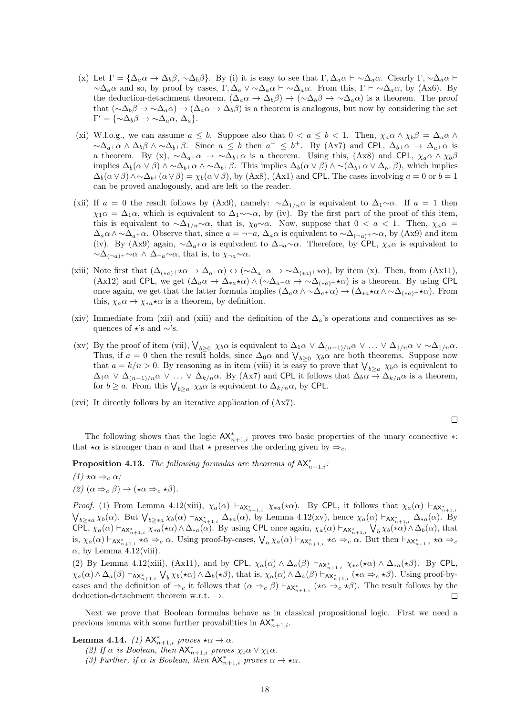- (x) Let  $\Gamma = {\Delta_a \alpha \to \Delta_b \beta, \neg \Delta_b \beta}.$  By (i) it is easy to see that  $\Gamma, \Delta_a \alpha \vdash \neg \Delta_a \alpha$ . Clearly  $\Gamma, \neg \Delta_a \alpha \vdash \Box$  $\sim \Delta_a \alpha$  and so, by proof by cases,  $\Gamma, \Delta_a \vee \sim \Delta_a \alpha \vdash \sim \Delta_a \alpha$ . From this,  $\Gamma \vdash \sim \Delta_a \alpha$ , by (Ax6). By the deduction-detachment theorem,  $(\Delta_a \alpha \rightarrow \Delta_b \beta) \rightarrow (\sim \Delta_b \beta \rightarrow \sim \Delta_a \alpha)$  is a theorem. The proof that  $({\sim}\Delta_b\beta \to {\sim}\Delta_a\alpha) \to (\Delta_a\alpha \to \Delta_b\beta)$  is a theorem is analogous, but now by considering the set  $\Gamma' = {\{\sim} \Delta_b \beta \rightarrow \sim \Delta_a \alpha, \, \Delta_a \}.$
- (xi) W.l.o.g., we can assume  $a \leq b$ . Suppose also that  $0 < a \leq b < 1$ . Then,  $\chi_a \alpha \wedge \chi_b \beta = \Delta_a \alpha \wedge \beta$  $\sim \Delta_{a}+\alpha \wedge \Delta_b \beta \wedge \sim \Delta_{b}+\beta$ . Since  $a \leq b$  then  $a^+ \leq b^+$ . By (Ax7) and CPL,  $\Delta_{b}+\alpha \rightarrow \Delta_{a}+\alpha$  is a theorem. By (x),  $\sim \Delta_{a}+\alpha \rightarrow \sim \Delta_{b}+\alpha$  is a theorem. Using this, (Ax8) and CPL,  $\chi_a \alpha \wedge \chi_b \beta$ implies  $\Delta_b(\alpha \vee \beta) \wedge \alpha \Delta_{b+1} \alpha \wedge \alpha \Delta_{b+1} \beta$ . This implies  $\Delta_b(\alpha \vee \beta) \wedge \alpha (\Delta_{b+1} \alpha \vee \alpha_{b+1} \beta)$ , which implies  $\Delta_b(\alpha \vee \beta) \wedge \alpha \Delta_{b+1}(\alpha \vee \beta) = \chi_b(\alpha \vee \beta)$ , by (Ax8), (Ax1) and CPL. The cases involving  $a = 0$  or  $b = 1$ can be proved analogously, and are left to the reader.
- (xii) If  $a = 0$  the result follows by (Ax9), namely:  $\sim \Delta_{1/n} \alpha$  is equivalent to  $\Delta_1 \sim \alpha$ . If  $a = 1$  then  $\chi_1 \alpha = \Delta_1 \alpha$ , which is equivalent to  $\Delta_1 \sim \alpha$ , by (iv). By the first part of the proof of this item, this is equivalent to  $\sim \Delta_{1/n} \sim \alpha$ , that is,  $\chi_0 \sim \alpha$ . Now, suppose that  $0 < a < 1$ . Then,  $\chi_a \alpha =$  $\Delta_a \alpha \wedge \sim \Delta_{a^+} \alpha$ . Observe that, since  $a = \neg \neg a$ ,  $\Delta_a \alpha$  is equivalent to  $\sim \Delta_{(-a)^+} \sim \alpha$ , by (Ax9) and item (iv). By (Ax9) again,  $\sim \Delta_a+\alpha$  is equivalent to  $\Delta_{\neg a}\sim \alpha$ . Therefore, by CPL,  $\chi_a\alpha$  is equivalent to  $\sim \Delta_{(-a)^+} \sim \alpha \wedge \Delta_{\neg a} \sim \alpha$ , that is, to  $\chi_{\neg a} \sim \alpha$ .
- (xiii) Note first that  $(\Delta_{(*a)^+} \star \alpha \to \Delta_{a^+} \alpha) \leftrightarrow (\sim \Delta_{a^+} \alpha \to \sim \Delta_{(*a)^+} \star \alpha)$ , by item (x). Then, from (Ax11), (Ax12) and CPL, we get  $(\Delta_a \alpha \to \Delta_{*a} \star \alpha) \wedge (\sim \Delta_{a^+} \alpha \to \sim \Delta_{(*a)^+} \star \alpha)$  is a theorem. By using CPL once again, we get that the latter formula implies  $(\Delta_a \alpha \wedge \Delta_{a^+} \alpha) \rightarrow (\Delta_{*a} \star \alpha \wedge \Delta_{(*a)^+} \star \alpha)$ . From this,  $\chi_a \alpha \to \chi_{*a} \star \alpha$  is a theorem, by definition.
- (xiv) Immediate from (xii) and (xiii) and the definition of the  $\Delta_a$ 's operations and connectives as sequences of  $\star$ 's and ∼'s.
- (xv) By the proof of item (vii),  $\bigvee_{b \geq 0} \chi_b \alpha$  is equivalent to  $\Delta_1 \alpha \vee \Delta_{(n-1)/n} \alpha \vee \ldots \vee \Delta_{1/n} \alpha \vee \sim \Delta_{1/n} \alpha$ . Thus, if  $a = 0$  then the result holds, since  $\Delta_0 \alpha$  and  $\bigvee_{b \geq 0} \chi_b \alpha$  are both theorems. Suppose now that  $a = k/n > 0$ . By reasoning as in item (viii) it is easy to prove that  $\bigvee_{b \ge a} \chi_b \alpha$  is equivalent to  $\Delta_1 \alpha \vee \Delta_{(n-1)/n} \alpha \vee \ldots \vee \Delta_{k/n} \alpha$ . By (Ax7) and CPL it follows that  $\Delta_b \alpha \to \Delta_{k/n} \alpha$  is a theorem, for  $b \ge a$ . From this  $\bigvee_{b \ge a} \chi_b \alpha$  is equivalent to  $\Delta_{k/n} \alpha$ , by CPL.
- (xvi) It directly follows by an iterative application of (Ax7).

 $\Box$ 

The following shows that the logic  $AX_{n+1,i}^*$  proves two basic properties of the unary connective ∗: that  $\star \alpha$  is stronger than  $\alpha$  and that  $\star$  preserves the ordering given by  $\Rightarrow_c$ .

**Proposition 4.13.** The following formulas are theorems of  $AX_{n+1,i}^*$ .

 $(1) \star \alpha \Rightarrow_c \alpha;$ 

(2)  $(\alpha \Rightarrow_{c} \beta) \rightarrow (\star \alpha \Rightarrow_{c} \star \beta).$ 

*Proof.* (1) From Lemma 4.12(xiii),  $\chi_a(\alpha) \vdash_{AX_{n+1,i}^*} \chi_{*a}(\star \alpha)$ . By CPL, it follows that  $\chi_a(\alpha) \vdash_{AX_n^*}$  $\bigvee_{b\geq *a} \chi_b(\alpha)$ . But  $\bigvee_{b\geq *a} \chi_b(\alpha) \vdash_{AX_{n+1,i}^*} \Delta_{*a}(\alpha)$ , by Lemma 4.12(xv), hence  $\chi_a(\alpha) \vdash_{AX_{n+1,i}^*} \Delta_{*a}(\alpha)$ . By CPL,  $\chi_a(\alpha) \vdash_{AX_{n+1,i}^*} \chi_{*a}(\star\alpha) \wedge \Delta_{*a}(\alpha)$ . By using CPL once again,  $\chi_a(\alpha) \vdash_{AX_{n+1,i}^*} \bigvee_b \chi_b(*\alpha) \wedge \Delta_b(\alpha)$ , that is,  $\chi_a(\alpha) \vdash_{AX_{n+1,i}^*} \star \alpha \Rightarrow_c \alpha$ . Using proof-by-cases,  $\bigvee_a \chi_a(\alpha) \vdash_{AX_{n+1,i}^*} \star \alpha \Rightarrow_c \alpha$ . But then  $\vdash_{AX_{n+1,i}^*} \star \alpha \Rightarrow_c$  $\alpha$ , by Lemma 4.12(viii).

(2) By Lemma 4.12(xiii), (Ax11), and by CPL,  $\chi_a(\alpha) \wedge \Delta_a(\beta) \vdash_{AX_{n+1,i}^*} \chi_{*a}(\star \alpha) \wedge \Delta_{*a}(\star \beta)$ . By CPL,  $\chi_a(\alpha) \wedge \Delta_a(\beta) \vdash_{AX_{n+1,i}^*} \bigvee_b \chi_b(\star\alpha) \wedge \Delta_b(\star\beta)$ , that is,  $\chi_a(\alpha) \wedge \Delta_a(\beta) \vdash_{AX_{n+1,i}^*} (\star\alpha \Rightarrow_c \star\beta)$ . Using proof-bycases and the definition of  $\Rightarrow_c$  it follows that  $(\alpha \Rightarrow_c \beta) \vdash_{AX_{n+1,i}^*} (\star \alpha \Rightarrow_c \star \beta)$ . The result follows by the deduction-detachment theorem w.r.t.  $\rightarrow$ .  $\Box$ 

Next we prove that Boolean formulas behave as in classical propositional logic. First we need a previous lemma with some further provabilities in  $AX^*_{n+1,i}$ .

<span id="page-17-0"></span>**Lemma 4.14.** (1)  $AX_{n+1,i}^*$  proves  $*\alpha \to \alpha$ .

- (2) If  $\alpha$  is Boolean, then  $AX_{n+1,i}^*$  proves  $\chi_0 \alpha \vee \chi_1 \alpha$ .
- (3) Further, if  $\alpha$  is Boolean, then  $AX_{n+1,i}^*$  proves  $\alpha \to \star \alpha$ .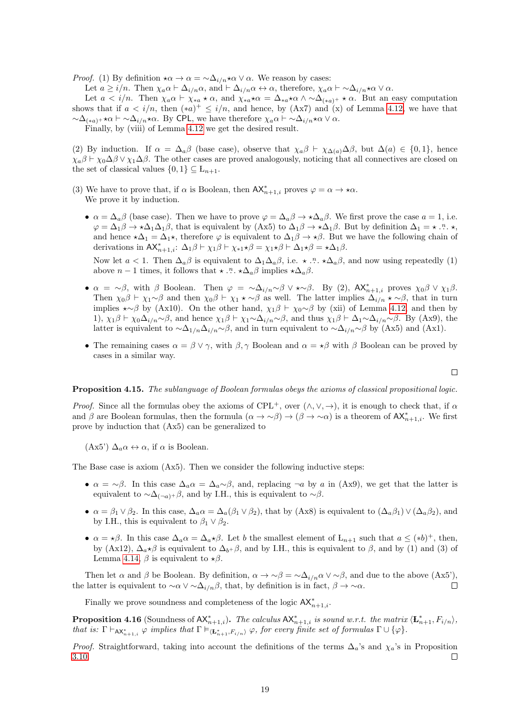*Proof.* (1) By definition  $\star \alpha \to \alpha = \sim \Delta_{i/n} \star \alpha \vee \alpha$ . We reason by cases:

Let  $a \ge i/n$ . Then  $\chi_a \alpha \vdash \Delta_{i/n} \alpha$ , and  $\vdash \Delta_{i/n} \alpha \leftrightarrow \alpha$ , therefore,  $\chi_a \alpha \vdash \neg \Delta_{i/n} \star \alpha \vee \alpha$ .

Let  $a < i/n$ . Then  $\chi_a \alpha \vdash \chi_{*a} \star \alpha$ , and  $\chi_{*a} \star \alpha = \Delta_{*a} \star \alpha \wedge \Delta_{(*a)+} \star \alpha$ . But an easy computation shows that if  $a < i/n$ , then  $(*a)^{+} \leq i/n$ , and hence, by  $(Ax7)$  and  $(x)$  of Lemma [4.12,](#page-15-1) we have that  $\sim\Delta_{(*a)^+} \star\alpha \vdash \sim\Delta_{i/n} \star\alpha$ . By CPL, we have therefore  $\chi_a\alpha \vdash \sim\Delta_{i/n} \star\alpha \vee \alpha$ .

Finally, by (viii) of Lemma [4.12](#page-15-1) we get the desired result.

(2) By induction. If  $\alpha = \Delta_a \beta$  (base case), observe that  $\chi_a \beta \vdash \chi_{\Delta(a)} \Delta \beta$ , but  $\Delta(a) \in \{0,1\}$ , hence  $\chi_a\beta \vdash \chi_0\Delta\beta \lor \chi_1\Delta\beta$ . The other cases are proved analogously, noticing that all connectives are closed on the set of classical values  $\{0,1\} \subseteq L_{n+1}$ .

- (3) We have to prove that, if  $\alpha$  is Boolean, then  $AX_{n+1,i}^*$  proves  $\varphi = \alpha \to \star \alpha$ . We prove it by induction.
	- $\alpha = \Delta_a \beta$  (base case). Then we have to prove  $\varphi = \Delta_a \beta \rightarrow \Delta_a \beta$ . We first prove the case  $a = 1$ , i.e.  $\varphi = \Delta_1 \beta \to \star \Delta_1 \Delta_1 \beta$ , that is equivalent by  $(\mathbf{A} \mathbf{x} \mathbf{5})$  to  $\Delta_1 \beta \to \star \Delta_1 \beta$ . But by definition  $\Delta_1 = \star \cdot \cdot \cdot \cdot$ . and hence  $\star\Delta_1 = \Delta_1\star$ , therefore  $\varphi$  is equivalent to  $\Delta_1\beta \to \star\beta$ . But we have the following chain of derivations in  $AX_{n+1,i}^*$ :  $\Delta_1 \beta \vdash \chi_1 \beta \vdash \chi_{*1} \star \beta = \chi_1 \star \beta \vdash \Delta_1 \star \beta = \star \Delta_1 \beta$ .

Now let  $a < 1$ . Then  $\Delta_a \beta$  is equivalent to  $\Delta_1 \Delta_a \beta$ , i.e.  $\star \cdot \cdot^n \cdot \star \Delta_a \beta$ , and now using repeatedly (1) above  $n-1$  times, it follows that  $\star \dots \star \Delta_a \beta$  implies  $\star \Delta_a \beta$ .

- $\alpha = \alpha \beta$ , with  $\beta$  Boolean. Then  $\varphi = \alpha \Delta_{i/n} \alpha \beta \vee \alpha \Delta \beta$ . By (2),  $AX_{n+1,i}^*$  proves  $\chi_0 \beta \vee \chi_1 \beta$ . Then  $\chi_0\beta \vdash \chi_1\sim\beta$  and then  $\chi_0\beta\vdash \chi_1\star\sim\beta$  as well. The latter implies  $\Delta_{i/n}\star\sim\beta$ , that in turn implies  $\star \sim \beta$  by (Ax10). On the other hand,  $\chi_1 \beta \vdash \chi_0 \sim \beta$  by (xii) of Lemma [4.12,](#page-15-1) and then by 1),  $\chi_1\beta \vdash \chi_0\Delta_{i/n} \sim \beta$ , and hence  $\chi_1\beta \vdash \chi_1 \sim \Delta_{i/n} \sim \beta$ , and thus  $\chi_1\beta \vdash \Delta_1 \sim \Delta_{i/n} \sim \beta$ . By (Ax9), the latter is equivalent to  $\sim \Delta_{1/n} \Delta_{i/n} \sim \beta$ , and in turn equivalent to  $\sim \Delta_{i/n} \sim \beta$  by (Ax5) and (Ax1).
- The remaining cases  $\alpha = \beta \vee \gamma$ , with  $\beta, \gamma$  Boolean and  $\alpha = \star \beta$  with  $\beta$  Boolean can be proved by cases in a similar way.

$$
\Box
$$

#### Proposition 4.15. The sublanguage of Boolean formulas obeys the axioms of classical propositional logic.

*Proof.* Since all the formulas obey the axioms of CPL<sup>+</sup>, over  $(\wedge, \vee, \rightarrow)$ , it is enough to check that, if  $\alpha$ and  $\beta$  are Boolean formulas, then the formula  $(\alpha \to \sim \beta) \to (\beta \to \sim \alpha)$  is a theorem of  $AX_{n+1,i}^*$ . We first prove by induction that (Ax5) can be generalized to

(Ax5')  $\Delta_a \alpha \leftrightarrow \alpha$ , if  $\alpha$  is Boolean.

The Base case is axiom (Ax5). Then we consider the following inductive steps:

- $\alpha = \alpha \beta$ . In this case  $\Delta_a \alpha = \Delta_a \alpha \beta$ , and, replacing  $\neg a$  by a in (Ax9), we get that the latter is equivalent to  $\sim \Delta_{(-a)^+} \beta$ , and by I.H., this is equivalent to  $\sim \beta$ .
- $\alpha = \beta_1 \vee \beta_2$ . In this case,  $\Delta_a \alpha = \Delta_a (\beta_1 \vee \beta_2)$ , that by (Ax8) is equivalent to  $(\Delta_a \beta_1) \vee (\Delta_a \beta_2)$ , and by I.H., this is equivalent to  $\beta_1 \vee \beta_2$ .
- $\alpha = \star \beta$ . In this case  $\Delta_a \alpha = \Delta_a \star \beta$ . Let b the smallest element of  $L_{n+1}$  such that  $a \leq (*b)^+$ , then, by (Ax12),  $\Delta_{a} \star \beta$  is equivalent to  $\Delta_{b} + \beta$ , and by I.H., this is equivalent to  $\beta$ , and by (1) and (3) of Lemma [4.14,](#page-17-0)  $\beta$  is equivalent to  $\star \beta$ .

Then let  $\alpha$  and  $\beta$  be Boolean. By definition,  $\alpha \to \gamma \beta = \gamma \Delta_{i/n} \alpha \vee \gamma \beta$ , and due to the above  $(Ax5')$ , the latter is equivalent to  $\sim \alpha \vee \sim \Delta_{i/n} \beta$ , that, by definition is in fact,  $\beta \to \infty \alpha$ .  $\Box$ 

Finally we prove soundness and completeness of the logic  $AX^*_{n+1,i}$ .

**Proposition 4.16** (Soundness of  $AX_{n+1,i}^*$ ). The calculus  $AX_{n+1,i}^*$  is sound w.r.t. the matrix  $\langle \mathbf{L}_{n+1}^*, F_{i/n} \rangle$ , that is:  $\Gamma \vdash_{AX_{n+1,i}^*} \varphi$  implies that  $\Gamma \vDash_{\langle \mathbf{L}_{n+1}^*, F_{i/n} \rangle} \varphi$ , for every finite set of formulas  $\Gamma \cup \{\varphi\}.$ 

*Proof.* Straightforward, taking into account the definitions of the terms  $\Delta_a$ 's and  $\chi_a$ 's in Proposition [3.10.](#page-6-1) П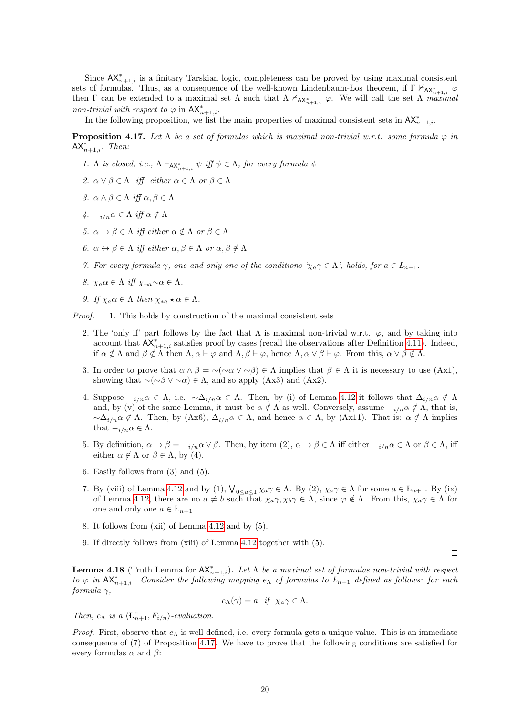Since  $AX_{n+1,i}^*$  is a finitary Tarskian logic, completeness can be proved by using maximal consistent sets of formulas. Thus, as a consequence of the well-known Lindenbaum-Los theorem, if  $\Gamma \nvdash_{AX^*_{n+1,i}} \varphi$ then  $\Gamma$  can be extended to a maximal set  $\Lambda$  such that  $\Lambda \nvdash_{AX_{n+1,i}^*} \varphi$ . We will call the set  $\Lambda$  maximal non-trivial with respect to  $\varphi$  in  $AX_{n+1,i}^*$ .

In the following proposition, we list the main properties of maximal consistent sets in  $AX_{n+1,i}^*$ .

<span id="page-19-0"></span>**Proposition 4.17.** Let  $\Lambda$  be a set of formulas which is maximal non-trivial w.r.t. some formula  $\varphi$  in  $AX_{n+1,i}^*$ . Then:

- 1. A is closed, i.e.,  $\Lambda \vdash_{AX_{n+1,i}^*} \psi \text{ iff } \psi \in \Lambda$ , for every formula  $\psi$
- 2.  $\alpha \vee \beta \in \Lambda$  iff either  $\alpha \in \Lambda$  or  $\beta \in \Lambda$
- 3.  $\alpha \wedge \beta \in \Lambda$  iff  $\alpha, \beta \in \Lambda$
- 4.  $-i/n\alpha \in \Lambda$  iff  $\alpha \notin \Lambda$
- 5.  $\alpha \to \beta \in \Lambda$  iff either  $\alpha \notin \Lambda$  or  $\beta \in \Lambda$
- 6.  $\alpha \leftrightarrow \beta \in \Lambda$  iff either  $\alpha, \beta \in \Lambda$  or  $\alpha, \beta \notin \Lambda$
- 7. For every formula  $\gamma$ , one and only one of the conditions  $\gamma_a \gamma \in \Lambda$ , holds, for  $a \in L_{n+1}$ .
- 8.  $\chi_a \alpha \in \Lambda$  iff  $\chi_{\neg a} \sim \alpha \in \Lambda$ .
- 9. If  $\chi_a \alpha \in \Lambda$  then  $\chi_{*a} \star \alpha \in \Lambda$ .

Proof. 1. This holds by construction of the maximal consistent sets

- 2. The 'only if' part follows by the fact that  $\Lambda$  is maximal non-trivial w.r.t.  $\varphi$ , and by taking into account that  $AX_{n+1,i}^*$  satisfies proof by cases (recall the observations after Definition [4.11\)](#page-15-2). Indeed, if  $\alpha \notin \Lambda$  and  $\beta \notin \Lambda$  then  $\Lambda, \alpha \vdash \varphi$  and  $\Lambda, \beta \vdash \varphi$ , hence  $\Lambda, \alpha \vee \beta \vdash \varphi$ . From this,  $\alpha \vee \beta \notin \Lambda$ .
- 3. In order to prove that  $\alpha \wedge \beta = \neg(\neg \alpha \vee \neg \beta) \in \Lambda$  implies that  $\beta \in \Lambda$  it is necessary to use (Ax1), showing that  $\sim$ (∼ $\beta \vee \sim \alpha$ ) ∈  $\Lambda$ , and so apply (Ax3) and (Ax2).
- 4. Suppose  $-i_{i/n}\alpha \in \Lambda$ , i.e.  $\alpha \Delta_{i/n}\alpha \in \Lambda$ . Then, by (i) of Lemma [4.12](#page-15-1) it follows that  $\Delta_{i/n}\alpha \notin \Lambda$ and, by (v) of the same Lemma, it must be  $\alpha \notin \Lambda$  as well. Conversely, assume  $-i/n \alpha \notin \Lambda$ , that is,  $\sim \Delta_{i/n} \alpha \notin \Lambda$ . Then, by (Ax6),  $\Delta_{i/n} \alpha \in \Lambda$ , and hence  $\alpha \in \Lambda$ , by (Ax11). That is:  $\alpha \notin \Lambda$  implies that  $-i/n \alpha \in \Lambda$ .
- 5. By definition,  $\alpha \to \beta = -i/n \alpha \vee \beta$ . Then, by item  $(2)$ ,  $\alpha \to \beta \in \Lambda$  iff either  $-i/n \alpha \in \Lambda$  or  $\beta \in \Lambda$ , iff either  $\alpha \notin \Lambda$  or  $\beta \in \Lambda$ , by (4).
- 6. Easily follows from (3) and (5).
- 7. By (viii) of Lemma [4.12](#page-15-1) and by (1),  $\bigvee_{0 \leq a \leq 1} \chi_a \gamma \in \Lambda$ . By (2),  $\chi_a \gamma \in \Lambda$  for some  $a \in L_{n+1}$ . By (ix) of Lemma [4.12,](#page-15-1) there are no  $a \neq b$  such that  $\chi_a \gamma, \chi_b \gamma \in \Lambda$ , since  $\varphi \notin \Lambda$ . From this,  $\chi_a \gamma \in \Lambda$  for one and only one  $a \in L_{n+1}$ .
- 8. It follows from (xii) of Lemma [4.12](#page-15-1) and by (5).
- 9. If directly follows from (xiii) of Lemma [4.12](#page-15-1) together with (5).

<span id="page-19-1"></span>**Lemma 4.18** (Truth Lemma for  $AX_{n+1,i}^*$ ). Let  $\Lambda$  be a maximal set of formulas non-trivial with respect to  $\varphi$  in  $AX_{n+1,i}^*$ . Consider the following mapping  $e_{\Lambda}$  of formulas to  $L_{n+1}$  defined as follows: for each formula  $\gamma$ ,

 $\Box$ 

$$
e_{\Lambda}(\gamma) = a \quad \text{if} \quad \chi_a \gamma \in \Lambda.
$$

Then,  $e_{\Lambda}$  is a  $\langle \mathbf{L}_{n+1}^*, F_{i/n} \rangle$ -evaluation.

*Proof.* First, observe that  $e_{\Lambda}$  is well-defined, i.e. every formula gets a unique value. This is an immediate consequence of (7) of Proposition [4.17.](#page-19-0) We have to prove that the following conditions are satisfied for every formulas  $\alpha$  and  $\beta$ :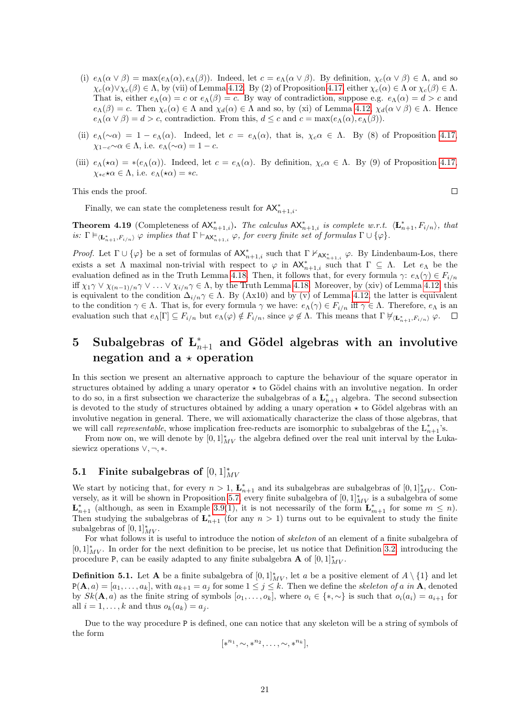- (i)  $e_\Lambda(\alpha \vee \beta) = \max(e_\Lambda(\alpha), e_\Lambda(\beta))$ . Indeed, let  $c = e_\Lambda(\alpha \vee \beta)$ . By definition,  $\chi_c(\alpha \vee \beta) \in \Lambda$ , and so  $\chi_c(\alpha)\vee\chi_c(\beta)\in\Lambda$ , by (vii) of Lemma [4.12.](#page-15-1) By (2) of Proposition [4.17,](#page-19-0) either  $\chi_c(\alpha)\in\Lambda$  or  $\chi_c(\beta)\in\Lambda$ . That is, either  $e_\Lambda(\alpha) = c$  or  $e_\Lambda(\beta) = c$ . By way of contradiction, suppose e.g.  $e_\Lambda(\alpha) = d > c$  and  $e_\Lambda(\beta) = c$ . Then  $\chi_c(\alpha) \in \Lambda$  and  $\chi_d(\alpha) \in \Lambda$  and so, by (xi) of Lemma [4.12,](#page-15-1)  $\chi_d(\alpha \vee \beta) \in \Lambda$ . Hence  $e_\Lambda(\alpha \vee \beta) = d > c$ , contradiction. From this,  $d \leq c$  and  $c = \max(e_\Lambda(\alpha), e_\Lambda(\beta))$ .
- (ii)  $e_\Lambda(\sim \alpha) = 1 e_\Lambda(\alpha)$ . Indeed, let  $c = e_\Lambda(\alpha)$ , that is,  $\chi_c \alpha \in \Lambda$ . By (8) of Proposition [4.17,](#page-19-0)  $\chi_{1-c} \sim \alpha \in \Lambda$ , i.e.  $e_{\Lambda}(\sim \alpha) = 1 - c$ .
- (iii)  $e_\Lambda(\star\alpha) = \star(e_\Lambda(\alpha))$ . Indeed, let  $c = e_\Lambda(\alpha)$ . By definition,  $\chi_c\alpha \in \Lambda$ . By (9) of Proposition [4.17,](#page-19-0)  $\chi_{*c} \star \alpha \in \Lambda$ , i.e.  $e_{\Lambda}(\star \alpha) = *c$ .

 $\Box$ 

This ends the proof.

Finally, we can state the completeness result for  $AX_{n+1,i}^*$ .

**Theorem 4.19** (Completeness of  $AX_{n+1,i}^*$ ). The calculus  $AX_{n+1,i}^*$  is complete w.r.t.  $\langle \mathbf{L}_{n+1}^*, F_{i/n} \rangle$ , that is:  $\Gamma \vDash_{\langle \mathbf{L}_{n+1}^*, F_{i/n} \rangle} \varphi$  implies that  $\Gamma \vdash_{\mathsf{AX}_{n+1,i}^*} \varphi$ , for every finite set of formulas  $\Gamma \cup \{\varphi\}.$ 

Proof. Let  $\Gamma \cup \{\varphi\}$  be a set of formulas of  $AX_{n+1,i}^*$  such that  $\Gamma \nvdash_{AX_{n+1,i}^*} \varphi$ . By Lindenbaum-Los, there exists a set  $\Lambda$  maximal non-trivial with respect to  $\varphi$  in  $AX_{n+1,i}^*$  such that  $\Gamma \subseteq \Lambda$ . Let  $e_{\Lambda}$  be the evaluation defined as in the Truth Lemma [4.18.](#page-19-1) Then, it follows that, for every formula  $\gamma: e_\Lambda(\gamma) \in F_{i/n}$ iff  $\chi_1 \gamma \vee \chi_{(n-1)/n} \gamma \vee \ldots \vee \chi_{i/n} \gamma \in \Lambda$ , by the Truth Lemma [4.18.](#page-19-1) Moreover, by (xiv) of Lemma [4.12,](#page-15-1) this is equivalent to the condition  $\Delta_{i/n} \gamma \in \Lambda$ . By (Ax10) and by (v) of Lemma [4.12,](#page-15-1) the latter is equivalent to the condition  $\gamma \in \Lambda$ . That is, for every formula  $\gamma$  we have:  $e_{\Lambda}(\gamma) \in F_{i/n}$  iff  $\gamma \in \Lambda$ . Therefore,  $e_{\Lambda}$  is an evaluation such that  $e_{\Lambda}[\Gamma] \subseteq F_{i/n}$  but  $e_{\Lambda}(\varphi) \notin F_{i/n}$ , since  $\varphi \notin \Lambda$ . This means that  $\Gamma \not\models \langle \mathbf{L}_{n+1}^*, F_{i/n} \rangle \varphi$ .

## <span id="page-20-0"></span>5 Subalgebras of  $L_{n+1}^*$  and Gödel algebras with an involutive negation and  $a \star$  operation

In this section we present an alternative approach to capture the behaviour of the square operator in structures obtained by adding a unary operator  $\star$  to Gödel chains with an involutive negation. In order to do so, in a first subsection we characterize the subalgebras of a  $\mathbf{L}_{n+1}^*$  algebra. The second subsection is devoted to the study of structures obtained by adding a unary operation  $\star$  to Gödel algebras with an involutive negation in general. There, we will axiomatically characterize the class of those algebras, that we will call *representable*, whose implication free-reducts are isomorphic to subalgebras of the  $L_{n+1}^*$ 's.

From now on, we will denote by  $[0,1]_{MV}^*$  the algebra defined over the real unit interval by the Lukasiewicz operations  $\vee, \neg, *$ .

## <span id="page-20-1"></span>5.1 Finite subalgebras of  $[0,1]^*_{MV}$

We start by noticing that, for every  $n > 1$ ,  $\mathbf{L}_{n+1}^*$  and its subalgebras are subalgebras of  $[0,1]_{MV}^*$ . Con-versely, as it will be shown in Proposition [5.7,](#page-22-0) every finite subalgebra of  $[0,1]^*_{MV}$  is a subalgebra of some  $\mathbf{L}_{n+1}^*$  (although, as seen in Example [3.9\(](#page-6-3)1), it is not necessarily of the form  $\mathbf{L}_{m+1}^*$  for some  $m \leq n$ ). Then studying the subalgebras of  $\mathbf{L}_{n+1}^*$  (for any  $n > 1$ ) turns out to be equivalent to study the finite subalgebras of  $[0,1]^*_{MV}$ .

For what follows it is useful to introduce the notion of skeleton of an element of a finite subalgebra of  $[0,1]_{MV}^*$ . In order for the next definition to be precise, let us notice that Definition [3.2,](#page-4-2) introducing the procedure P, can be easily adapted to any finite subalgebra **A** of  $[0,1]^*_{MV}$ .

**Definition 5.1.** Let **A** be a finite subalgebra of  $[0,1]^*_{MV}$ , let a be a positive element of  $A \setminus \{1\}$  and let  $P(A, a) = [a_1, \ldots, a_k]$ , with  $a_{k+1} = a_j$  for some  $1 \le j \le k$ . Then we define the *skeleton of a in* A, denoted by  $Sk(\mathbf{A}, a)$  as the finite string of symbols  $[o_1, \ldots, o_k]$ , where  $o_i \in \{*, \sim\}$  is such that  $o_i(a_i) = a_{i+1}$  for all  $i = 1, \ldots, k$  and thus  $o_k(a_k) = a_j$ .

Due to the way procedure P is defined, one can notice that any skeleton will be a string of symbols of the form

$$
[*^{n_1}, \sim, *^{n_2}, \ldots, \sim, *^{n_k}],
$$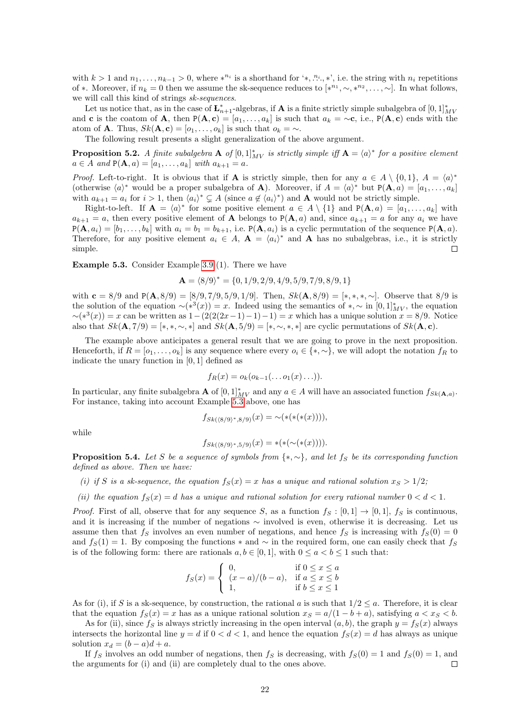with  $k > 1$  and  $n_1, \ldots, n_{k-1} > 0$ , where  $*^{n_i}$  is a shorthand for '\*,  $n_i$ ', \*', i.e. the string with  $n_i$  repetitions of \*. Moreover, if  $n_k = 0$  then we assume the sk-sequence reduces to  $[*^{n_1}, \sim, *^{n_2}, \ldots, \sim]$ . In what follows, we will call this kind of strings sk-sequences.

Let us notice that, as in the case of  $\mathbf{L}_{n+1}^*$ -algebras, if **A** is a finite strictly simple subalgebra of  $[0,1]^*_{MV}$ and **c** is the coatom of **A**, then  $P(A, c) = [a_1, \ldots, a_k]$  is such that  $a_k = \sim c$ , i.e.,  $P(A, c)$  ends with the atom of **A**. Thus,  $Sk$ **(A**, **c**) = [ $o_1, ..., o_k$ ] is such that  $o_k = \sim$ .

The following result presents a slight generalization of the above argument.

<span id="page-21-2"></span>**Proposition 5.2.** A finite subalgebra  $\mathbf{A}$  of  $[0,1]_{MV}^*$  is strictly simple iff  $\mathbf{A} = \langle a \rangle^*$  for a positive element  $a \in A$  and  $P(A, a) = [a_1, ..., a_k]$  with  $a_{k+1} = a$ .

*Proof.* Left-to-right. It is obvious that if **A** is strictly simple, then for any  $a \in A \setminus \{0,1\}$ ,  $A = \langle a \rangle^*$ (otherwise  $\langle a \rangle^*$  would be a proper subalgebra of **A**). Moreover, if  $A = \langle a \rangle^*$  but  $P(\mathbf{A}, a) = [a_1, \ldots, a_k]$ with  $a_{k+1} = a_i$  for  $i > 1$ , then  $\langle a_i \rangle^* \subsetneq A$  (since  $a \notin \langle a_i \rangle^*$ ) and **A** would not be strictly simple.

Right-to-left. If  $\mathbf{A} = \langle a \rangle^*$  for some positive element  $a \in A \setminus \{1\}$  and  $P(\mathbf{A}, a) = [a_1, \ldots, a_k]$  with  $a_{k+1} = a$ , then every positive element of **A** belongs to P(**A**, a) and, since  $a_{k+1} = a$  for any  $a_i$  we have  $P(\mathbf{A}, a_i) = [b_1, \ldots, b_k]$  with  $a_i = b_1 = b_{k+1}$ , i.e.  $P(\mathbf{A}, a_i)$  is a cyclic permutation of the sequence  $P(\mathbf{A}, a)$ . Therefore, for any positive element  $a_i \in A$ ,  $\mathbf{A} = \langle a_i \rangle^*$  and  $\mathbf{A}$  has no subalgebras, i.e., it is strictly simple.  $\Box$ 

<span id="page-21-0"></span>Example 5.3. Consider Example [3.9](#page-6-3) (1). There we have

$$
\mathbf{A} = \langle 8/9 \rangle^* = \{0, 1/9, 2/9, 4/9, 5/9, 7/9, 8/9, 1\}
$$

with  $c = 8/9$  and  $P(A, 8/9) = [8/9, 7/9, 5/9, 1/9]$ . Then,  $Sk(A, 8/9) = [*, *, *, \sim]$ . Observe that  $8/9$  is the solution of the equation  $\sim (*^3(x)) = x$ . Indeed using the semantics of  $*, \sim$  in  $[0, 1]^*_{MV}$ , the equation  $\sim (*^3(x)) = x$  can be written as  $1 - (2(2(2x-1)-1)-1) = x$  which has a unique solution  $x = 8/9$ . Notice also that  $Sk(\mathbf{A}, 7/9) = (*, *, \sim, *]$  and  $Sk(\mathbf{A}, 5/9) = (*, \sim, *, *]$  are cyclic permutations of  $Sk(\mathbf{A}, c)$ .

The example above anticipates a general result that we are going to prove in the next proposition. Henceforth, if  $R = [o_1, \ldots, o_k]$  is any sequence where every  $o_i \in \{*, \sim\}$ , we will adopt the notation  $f_R$  to indicate the unary function in [0, 1] defined as

$$
f_R(x) = o_k(o_{k-1}(\ldots o_1(x)\ldots)).
$$

In particular, any finite subalgebra **A** of  $[0,1]^*_{MV}$  and any  $a \in A$  will have an associated function  $f_{Sk(A,a)}$ . For instance, taking into account Example [5.3](#page-21-0) above, one has

$$
f_{Sk(\langle 8/9 \rangle^*, 8/9)}(x) = \sim(\ast(\ast(\ast(x))))
$$

while

$$
f_{Sk(\langle 8/9 \rangle^*, 5/9)}(x) = *(*(\sim(*(x)))).
$$

<span id="page-21-1"></span>**Proposition 5.4.** Let S be a sequence of symbols from  $\{*, \sim\}$ , and let fs be its corresponding function defined as above. Then we have:

(i) if S is a sk-sequence, the equation  $f_S(x) = x$  has a unique and rational solution  $x_S > 1/2$ ;

(ii) the equation  $f_S(x) = d$  has a unique and rational solution for every rational number  $0 < d < 1$ .

*Proof.* First of all, observe that for any sequence S, as a function  $f_S : [0,1] \to [0,1]$ ,  $f_S$  is continuous, and it is increasing if the number of negations ∼ involved is even, otherwise it is decreasing. Let us assume then that  $f_S$  involves an even number of negations, and hence  $f_S$  is increasing with  $f_S(0) = 0$ and  $f_S(1) = 1$ . By composing the functions  $*$  and  $\sim$  in the required form, one can easily check that  $f_S$ is of the following form: there are rationals  $a, b \in [0, 1]$ , with  $0 \le a < b \le 1$  such that:

$$
f_S(x) = \begin{cases} 0, & \text{if } 0 \le x \le a \\ (x - a)/(b - a), & \text{if } a \le x \le b \\ 1, & \text{if } b \le x \le 1 \end{cases}
$$

As for (i), if S is a sk-sequence, by construction, the rational a is such that  $1/2 \le a$ . Therefore, it is clear that the equation  $f_S(x) = x$  has as a unique rational solution  $x_S = a/(1 - b + a)$ , satisfying  $a < x_S < b$ .

As for (ii), since  $f_S$  is always strictly increasing in the open interval  $(a, b)$ , the graph  $y = f_S(x)$  always intersects the horizontal line  $y = d$  if  $0 < d < 1$ , and hence the equation  $f_S(x) = d$  has always as unique solution  $x_d = (b - a)d + a$ .

If  $f_S$  involves an odd number of negations, then  $f_S$  is decreasing, with  $f_S(0) = 1$  and  $f_S(0) = 1$ , and the arguments for (i) and (ii) are completely dual to the ones above.  $\Box$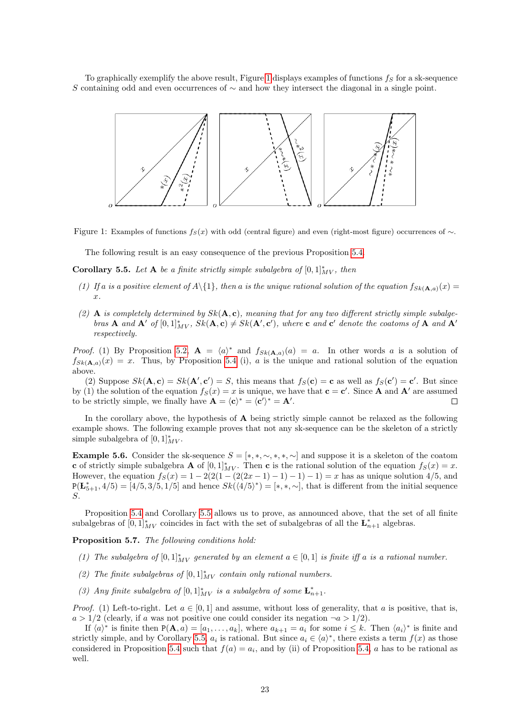To graphically exemplify the above result, Figure [1](#page-22-1) displays examples of functions  $f_S$  for a sk-sequence S containing odd and even occurrences of  $\sim$  and how they intersect the diagonal in a single point.



Figure 1: Examples of functions  $f_S(x)$  with odd (central figure) and even (right-most figure) occurrences of  $\sim$ .

<span id="page-22-1"></span>The following result is an easy consequence of the previous Proposition [5.4.](#page-21-1)

<span id="page-22-2"></span>Corollary 5.5. Let A be a finite strictly simple subalgebra of  $[0,1]_{MV}^*$ , then

- (1) If a is a positive element of  $A\setminus\{1\}$ , then a is the unique rational solution of the equation  $f_{Sk(A,a)}(x)$  =  $\hat{x}$ .
- (2) A is completely determined by  $Sk(A, c)$ , meaning that for any two different strictly simple subalgebras **A** and **A**<sup>'</sup> of  $[0, 1]_{MV}^*$ ,  $Sk(A, c) \neq Sk(A', c')$ , where **c** and **c**<sup>'</sup> denote the coatoms of **A** and **A**<sup>'</sup> respectively.

*Proof.* (1) By Proposition [5.2,](#page-21-2)  $\mathbf{A} = \langle a \rangle^*$  and  $f_{Sk}(\mathbf{A},a)(a) = a$ . In other words a is a solution of  $f_{Sk(\mathbf{A},a)}(x) = x$ . Thus, by Proposition [5.4](#page-21-1) (i), a is the unique and rational solution of the equation above.

(2) Suppose  $Sk(\mathbf{A}, \mathbf{c}) = Sk(\mathbf{A}', \mathbf{c}') = S$ , this means that  $f_S(\mathbf{c}) = \mathbf{c}$  as well as  $f_S(\mathbf{c}') = \mathbf{c}'$ . But since by (1) the solution of the equation  $f_S(x) = x$  is unique, we have that  $\mathbf{c} = \mathbf{c}'$ . Since **A** and **A'** are assumed to be strictly simple, we finally have  $\mathbf{A} = \langle \mathbf{c} \rangle^* = \langle \mathbf{c}' \rangle^* = \mathbf{A}'.$  $\Box$ 

In the corollary above, the hypothesis of  $A$  being strictly simple cannot be relaxed as the following example shows. The following example proves that not any sk-sequence can be the skeleton of a strictly simple subalgebra of  $[0,1]_{MV}^*$ .

**Example 5.6.** Consider the sk-sequence  $S = [*,*,\sim,*,*,\sim]$  and suppose it is a skeleton of the coatom c of strictly simple subalgebra **A** of  $[0,1]^*_{MV}$ . Then c is the rational solution of the equation  $f_S(x) = x$ . However, the equation  $f_S(x) = 1 - 2(2(1 - (2(2x - 1) - 1) - 1) - 1) = x$  has as unique solution 4/5, and  $P(\mathbf{L}_{5+1}^*, 4/5) = [4/5, 3/5, 1/5]$  and hence  $Sk(\langle 4/5 \rangle^*) = [*, *, \sim],$  that is different from the initial sequence S.

Proposition [5.4](#page-21-1) and Corollary [5.5](#page-22-2) allows us to prove, as announced above, that the set of all finite subalgebras of  $[0,1]^*_{MV}$  coincides in fact with the set of subalgebras of all the  $\mathbf{L}_{n+1}^*$  algebras.

<span id="page-22-0"></span>Proposition 5.7. The following conditions hold:

- (1) The subalgebra of  $[0,1]^*_{MV}$  generated by an element  $a \in [0,1]$  is finite iff a is a rational number.
- (2) The finite subalgebras of  $[0,1]^*_{MV}$  contain only rational numbers.
- (3) Any finite subalgebra of  $[0,1]_{MV}^*$  is a subalgebra of some  $\mathbf{L}_{n+1}^*$ .

*Proof.* (1) Left-to-right. Let  $a \in [0,1]$  and assume, without loss of generality, that a is positive, that is,  $a > 1/2$  (clearly, if a was not positive one could consider its negation  $\neg a > 1/2$ ).

If  $\langle a \rangle^*$  is finite then  $P(\mathbf{A}, a) = [a_1, \ldots, a_k]$ , where  $a_{k+1} = a_i$  for some  $i \leq k$ . Then  $\langle a_i \rangle^*$  is finite and strictly simple, and by Corollary [5.5,](#page-22-2)  $a_i$  is rational. But since  $a_i \in \langle a \rangle^*$ , there exists a term  $f(x)$  as those considered in Proposition [5.4](#page-21-1) such that  $f(a) = a_i$ , and by (ii) of Proposition [5.4,](#page-21-1) a has to be rational as well.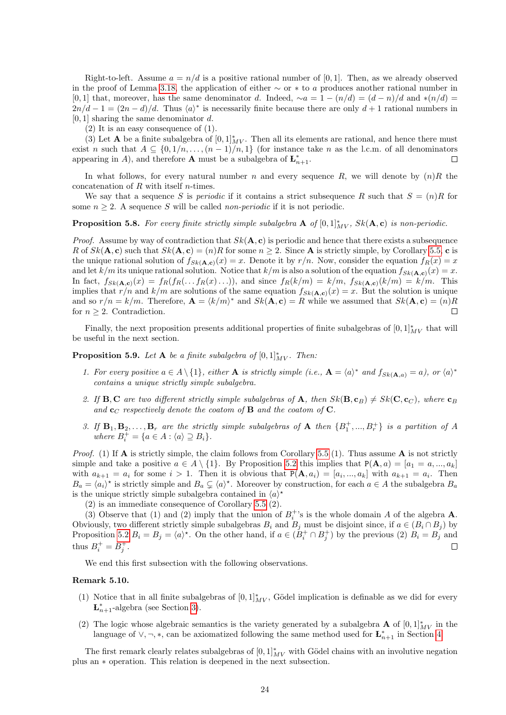Right-to-left. Assume  $a = n/d$  is a positive rational number of [0, 1]. Then, as we already observed in the proof of Lemma [3.18,](#page-9-3) the application of either  $~\sim$  or  $~*$  to a produces another rational number in [0, 1] that, moreover, has the same denominator d. Indeed,  $\sim a = 1 - (n/d) = (d - n)/d$  and \* $(n/d) =$  $2n/d-1 = (2n-d)/d$ . Thus  $\langle a \rangle^*$  is necessarily finite because there are only  $d+1$  rational numbers in  $[0, 1]$  sharing the same denominator d.

(2) It is an easy consequence of (1).

(3) Let **A** be a finite subalgebra of  $[0, 1]^*_{MV}$ . Then all its elements are rational, and hence there must exist n such that  $A \subseteq \{0, 1/n, \ldots, (n-1)/n, 1\}$  (for instance take n as the l.c.m. of all denominators appearing in A), and therefore **A** must be a subalgebra of  $\mathbf{L}_{n+1}^*$ .  $\Box$ 

In what follows, for every natural number n and every sequence R, we will denote by  $(n)R$  the concatenation of R with itself n-times.

We say that a sequence S is *periodic* if it contains a strict subsequence R such that  $S = (n)R$  for some  $n \geq 2$ . A sequence S will be called *non-periodic* if it is not periodic.

<span id="page-23-1"></span>**Proposition 5.8.** For every finite strictly simple subalgebra  $\mathbf{A}$  of  $[0,1]_{MV}^*$ ,  $Sk(\mathbf{A}, \mathbf{c})$  is non-periodic.

*Proof.* Assume by way of contradiction that  $Sk(A, c)$  is periodic and hence that there exists a subsequence R of  $Sk(\mathbf{A}, \mathbf{c})$  such that  $Sk(\mathbf{A}, \mathbf{c}) = (n)R$  for some  $n \geq 2$ . Since **A** is strictly simple, by Corollary [5.5,](#page-22-2) **c** is the unique rational solution of  $f_{Sk(A,c)}(x) = x$ . Denote it by  $r/n$ . Now, consider the equation  $f_R(x) = x$ and let  $k/m$  its unique rational solution. Notice that  $k/m$  is also a solution of the equation  $f_{Sk}(\mathbf{A},c)(x) = x$ . In fact,  $f_{Sk(A,c)}(x) = f_R(f_R(...f_R(x)...))$ , and since  $f_R(k/m) = k/m$ ,  $f_{Sk(A,c)}(k/m) = k/m$ . This implies that  $r/n$  and  $k/m$  are solutions of the same equation  $f_{Sk}(\mathbf{A}, \mathbf{c})(x) = x$ . But the solution is unique and so  $r/n = k/m$ . Therefore,  $\mathbf{A} = \langle k/m \rangle^*$  and  $Sk(\mathbf{A}, \mathbf{c}) = R$  while we assumed that  $Sk(\mathbf{A}, \mathbf{c}) = (n)R$ for  $n \geq 2$ . Contradiction.  $\Box$ 

Finally, the next proposition presents additional properties of finite subalgebras of  $[0,1]^*_{MV}$  that will be useful in the next section.

<span id="page-23-0"></span>**Proposition 5.9.** Let **A** be a finite subalgebra of  $[0,1]^*_{MV}$ . Then:

- 1. For every positive  $a \in A \setminus \{1\}$ , either **A** is strictly simple (i.e.,  $\mathbf{A} = \langle a \rangle^*$  and  $f_{Sk}(\mathbf{A}, a) = a$ ), or  $\langle a \rangle^*$ contains a unique strictly simple subalgebra.
- 2. If **B**, **C** are two different strictly simple subalgebras of **A**, then  $Sk(B, c_B) \neq Sk(C, c_C)$ , where  $c_B$ and  $\mathbf{c}_C$  respectively denote the coatom of **B** and the coatom of **C**.
- 3. If  $\mathbf{B}_1, \mathbf{B}_2, \ldots, \mathbf{B}_r$  are the strictly simple subalgebras of  $\mathbf{A}$  then  $\{B_1^+, ..., B_r^+\}$  is a partition of A where  $B_i^+ = \{a \in A : \langle a \rangle \supseteq B_i\}.$

*Proof.* (1) If  $\bf{A}$  is strictly simple, the claim follows from Corollary [5.5](#page-22-2) (1). Thus assume  $\bf{A}$  is not strictly simple and take a positive  $a \in A \setminus \{1\}$ . By Proposition [5.2](#page-21-2) this implies that  $P(A, a) = [a_1 = a, ..., a_k]$ with  $a_{k+1} = a_i$  for some  $i > 1$ . Then it is obvious that  $P(A, a_i) = [a_i, ..., a_k]$  with  $a_{k+1} = a_i$ . Then  $B_a = \langle a_i \rangle^*$  is strictly simple and  $B_a \subsetneq \langle a \rangle^*$ . Moreover by construction, for each  $a \in A$  the subalgebra  $B_a$ is the unique strictly simple subalgebra contained in  $\langle a \rangle^*$ 

(2) is an immediate consequence of Corollary [5.5](#page-22-2) (2).

(3) Observe that (1) and (2) imply that the union of  $B_i^+$ 's is the whole domain A of the algebra **A**. Obviously, two different strictly simple subalgebras  $B_i$  and  $B_j$  must be disjoint since, if  $a \in (B_i \cap B_j)$  by Proposition [5.2](#page-21-2)  $B_i = B_j = \langle a \rangle^*$ . On the other hand, if  $a \in (B_i^+ \cap B_j^+)$  by the previous (2)  $B_i = B_j$  and thus  $B_i^+ = B_j^+$ .  $\Box$ 

We end this first subsection with the following observations.

#### Remark 5.10.

- (1) Notice that in all finite subalgebras of  $[0,1]^*_{MV}$ , Gödel implication is definable as we did for every  $\mathbf{L}_{n+1}^*$ -algebra (see Section [3\)](#page-4-0).
- (2) The logic whose algebraic semantics is the variety generated by a subalgebra **A** of  $[0,1]^*_{MV}$  in the language of  $\vee, \neg, *$ , can be axiomatized following the same method used for  $\mathbf{L}_{n+1}^*$  in Section [4.](#page-10-0)

The first remark clearly relates subalgebras of  $[0,1]^*_{MV}$  with Gödel chains with an involutive negation plus an ∗ operation. This relation is deepened in the next subsection.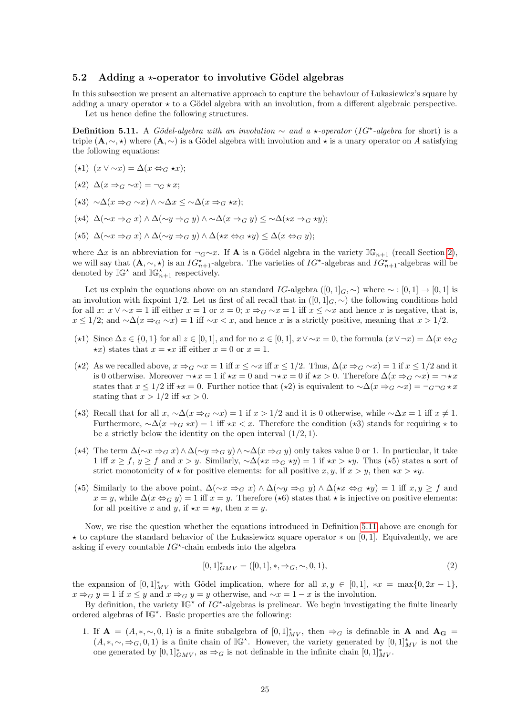#### <span id="page-24-0"></span>5.2 Adding a  $\star$ -operator to involutive Gödel algebras

In this subsection we present an alternative approach to capture the behaviour of Lukasiewicz's square by adding a unary operator  $\star$  to a Gödel algebra with an involution, from a different algebraic perspective. Let us hence define the following structures.

<span id="page-24-1"></span>**Definition 5.11.** A Gödel-algebra with an involution  $\sim$  and a  $\star$ -operator (IG<sup> $\star$ </sup>-algebra for short) is a triple  $(A, \sim, \star)$  where  $(A, \sim)$  is a Gödel algebra with involution and  $\star$  is a unary operator on A satisfying the following equations:

- $(\star 1)$   $(x \vee \sim x) = \Delta(x \Leftrightarrow_G \star x);$
- $(\star 2) \Delta(x \Rightarrow_{G} \sim x) = \neg_G \star x;$
- $(\star 3) \sim \Delta(x \Rightarrow_{C} \sim x) \land \sim \Delta x \leq \sim \Delta(x \Rightarrow_{C} \star x);$
- (\*4)  $\Delta(\sim x \Rightarrow_G x) \land \Delta(\sim y \Rightarrow_G y) \land \sim \Delta(x \Rightarrow_G y) \leq \sim \Delta(x \Rightarrow_G \star y);$
- $(\star 5)$  ∆(∼ $x \Rightarrow_G x$ ) ∧ ∆(∼ $y \Rightarrow_G y$ ) ∧ ∆ $(\star x \Leftrightarrow_G \star y)$  < ∆ $(x \Leftrightarrow_G y)$ ;

where  $\Delta x$  is an abbreviation for  $\neg_G \sim x$ . If **A** is a Gödel algebra in the variety  $\mathbb{IG}_{n+1}$  (recall Section [2\)](#page-2-0), we will say that  $(A, \sim, \star)$  is an  $IG_{n+1}^{\star}$ -algebra. The varieties of  $IG^{\star}$ -algebras and  $IG_{n+1}^{\star}$ -algebras will be denoted by  $\mathbb{IG}^{\star}$  and  $\mathbb{IG}_{n+1}^{\star}$  respectively.

Let us explain the equations above on an standard IG-algebra ([0, 1]<sub>G</sub>, ~) where ~ : [0, 1] → [0, 1] is an involution with fixpoint 1/2. Let us first of all recall that in  $([0,1]_G,\sim)$  the following conditions hold for all x:  $x \vee \sim x = 1$  iff either  $x = 1$  or  $x = 0$ ;  $x \Rightarrow_G \sim x = 1$  iff  $x \leq \sim x$  and hence x is negative, that is,  $x \leq 1/2$ ; and  $\sim \Delta(x \Rightarrow_G \sim x) = 1$  iff  $\sim x < x$ , and hence x is a strictly positive, meaning that  $x > 1/2$ .

- ( $\star$ 1) Since  $\Delta z \in \{0, 1\}$  for all  $z \in [0, 1]$ , and for no  $x \in [0, 1]$ ,  $x \vee \sim x = 0$ , the formula  $(x \vee \neg x) = \Delta(x \Leftrightarrow_G$  $\star x$ ) states that  $x = \star x$  iff either  $x = 0$  or  $x = 1$ .
- ( $\star$ 2) As we recalled above,  $x \Rightarrow_G \sim x = 1$  iff  $x \leq \sim x$  iff  $x \leq 1/2$ . Thus,  $\Delta(x \Rightarrow_G \sim x) = 1$  if  $x \leq 1/2$  and it is 0 otherwise. Moreover  $\neg x = 1$  if  $\star x = 0$  and  $\neg x = 0$  if  $\star x > 0$ . Therefore  $\Delta(x \Rightarrow_G \sim x) = \neg x \cdot x$ states that  $x \le 1/2$  iff  $\star x = 0$ . Further notice that  $(\star 2)$  is equivalent to  $\sim \Delta(x \Rightarrow_G \sim x) = \neg_G \neg_G \star x$ stating that  $x > 1/2$  iff  $\star x > 0$ .
- ( $\star$ 3) Recall that for all x, ∼∆(x ⇒<sub>G</sub> ∼x) = 1 if x > 1/2 and it is 0 otherwise, while ∼∆x = 1 iff x ≠ 1. Furthermore,  $\sim \Delta(x \Rightarrow_G \star x) = 1$  iff  $\star x < x$ . Therefore the condition ( $\star 3$ ) stands for requiring  $\star$  to be a strictly below the identity on the open interval  $(1/2, 1)$ .
- (★4) The term  $\Delta(\sim x \Rightarrow_G x) \wedge \Delta(\sim y \Rightarrow_G y) \wedge \Delta(x \Rightarrow_G y)$  only takes value 0 or 1. In particular, it take 1 iff  $x \ge f$ ,  $y \ge f$  and  $x > y$ . Similarly,  $\sim \Delta (\star x \Rightarrow_G \star y) = 1$  if  $\star x > \star y$ . Thus ( $\star 5$ ) states a sort of strict monotonicity of  $\star$  for positive elements: for all positive x, y, if  $x > y$ , then  $\star x > \star y$ .
- $(\star 5)$  Similarly to the above point,  $\Delta(\sim x \Rightarrow_G x) \wedge \Delta(\sim y \Rightarrow_G y) \wedge \Delta(\star x \Leftrightarrow_G \star y) = 1$  iff  $x, y \geq f$  and  $x = y$ , while  $\Delta(x \Leftrightarrow_G y) = 1$  iff  $x = y$ . Therefore ( $\star$ 6) states that  $\star$  is injective on positive elements: for all positive x and y, if  $\star x = \star y$ , then  $x = y$ .

Now, we rise the question whether the equations introduced in Definition [5.11](#page-24-1) above are enough for  $\star$  to capture the standard behavior of the Lukasiewicz square operator  $\star$  on [0, 1]. Equivalently, we are asking if every countable  $IG^*$ -chain embeds into the algebra

$$
[0,1]_{GMV}^* = ([0,1],*, \Rightarrow_G, \sim, 0, 1),
$$
\n(2)

the expansion of  $[0,1]^*_{MV}$  with Gödel implication, where for all  $x, y \in [0,1]$ ,  $*x = \max\{0, 2x - 1\}$ ,  $x \Rightarrow_G y = 1$  if  $x \leq y$  and  $x \Rightarrow_G y = y$  otherwise, and  $\sim x = 1 - x$  is the involution.

By definition, the variety  $\mathbb{IG}^*$  of  $IG^*$ -algebras is prelinear. We begin investigating the finite linearly ordered algebras of  $\mathbb{IG}^*$ . Basic properties are the following:

1. If  $\mathbf{A} = (A, *, \sim, 0, 1)$  is a finite subalgebra of  $[0, 1]_{MV}^*$ , then  $\Rightarrow_G$  is definable in  $\mathbf{A}$  and  $\mathbf{A_G}$  $(A, *, \sim, \Rightarrow_G, 0, 1)$  is a finite chain of  $\mathbb{IG}^{\star}$ . However, the variety generated by  $[0, 1]_{MV}^*$  is not the one generated by  $[0,1]^*_{GMV}$ , as  $\Rightarrow_G$  is not definable in the infinite chain  $[0,1]^*_{MV}$ .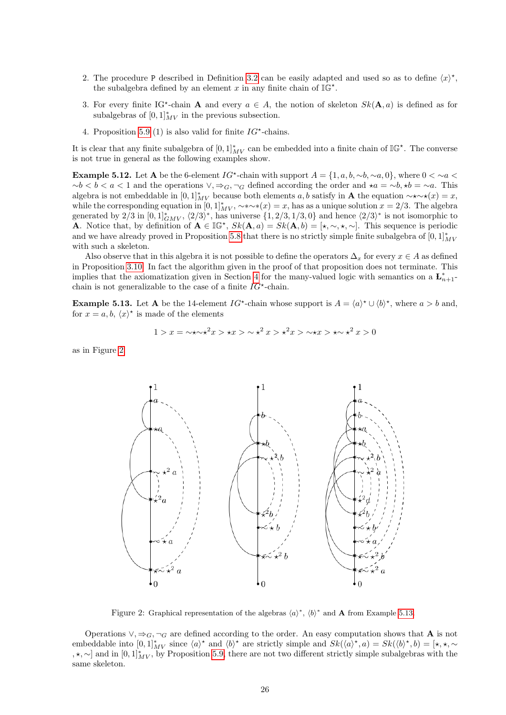- 2. The procedure P described in Definition [3.2](#page-4-2) can be easily adapted and used so as to define  $\langle x \rangle^*$ , the subalgebra defined by an element x in any finite chain of  $\mathbb{IG}^*$ .
- 3. For every finite IG<sup>\*</sup>-chain **A** and every  $a \in A$ , the notion of skeleton  $Sk(A, a)$  is defined as for subalgebras of  $[0,1]^*_{MV}$  in the previous subsection.
- 4. Proposition [5.9](#page-23-0) (1) is also valid for finite  $IG^*$ -chains.

It is clear that any finite subalgebra of  $[0,1]^*_{MV}$  can be embedded into a finite chain of  $\mathbb{IG}^*$ . The converse is not true in general as the following examples show.

**Example 5.12.** Let A be the 6-element  $IG^{\star}$ -chain with support  $A = \{1, a, b, \sim b, \sim a, 0\}$ , where  $0 < \sim a <$  $~\sim b < a < 1$  and the operations  $\vee, \Rightarrow_G, \neg_G$  defined according the order and  $\star a = \sim b, \star b = \sim a$ . This algebra is not embeddable in  $[0,1]^*_{MV}$  because both elements  $a, b$  satisfy in **A** the equation  $\sim\star\sim\star(x) = x$ , while the corresponding equation in  $[0,1]^*_{MV}$ ,  $\sim\sim\sim*(x)=x$ , has as a unique solution  $x=2/3$ . The algebra generated by  $2/3$  in  $[0,1]^*_{GMV}$ ,  $\langle 2/3 \rangle^*$ , has universe  $\{1, 2/3, 1/3, 0\}$  and hence  $\langle 2/3 \rangle^*$  is not isomorphic to **A**. Notice that, by definition of  $A \in \mathbb{IG}^{\star}$ ,  $Sk(A, a) = Sk(A, b) = [\star, \sim, \star, \sim]$ . This sequence is periodic and we have already proved in Proposition [5.8](#page-23-1) that there is no strictly simple finite subalgebra of  $[0,1]^*_{MV}$ with such a skeleton.

Also observe that in this algebra it is not possible to define the operators  $\Delta_x$  for every  $x \in A$  as defined in Proposition [3.10.](#page-6-1) In fact the algorithm given in the proof of that proposition does not terminate. This implies that the axiomatization given in Section [4](#page-10-0) for the many-valued logic with semantics on a  $\mathbf{L}_{n+1}^*$ chain is not generalizable to the case of a finite  $IG^*$ -chain.

<span id="page-25-1"></span>**Example 5.13.** Let **A** be the 14-element  $IG^*$ -chain whose support is  $A = \langle a \rangle^* \cup \langle b \rangle^*$ , where  $a > b$  and, for  $x = a, b, \langle x \rangle^*$  is made of the elements

$$
1 > x = \sqrt{x} \times x^2 x > x \times x > x^2 x > x^2 x > x \times x > x^2 x > 0
$$

as in Figure [2.](#page-25-0)



<span id="page-25-0"></span>Figure 2: Graphical representation of the algebras  $\langle a \rangle^*$ ,  $\langle b \rangle^*$  and **A** from Example [5.13.](#page-25-1)

Operations  $\vee, \Rightarrow_G, \neg_G$  are defined according to the order. An easy computation shows that **A** is not embeddable into  $[0,1]^*_{MV}$  since  $\langle a \rangle^*$  and  $\langle b \rangle^*$  are strictly simple and  $Sk(\langle a \rangle^*, a) = Sk(\langle b \rangle^*, b) = [\star, \star, \sim]$ ,  $\star$ ,  $\sim$ ] and in  $[0, 1]_{MV}^*$ , by Proposition [5.9,](#page-23-0) there are not two different strictly simple subalgebras with the same skeleton.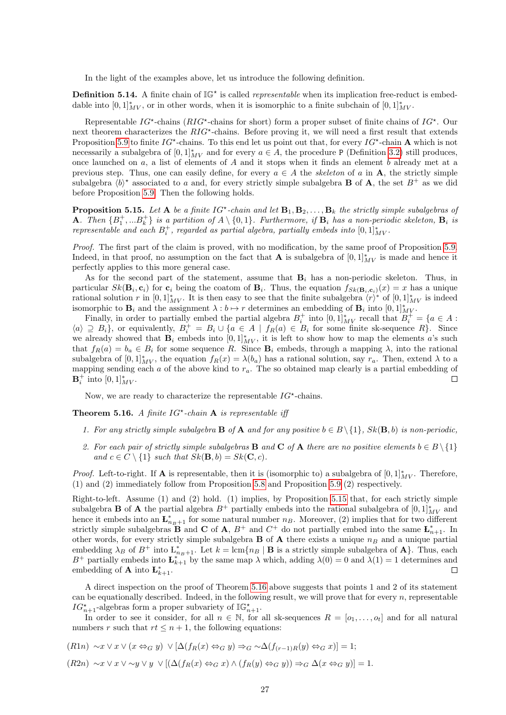In the light of the examples above, let us introduce the following definition.

**Definition 5.14.** A finite chain of  $\mathbb{IG}^*$  is called *representable* when its implication free-reduct is embeddable into  $[0,1]^*_{MV}$ , or in other words, when it is isomorphic to a finite subchain of  $[0,1]^*_{MV}$ .

Representable  $IG^{\star}$ -chains ( $RIG^{\star}$ -chains for short) form a proper subset of finite chains of  $IG^{\star}$ . Our next theorem characterizes the  $RIG^{\star}$ -chains. Before proving it, we will need a first result that extends Proposition [5.9](#page-23-0) to finite  $IG^{\star}$ -chains. To this end let us point out that, for every  $IG^{\star}$ -chain **A** which is not necessarily a subalgebra of  $[0,1]^*_{MV}$  and for every  $a \in A$ , the procedure P (Definition [3.2\)](#page-4-2) still produces, once launched on  $a$ , a list of elements of  $A$  and it stops when it finds an element  $b$  already met at a previous step. Thus, one can easily define, for every  $a \in A$  the skeleton of a in **A**, the strictly simple subalgebra  $\langle b \rangle^*$  associated to a and, for every strictly simple subalgebra **B** of **A**, the set  $B^+$  as we did before Proposition [5.9.](#page-23-0) Then the following holds.

<span id="page-26-0"></span>**Proposition 5.15.** Let A be a finite  $IG^*$ -chain and let  $B_1, B_2, \ldots, B_k$  the strictly simple subalgebras of **A**. Then  ${B_1^+, ... B_k^+}$  is a partition of  $A \setminus {0, 1}$ . Furthermore, if  $B_i$  has a non-periodic skeleton,  $B_i$  is representable and each  $B_i^+$ , regarded as partial algebra, partially embeds into  $[0,1]^*_{MV}$ .

Proof. The first part of the claim is proved, with no modification, by the same proof of Proposition [5.9.](#page-23-0) Indeed, in that proof, no assumption on the fact that **A** is subalgebra of  $[0,1]^*_{MV}$  is made and hence it perfectly applies to this more general case.

As for the second part of the statement, assume that  $B_i$  has a non-periodic skeleton. Thus, in particular  $Sk(\mathbf{B}_i, \mathbf{c}_i)$  for  $\mathbf{c}_i$  being the coatom of  $\mathbf{B}_i$ . Thus, the equation  $f_{Sk(\mathbf{B}_i, \mathbf{c}_i)}(x) = x$  has a unique rational solution r in  $[0,1]^*_{MV}$ . It is then easy to see that the finite subalgebra  $\langle r \rangle^*$  of  $[0,1]^*_{MV}$  is indeed isomorphic to  $\mathbf{B}_i$  and the assignment  $\lambda : b \mapsto r$  determines an embedding of  $\mathbf{B}_i$  into  $[0,1]^*_{MV}$ .

Finally, in order to partially embed the partial algebra  $B_i^+$  into  $[0,1]_{MV}^*$  recall that  $B_i^+ = \{a \in A :$  $\langle a \rangle \supseteq B_i$ , or equivalently,  $B_i^+ = B_i \cup \{a \in A \mid f_R(a) \in B_i \text{ for some finite sk-sequence } R\}.$  Since we already showed that  $B_i$  embeds into  $[0,1]_{MV}^*$ , it is left to show how to map the elements a's such that  $f_R(a) = b_a \in B_i$  for some sequence R. Since  $\mathbf{B}_i$  embeds, through a mapping  $\lambda$ , into the rational subalgebra of  $[0,1]^*_{MV}$ , the equation  $f_R(x) = \lambda(b_a)$  has a rational solution, say  $r_a$ . Then, extend  $\lambda$  to a mapping sending each a of the above kind to  $r_a$ . The so obtained map clearly is a partial embedding of  ${\bf B}_i^+$  into  $[0,1]_{MV}^*.$  $\Box$ 

Now, we are ready to characterize the representable  $IG^*$ -chains.

<span id="page-26-1"></span>**Theorem 5.16.** A finite  $IG^*$ -chain **A** is representable if

- 1. For any strictly simple subalgebra **B** of **A** and for any positive  $b \in B \setminus \{1\}$ ,  $Sk(\mathbf{B}, b)$  is non-periodic,
- 2. For each pair of strictly simple subalgebras **B** and **C** of **A** there are no positive elements  $b \in B \setminus \{1\}$ and  $c \in C \setminus \{1\}$  such that  $Sk(\mathbf{B}, b) = Sk(\mathbf{C}, c)$ .

*Proof.* Left-to-right. If **A** is representable, then it is (isomorphic to) a subalgebra of  $[0,1]^*_{MV}$ . Therefore, (1) and (2) immediately follow from Proposition [5.8](#page-23-1) and Proposition [5.9](#page-23-0) (2) respectively.

Right-to-left. Assume (1) and (2) hold. (1) implies, by Proposition [5.15](#page-26-0) that, for each strictly simple subalgebra **B** of **A** the partial algebra  $B^+$  partially embeds into the rational subalgebra of  $[0,1]^*_{MV}$  and hence it embeds into an  $\mathbf{L}_{n_B+1}^*$  for some natural number  $n_B$ . Moreover, (2) implies that for two different strictly simple subalgebras **B** and **C** of **A**,  $B^+$  and  $C^+$  do not partially embed into the same  $\mathbf{L}_{n+1}^*$ . In other words, for every strictly simple subalgebra **B** of **A** there exists a unique  $n_B$  and a unique partial embedding  $\lambda_B$  of  $B^+$  into  $L_{n_B+1}^*$ . Let  $k = \text{lcm}\{n_B | B$  is a strictly simple subalgebra of **A**}. Thus, each B<sup>+</sup> partially embeds into  $\mathbf{L}_{k+1}^*$  by the same map  $\lambda$  which, adding  $\lambda(0) = 0$  and  $\lambda(1) = 1$  determines and embedding of **A** into  $\mathbf{L}_{k+1}^*$ .

A direct inspection on the proof of Theorem [5.16](#page-26-1) above suggests that points 1 and 2 of its statement can be equationally described. Indeed, in the following result, we will prove that for every  $n$ , representable  $IG_{n+1}^{\star}$ -algebras form a proper subvariety of  $\mathbb{IG}_{n+1}^{\star}$ .

In order to see it consider, for all  $n \in \mathbb{N}$ , for all sk-sequences  $R = [o_1, \ldots, o_t]$  and for all natural numbers r such that  $rt \leq n+1$ , the following equations:

 $(R1n) \sim x \vee x \vee (x \Leftrightarrow_G y) \vee [\Delta(f_R(x) \Leftrightarrow_G y) \Rightarrow_G \sim \Delta(f_{(r-1)R}(y) \Leftrightarrow_G x)] = 1;$ 

 $(R2n) \sim x \vee x \vee \sim y \vee y \vee [(\Delta(f_R(x) \Leftrightarrow_G x) \wedge (f_R(y) \Leftrightarrow_G y)) \Rightarrow_G \Delta(x \Leftrightarrow_G y)] = 1.$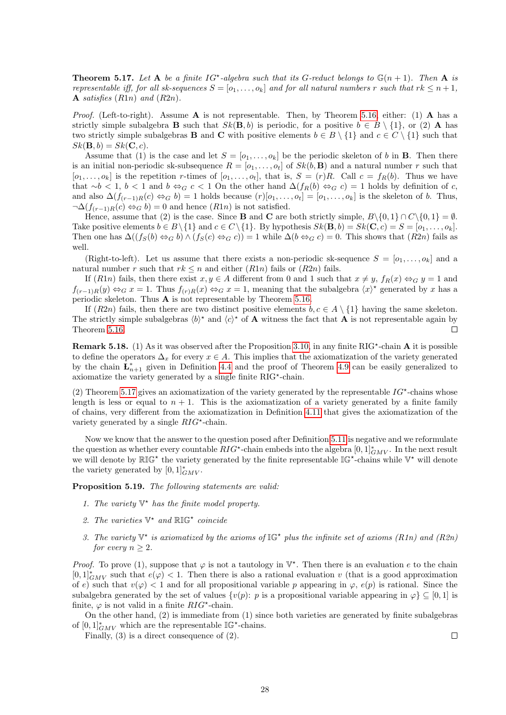<span id="page-27-0"></span>**Theorem 5.17.** Let A be a finite  $IG^*$ -algebra such that its G-reduct belongs to  $\mathbb{G}(n+1)$ . Then A is representable iff, for all sk-sequences  $S = [o_1, \ldots, o_k]$  and for all natural numbers r such that  $rk \leq n+1$ , A satisfies  $(R1n)$  and  $(R2n)$ .

*Proof.* (Left-to-right). Assume  $\bf{A}$  is not representable. Then, by Theorem [5.16,](#page-26-1) either: (1)  $\bf{A}$  has a strictly simple subalgebra **B** such that  $Sk(\mathbf{B}, b)$  is periodic, for a positive  $b \in B \setminus \{1\}$ , or (2) **A** has two strictly simple subalgebras **B** and **C** with positive elements  $b \in B \setminus \{1\}$  and  $c \in C \setminus \{1\}$  such that  $Sk(\mathbf{B}, b) = Sk(\mathbf{C}, c).$ 

Assume that (1) is the case and let  $S = [o_1, \ldots, o_k]$  be the periodic skeleton of b in **B**. Then there is an initial non-periodic sk-subsequence  $R = [o_1, \ldots, o_t]$  of  $Sk(b, B)$  and a natural number r such that  $[o_1, \ldots, o_k]$  is the repetition r-times of  $[o_1, \ldots, o_t]$ , that is,  $S = (r)R$ . Call  $c = f_R(b)$ . Thus we have that ∼b < 1, b < 1 and b ⇔<sub>G</sub> c < 1 On the other hand  $\Delta(f_R(b) \Leftrightarrow_G c) = 1$  holds by definition of c, and also  $\Delta(f_{(r-1)R}(c) \Leftrightarrow_G b) = 1$  holds because  $(r)[o_1, \ldots, o_t] = [o_1, \ldots, o_k]$  is the skeleton of b. Thus,  $\neg \Delta (f_{(r-1)R}(c) \Leftrightarrow_G b) = 0$  and hence  $(R1n)$  is not satisfied.

Hence, assume that (2) is the case. Since **B** and **C** are both strictly simple,  $B \setminus \{0, 1\} \cap C \setminus \{0, 1\} = \emptyset$ . Take positive elements  $b \in B \setminus \{1\}$  and  $c \in C \setminus \{1\}$ . By hypothesis  $Sk(\mathbf{B}, b) = Sk(\mathbf{C}, c) = S = [o_1, \ldots, o_k]$ . Then one has  $\Delta((f_S(b) \Leftrightarrow_G b) \wedge (f_S(c) \Leftrightarrow_G c)) = 1$  while  $\Delta(b \Leftrightarrow_G c) = 0$ . This shows that  $(R2n)$  fails as well.

(Right-to-left). Let us assume that there exists a non-periodic sk-sequence  $S = [o_1, \ldots, o_k]$  and a natural number r such that  $rk \leq n$  and either  $(R1n)$  fails or  $(R2n)$  fails.

If  $(R1n)$  fails, then there exist  $x, y \in A$  different from 0 and 1 such that  $x \neq y$ ,  $f_R(x) \Leftrightarrow_G y = 1$  and  $f_{(r-1)R}(y) \Leftrightarrow_G x = 1$ . Thus  $f_{(r)R}(x) \Leftrightarrow_G x = 1$ , meaning that the subalgebra  $\langle x \rangle^*$  generated by x has a periodic skeleton. Thus A is not representable by Theorem [5.16.](#page-26-1)

If  $(R2n)$  fails, then there are two distinct positive elements  $b, c \in A \setminus \{1\}$  having the same skeleton. The strictly simple subalgebras  $\langle b \rangle^*$  and  $\langle c \rangle^*$  of **A** witness the fact that **A** is not representable again by Theorem [5.16.](#page-26-1)  $\Box$ 

**Remark 5.18.** (1) As it was observed after the Proposition [3.10,](#page-6-1) in any finite  $RIG^*$ -chain A it is possible to define the operators  $\Delta_x$  for every  $x \in A$ . This implies that the axiomatization of the variety generated by the chain  $\mathbf{L}_{n+1}^*$  given in Definition [4.4](#page-12-1) and the proof of Theorem [4.9](#page-14-1) can be easily generalized to axiomatize the variety generated by a single finite  $RIG^*$ -chain.

(2) Theorem [5.17](#page-27-0) gives an axiomatization of the variety generated by the representable  $IG^{\star}$ -chains whose length is less or equal to  $n + 1$ . This is the axiomatization of a variety generated by a finite family of chains, very different from the axiomatization in Definition [4.11](#page-15-2) that gives the axiomatization of the variety generated by a single  $RIG^*$ -chain.

Now we know that the answer to the question posed after Definition [5.11](#page-24-1) is negative and we reformulate the question as whether every countable  $RIG^*$ -chain embeds into the algebra  $[0,1]_{GMV}^*$ . In the next result we will denote by  $\mathbb{RIG}^*$  the variety generated by the finite representable  $\mathbb{IG}^*$ -chains while  $\mathbb{V}^*$  will denote the variety generated by  $[0,1]_{GMV}^*$ .

Proposition 5.19. The following statements are valid:

- 1. The variety  $\mathbb{V}^*$  has the finite model property.
- 2. The varieties  $\mathbb{V}^*$  and  $\mathbb{RLG}^*$  coincide
- 3. The variety  $\mathbb{V}^*$  is axiomatized by the axioms of  $\mathbb{IG}^*$  plus the infinite set of axioms (R1n) and (R2n) for every  $n \geq 2$ .

*Proof.* To prove (1), suppose that  $\varphi$  is not a tautology in  $\mathbb{V}^*$ . Then there is an evaluation e to the chain  $[0,1]^*_{GMV}$  such that  $e(\varphi) < 1$ . Then there is also a rational evaluation v (that is a good approximation of e) such that  $v(\varphi) < 1$  and for all propositional variable p appearing in  $\varphi$ ,  $e(p)$  is rational. Since the subalgebra generated by the set of values  $\{v(p): p \text{ is a propositional variable appearing in } \varphi\} \subseteq [0,1]$  is finite,  $\varphi$  is not valid in a finite  $RIG^*$ -chain.

On the other hand, (2) is immediate from (1) since both varieties are generated by finite subalgebras of  $[0,1]^*_{GMV}$  which are the representable  $\mathbb{IG}^*$ -chains.

Finally, (3) is a direct consequence of (2).

 $\Box$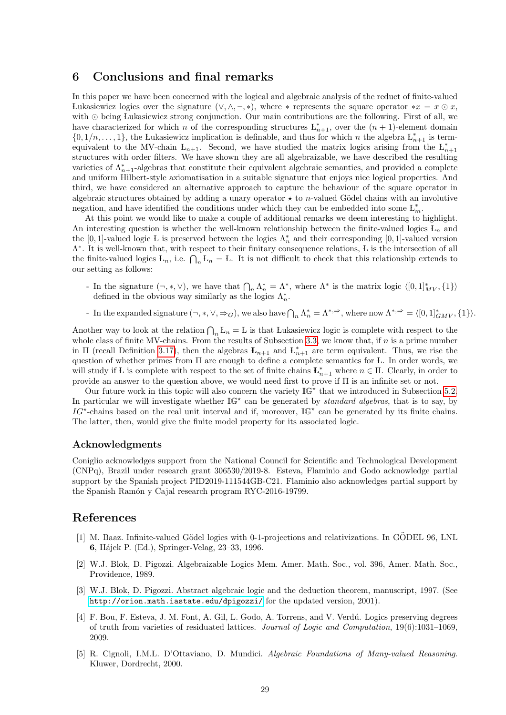#### <span id="page-28-0"></span>6 Conclusions and final remarks

In this paper we have been concerned with the logical and algebraic analysis of the reduct of finite-valued Lukasiewicz logics over the signature  $(\vee, \wedge, \neg, *)$ , where  $*$  represents the square operator  $*x = x \odot x$ . with  $\odot$  being Lukasiewicz strong conjunction. Our main contributions are the following. First of all, we have characterized for which n of the corresponding structures  $L_{n+1}^*$ , over the  $(n + 1)$ -element domain  $\{0, 1/n, \ldots, 1\}$ , the Lukasiewicz implication is definable, and thus for which n the algebra  $L_{n+1}^*$  is termequivalent to the MV-chain  $L_{n+1}$ . Second, we have studied the matrix logics arising from the  $L_{n+1}^*$ structures with order filters. We have shown they are all algebraizable, we have described the resulting varieties of  $\Lambda_{n+1}^*$ -algebras that constitute their equivalent algebraic semantics, and provided a complete and uniform Hilbert-style axiomatisation in a suitable signature that enjoys nice logical properties. And third, we have considered an alternative approach to capture the behaviour of the square operator in algebraic structures obtained by adding a unary operator  $\star$  to *n*-valued Gödel chains with an involutive negation, and have identified the conditions under which they can be embedded into some  $\mathcal{L}_m^*$ .

At this point we would like to make a couple of additional remarks we deem interesting to highlight. An interesting question is whether the well-known relationship between the finite-valued logics  $L_n$  and the [0, 1]-valued logic L is preserved between the logics  $\Lambda_n^*$  and their corresponding [0, 1]-valued version Λ ∗ . It is well-known that, with respect to their finitary consequence relations, L is the intersection of all the finite-valued logics  $L_n$ , i.e.  $\bigcap_n L_n = L$ . It is not difficult to check that this relationship extends to our setting as follows:

- In the signature  $(\neg, *, \vee)$ , we have that  $\bigcap_n \Lambda_n^* = \Lambda^*$ , where  $\Lambda^*$  is the matrix logic  $\langle [0, 1]_{MV}^*, \{1\} \rangle$ defined in the obvious way similarly as the logics  $\Lambda_n^*$ .
- For 1 in the expanded signature  $(\neg, *, \vee, \Rightarrow_G)$ , we also have  $\bigcap_n \Lambda_n^* = \Lambda^{*,\Rightarrow}$ , where now  $\Lambda^{*,\Rightarrow} = \langle [0,1]_{GMV}^*, \{1\} \rangle$ .

Another way to look at the relation  $\bigcap_n L_n = L$  is that Lukasiewicz logic is complete with respect to the whole class of finite MV-chains. From the results of Subsection [3.3,](#page-9-0) we know that, if n is a prime number in II (recall Definition [3.17\)](#page-9-5), then the algebras  $\mathbf{L}_{n+1}$  and  $L_{n+1}^*$  are term equivalent. Thus, we rise the question of whether primes from Π are enough to define a complete semantics for L. In order words, we will study if L is complete with respect to the set of finite chains  $\mathbf{L}_{n+1}^*$  where  $n \in \Pi$ . Clearly, in order to provide an answer to the question above, we would need first to prove if Π is an infinite set or not.

Our future work in this topic will also concern the variety  $\mathbb{IG}^{\star}$  that we introduced in Subsection [5.2.](#page-24-0) In particular we will investigate whether  $\mathbb{IG}^{\star}$  can be generated by *standard algebras*, that is to say, by  $IG^{\star}$ -chains based on the real unit interval and if, moreover,  $\mathbb{IG}^{\star}$  can be generated by its finite chains. The latter, then, would give the finite model property for its associated logic.

#### <span id="page-28-1"></span>Acknowledgments

Coniglio acknowledges support from the National Council for Scientific and Technological Development (CNPq), Brazil under research grant 306530/2019-8. Esteva, Flaminio and Godo acknowledge partial support by the Spanish project PID2019-111544GB-C21. Flaminio also acknowledges partial support by the Spanish Ramón y Cajal research program RYC-2016-19799.

### References

- <span id="page-28-5"></span>[1] M. Baaz. Infinite-valued Gödel logics with 0-1-projections and relativizations. In GÖDEL 96, LNL 6, H´ajek P. (Ed.), Springer-Velag, 23–33, 1996.
- <span id="page-28-3"></span>[2] W.J. Blok, D. Pigozzi. Algebraizable Logics Mem. Amer. Math. Soc., vol. 396, Amer. Math. Soc., Providence, 1989.
- <span id="page-28-4"></span>[3] W.J. Blok, D. Pigozzi. Abstract algebraic logic and the deduction theorem, manuscript, 1997. (See <http://orion.math.iastate.edu/dpigozzi/> for the updated version, 2001).
- <span id="page-28-2"></span>[4] F. Bou, F. Esteva, J. M. Font, A. Gil, L. Godo, A. Torrens, and V. Verdú. Logics preserving degrees of truth from varieties of residuated lattices. Journal of Logic and Computation, 19(6):1031–1069, 2009.
- [5] R. Cignoli, I.M.L. D'Ottaviano, D. Mundici. Algebraic Foundations of Many-valued Reasoning. Kluwer, Dordrecht, 2000.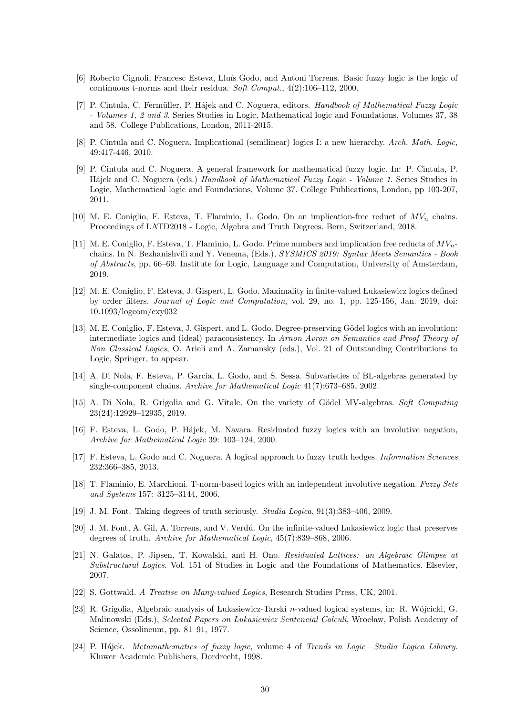- <span id="page-29-9"></span>[6] Roberto Cignoli, Francesc Esteva, Lluís Godo, and Antoni Torrens. Basic fuzzy logic is the logic of continuous t-norms and their residua. Soft Comput., 4(2):106–112, 2000.
- <span id="page-29-0"></span>[7] P. Cintula, C. Fermüller, P. Hájek and C. Noguera, editors. Handbook of Mathematical Fuzzy Logic - Volumes 1, 2 and 3. Series Studies in Logic, Mathematical logic and Foundations, Volumes 37, 38 and 58. College Publications, London, 2011-2015.
- <span id="page-29-15"></span>[8] P. Cintula and C. Noguera. Implicational (semilinear) logics I: a new hierarchy. Arch. Math. Logic, 49:417-446, 2010.
- <span id="page-29-16"></span>[9] P. Cintula and C. Noguera. A general framework for mathematical fuzzy logic. In: P. Cintula, P. Hájek and C. Noguera (eds.) Handbook of Mathematical Fuzzy Logic - Volume 1. Series Studies in Logic, Mathematical logic and Foundations, Volume 37. College Publications, London, pp 103-207, 2011.
- <span id="page-29-5"></span>[10] M. E. Coniglio, F. Esteva, T. Flaminio, L. Godo. On an implication-free reduct of  $MV_n$  chains. Proceedings of LATD2018 - Logic, Algebra and Truth Degrees. Bern, Switzerland, 2018.
- <span id="page-29-6"></span>[11] M. E. Coniglio, F. Esteva, T. Flaminio, L. Godo. Prime numbers and implication free reducts of  $MV_n$ chains. In N. Bezhanishvili and Y. Venema, (Eds.), SYSMICS 2019: Syntax Meets Semantics - Book of Abstracts, pp. 66–69. Institute for Logic, Language and Computation, University of Amsterdam, 2019.
- <span id="page-29-3"></span>[12] M. E. Coniglio, F. Esteva, J. Gispert, L. Godo. Maximality in finite-valued Lukasiewicz logics defined by order filters. Journal of Logic and Computation, vol. 29, no. 1, pp. 125-156, Jan. 2019, doi: 10.1093/logcom/exy032
- <span id="page-29-4"></span>[13] M. E. Coniglio, F. Esteva, J. Gispert, and L. Godo. Degree-preserving Gödel logics with an involution: intermediate logics and (ideal) paraconsistency. In Arnon Avron on Semantics and Proof Theory of Non Classical Logics, O. Arieli and A. Zamansky (eds.), Vol. 21 of Outstanding Contributions to Logic, Springer, to appear.
- [14] A. Di Nola, F. Esteva, P. Garcia, L. Godo, and S. Sessa. Subvarieties of BL-algebras generated by single-component chains. Archive for Mathematical Logic 41(7):673–685, 2002.
- [15] A. Di Nola, R. Grigolia and G. Vitale. On the variety of Gödel MV-algebras. Soft Computing 23(24):12929–12935, 2019.
- <span id="page-29-12"></span>[16] F. Esteva, L. Godo, P. Hájek, M. Navara. Residuated fuzzy logics with an involutive negation, Archive for Mathematical Logic 39: 103–124, 2000.
- <span id="page-29-7"></span>[17] F. Esteva, L. Godo and C. Noguera. A logical approach to fuzzy truth hedges. Information Sciences 232:366–385, 2013.
- <span id="page-29-13"></span>[18] T. Flaminio, E. Marchioni. T-norm-based logics with an independent involutive negation. Fuzzy Sets and Systems 157: 3125–3144, 2006.
- <span id="page-29-1"></span>[19] J. M. Font. Taking degrees of truth seriously. Studia Logica, 91(3):383–406, 2009.
- <span id="page-29-2"></span>[20] J. M. Font, A. Gil, A. Torrens, and V. Verdú. On the infinite-valued Lukasiewicz logic that preserves degrees of truth. Archive for Mathematical Logic, 45(7):839–868, 2006.
- <span id="page-29-14"></span>[21] N. Galatos, P. Jipsen, T. Kowalski, and H. Ono. Residuated Lattices: an Algebraic Glimpse at Substructural Logics. Vol. 151 of Studies in Logic and the Foundations of Mathematics. Elsevier, 2007.
- <span id="page-29-11"></span>[22] S. Gottwald. A Treatise on Many-valued Logics, Research Studies Press, UK, 2001.
- <span id="page-29-10"></span>[23] R. Grigolia, Algebraic analysis of Lukasiewicz-Tarski n-valued logical systems, in: R. Wójcicki, G. Malinowski (Eds.), Selected Papers on Lukasiewicz Sentencial Calculi, Wrocław, Polish Academy of Science, Ossolineum, pp. 81–91, 1977.
- <span id="page-29-8"></span>[24] P. Hájek. Metamathematics of fuzzy logic, volume 4 of Trends in Logic—Studia Logica Library. Kluwer Academic Publishers, Dordrecht, 1998.